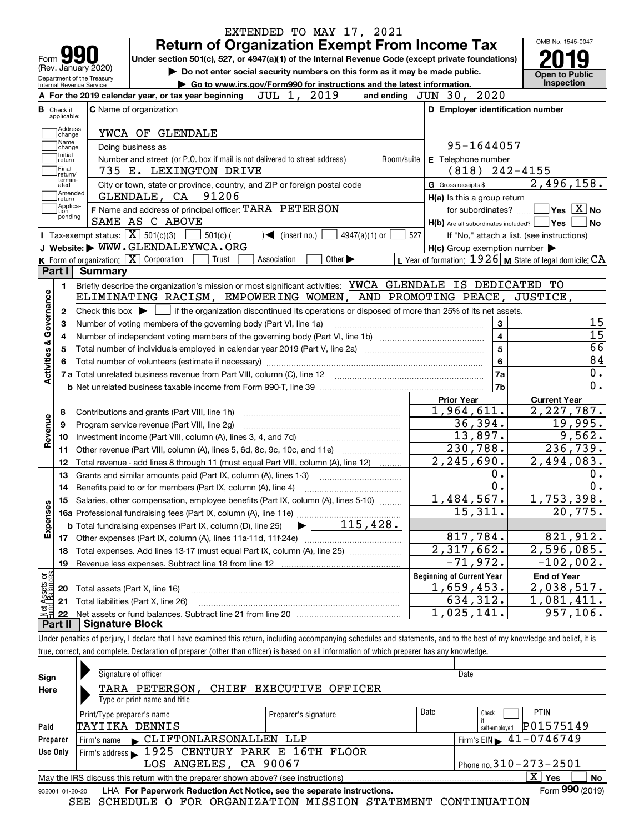|                                                   |                                                   | <b>Return of Organization Exempt From Income Tax</b>                                                                                                |                                                                             |             |                                   |                             |                 |            |                     |                                                         | OMB No. 1545-0047                                                                  |
|---------------------------------------------------|---------------------------------------------------|-----------------------------------------------------------------------------------------------------------------------------------------------------|-----------------------------------------------------------------------------|-------------|-----------------------------------|-----------------------------|-----------------|------------|---------------------|---------------------------------------------------------|------------------------------------------------------------------------------------|
| Form <b>M</b>                                     |                                                   | Under section 501(c), 527, or 4947(a)(1) of the Internal Revenue Code (except private foundations)                                                  |                                                                             |             |                                   |                             |                 |            |                     |                                                         |                                                                                    |
| (Rev. January 2020)<br>Department of the Treasury |                                                   |                                                                                                                                                     | Do not enter social security numbers on this form as it may be made public. |             |                                   |                             |                 |            |                     |                                                         | <b>Open to Public</b>                                                              |
| Internal Revenue Service                          |                                                   |                                                                                                                                                     | Go to www.irs.gov/Form990 for instructions and the latest information.      |             |                                   |                             |                 |            |                     |                                                         | Inspection                                                                         |
|                                                   |                                                   | A For the 2019 calendar year, or tax year beginning                                                                                                 |                                                                             | JUL 1,      | 2019                              |                             |                 |            |                     | and ending JUN 30, 2020                                 |                                                                                    |
| <b>B</b> Check if<br>applicable:                  |                                                   | <b>C</b> Name of organization                                                                                                                       |                                                                             |             |                                   |                             |                 |            |                     | D Employer identification number                        |                                                                                    |
| Address                                           |                                                   |                                                                                                                                                     |                                                                             |             |                                   |                             |                 |            |                     |                                                         |                                                                                    |
| change<br>Name                                    |                                                   | YWCA OF GLENDALE                                                                                                                                    |                                                                             |             |                                   |                             |                 |            |                     | 95-1644057                                              |                                                                                    |
| change<br>Initial                                 |                                                   | Doing business as<br>Number and street (or P.O. box if mail is not delivered to street address)                                                     |                                                                             |             |                                   |                             |                 | Room/suite |                     |                                                         |                                                                                    |
| return<br> Final                                  |                                                   | 735 E. LEXINGTON DRIVE                                                                                                                              |                                                                             |             |                                   |                             |                 |            |                     | E Telephone number<br>$(818)$ 242-4155                  |                                                                                    |
| return/<br>termin-<br>ated                        |                                                   | City or town, state or province, country, and ZIP or foreign postal code                                                                            |                                                                             |             |                                   |                             |                 |            | G Gross receipts \$ |                                                         | 2,496,158.                                                                         |
| Amended<br>∫return                                |                                                   | GLENDALE, CA                                                                                                                                        | 91206                                                                       |             |                                   |                             |                 |            |                     | H(a) Is this a group return                             |                                                                                    |
| Applica-<br>tion                                  |                                                   | F Name and address of principal officer: TARA PETERSON                                                                                              |                                                                             |             |                                   |                             |                 |            |                     | for subordinates?                                       | $ {\mathsf Y}{\mathsf e}{\mathsf s} \: \lfloor \underline{{\mathsf X}} \rfloor$ No |
| pending                                           |                                                   | SAME AS C ABOVE                                                                                                                                     |                                                                             |             |                                   |                             |                 |            |                     | $H(b)$ Are all subordinates included? $\Box$ Yes $\Box$ | No                                                                                 |
|                                                   | Tax-exempt status: $\boxed{\mathbf{X}}$ 501(c)(3) |                                                                                                                                                     | $501(c)$ (                                                                  |             | $\blacktriangleleft$ (insert no.) |                             | $4947(a)(1)$ or | 527        |                     |                                                         | If "No," attach a list. (see instructions)                                         |
|                                                   |                                                   | J Website: WWW.GLENDALEYWCA.ORG                                                                                                                     |                                                                             |             |                                   |                             |                 |            |                     | $H(c)$ Group exemption number $\blacktriangleright$     |                                                                                    |
|                                                   |                                                   | K Form of organization: $\overline{X}$ Corporation                                                                                                  | Trust                                                                       | Association |                                   | Other $\blacktriangleright$ |                 |            |                     |                                                         | L Year of formation: $1926$ M State of legal domicile: CA                          |
| Part I                                            | Summary                                           |                                                                                                                                                     |                                                                             |             |                                   |                             |                 |            |                     |                                                         |                                                                                    |
| 1.                                                |                                                   | Briefly describe the organization's mission or most significant activities: YWCA GLENDALE IS DEDICATED TO                                           |                                                                             |             |                                   |                             |                 |            |                     |                                                         |                                                                                    |
|                                                   |                                                   |                                                                                                                                                     |                                                                             |             |                                   |                             |                 |            |                     |                                                         |                                                                                    |
|                                                   |                                                   |                                                                                                                                                     | ELIMINATING RACISM, EMPOWERING WOMEN, AND PROMOTING PEACE, JUSTICE,         |             |                                   |                             |                 |            |                     |                                                         |                                                                                    |
| 2                                                 |                                                   | Check this box $\blacktriangleright$ $\blacksquare$ if the organization discontinued its operations or disposed of more than 25% of its net assets. |                                                                             |             |                                   |                             |                 |            |                     |                                                         |                                                                                    |
| З                                                 |                                                   | Number of voting members of the governing body (Part VI, line 1a)                                                                                   |                                                                             |             |                                   |                             |                 |            |                     | 3                                                       | 15                                                                                 |
| 4                                                 |                                                   |                                                                                                                                                     |                                                                             |             |                                   |                             |                 |            |                     | $\overline{\mathbf{4}}$                                 | $\overline{15}$                                                                    |
| 5                                                 |                                                   |                                                                                                                                                     |                                                                             |             |                                   |                             |                 |            |                     | 5                                                       | 66                                                                                 |
|                                                   |                                                   |                                                                                                                                                     |                                                                             |             |                                   |                             |                 |            |                     | 6                                                       | 84                                                                                 |
|                                                   |                                                   |                                                                                                                                                     |                                                                             |             |                                   |                             |                 |            |                     | 7a                                                      | 0.                                                                                 |
|                                                   |                                                   |                                                                                                                                                     |                                                                             |             |                                   |                             |                 |            |                     | 7 <sub>b</sub>                                          | 0.                                                                                 |
| Activities & Governance                           |                                                   |                                                                                                                                                     |                                                                             |             |                                   |                             |                 |            | <b>Prior Year</b>   |                                                         | <b>Current Year</b>                                                                |
| 8                                                 |                                                   | Contributions and grants (Part VIII, line 1h)                                                                                                       |                                                                             |             |                                   |                             |                 |            |                     | 1,964,611.                                              | 2,227,787.                                                                         |
| 9                                                 |                                                   | Program service revenue (Part VIII, line 2g)                                                                                                        |                                                                             |             |                                   |                             |                 |            |                     | 36,394.                                                 | 19,995.                                                                            |
| 10                                                |                                                   |                                                                                                                                                     |                                                                             |             |                                   |                             |                 |            |                     | 13,897.                                                 | 9,562.                                                                             |
| 11                                                |                                                   | Other revenue (Part VIII, column (A), lines 5, 6d, 8c, 9c, 10c, and 11e)                                                                            |                                                                             |             |                                   |                             |                 |            |                     | 230,788.                                                | 236,739.                                                                           |
| 12                                                |                                                   | Total revenue - add lines 8 through 11 (must equal Part VIII, column (A), line 12)                                                                  |                                                                             |             |                                   |                             |                 |            |                     | 2, 245, 690.                                            | 2,494,083.                                                                         |
| 13                                                |                                                   | Grants and similar amounts paid (Part IX, column (A), lines 1-3)                                                                                    |                                                                             |             |                                   |                             |                 |            |                     | $0$ .                                                   | $0$ .                                                                              |
| 14                                                |                                                   |                                                                                                                                                     |                                                                             |             |                                   |                             |                 |            |                     | 0.                                                      | 0.                                                                                 |
|                                                   |                                                   | 15 Salaries, other compensation, employee benefits (Part IX, column (A), lines 5-10)                                                                |                                                                             |             |                                   |                             |                 |            |                     | 1,484,567.                                              | 1,753,398.                                                                         |
|                                                   |                                                   |                                                                                                                                                     |                                                                             |             |                                   |                             |                 |            |                     | 15,311.                                                 | 20,775.                                                                            |
|                                                   |                                                   | <b>b</b> Total fundraising expenses (Part IX, column (D), line 25)                                                                                  |                                                                             |             |                                   | 115,428.                    |                 |            |                     |                                                         |                                                                                    |
| Revenue<br>Expenses                               |                                                   |                                                                                                                                                     |                                                                             |             |                                   |                             |                 |            |                     | 817,784.                                                | 821,912.                                                                           |
| 18                                                |                                                   | Total expenses. Add lines 13-17 (must equal Part IX, column (A), line 25)                                                                           |                                                                             |             |                                   |                             |                 |            |                     | $\overline{2,317},662.$                                 | 2,596,085.                                                                         |
| 19                                                |                                                   |                                                                                                                                                     |                                                                             |             |                                   |                             |                 |            |                     | $-71,972.$                                              | $-102,002.$                                                                        |
|                                                   |                                                   |                                                                                                                                                     |                                                                             |             |                                   |                             |                 |            |                     | <b>Beginning of Current Year</b>                        | <b>End of Year</b>                                                                 |
| 20                                                |                                                   | Total assets (Part X, line 16)                                                                                                                      |                                                                             |             |                                   |                             |                 |            |                     | 1,659,453.                                              | 2,038,517.                                                                         |
| : Assets or<br>d Balances<br>21<br><b>Jet</b>     |                                                   | Total liabilities (Part X, line 26)                                                                                                                 |                                                                             |             |                                   |                             |                 |            |                     | 634,312.<br>1,025,141.                                  | 1,081,411.<br>957, 106.                                                            |

true, correct, and complete. Declaration of preparer (other than officer) is based on all information of which preparer has any knowledge.

| Sign            | Signature of officer                                                              |                      | Date                         |                                             |
|-----------------|-----------------------------------------------------------------------------------|----------------------|------------------------------|---------------------------------------------|
| Here            | TARA PETERSON, CHIEF EXECUTIVE OFFICER<br>Type or print name and title            |                      |                              |                                             |
|                 | Print/Type preparer's name                                                        | Preparer's signature | Date                         | <b>PTIN</b><br>Check                        |
| Paid            | TAYIIKA<br>DENNIS                                                                 |                      |                              | P01575149<br>self-emploved                  |
| Preparer        | Firm's name CLIFTONLARSONALLEN LLP                                                |                      |                              | Firm's EIN $\blacktriangleright$ 41-0746749 |
| Use Only        | Firm's address 1925 CENTURY PARK E 16TH FLOOR                                     |                      |                              |                                             |
|                 | LOS ANGELES, CA 90067                                                             |                      | Phone no. $310 - 273 - 2501$ |                                             |
|                 | May the IRS discuss this return with the preparer shown above? (see instructions) |                      |                              | ΧI<br>Yes<br><b>No</b>                      |
| 932001 01-20-20 | LHA For Paperwork Reduction Act Notice, see the separate instructions.            |                      |                              | Form 990 (2019)                             |
|                 |                                                                                   |                      |                              |                                             |

SEE SCHEDULE O FOR ORGANIZATION MISSION STATEMENT CONTINUATION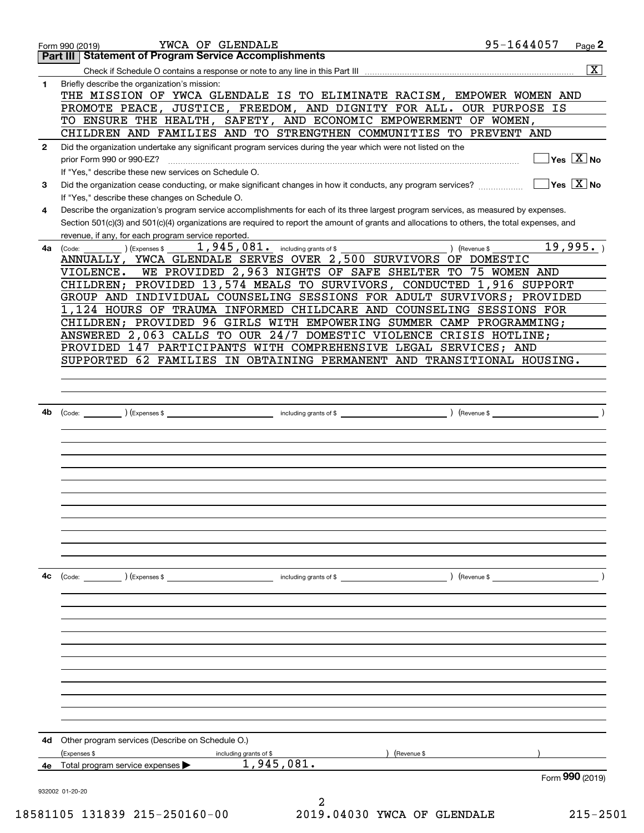|              | YWCA OF GLENDALE<br>Form 990 (2019)                                                                                                          | 95-1644057 | Page 2                              |
|--------------|----------------------------------------------------------------------------------------------------------------------------------------------|------------|-------------------------------------|
|              | <b>Statement of Program Service Accomplishments</b><br>Part III                                                                              |            |                                     |
|              |                                                                                                                                              |            | $\overline{\mathbf{X}}$             |
| 1            | Briefly describe the organization's mission:                                                                                                 |            |                                     |
|              | THE MISSION OF YWCA GLENDALE IS TO ELIMINATE RACISM, EMPOWER WOMEN AND                                                                       |            |                                     |
|              | PROMOTE PEACE, JUSTICE, FREEDOM, AND DIGNITY FOR ALL. OUR PURPOSE IS                                                                         |            |                                     |
|              | TO ENSURE THE HEALTH, SAFETY, AND ECONOMIC EMPOWERMENT OF WOMEN,<br>CHILDREN AND FAMILIES AND TO STRENGTHEN COMMUNITIES TO PREVENT AND       |            |                                     |
| $\mathbf{2}$ | Did the organization undertake any significant program services during the year which were not listed on the                                 |            |                                     |
|              | prior Form 990 or 990-EZ?                                                                                                                    |            | $\exists$ Yes $\boxed{\text{X}}$ No |
|              | If "Yes," describe these new services on Schedule O.                                                                                         |            |                                     |
| 3            | Did the organization cease conducting, or make significant changes in how it conducts, any program services?                                 |            | $\sqrt{}$ Yes $\sqrt{}$ No          |
|              | If "Yes," describe these changes on Schedule O.                                                                                              |            |                                     |
| 4            | Describe the organization's program service accomplishments for each of its three largest program services, as measured by expenses.         |            |                                     |
|              | Section 501(c)(3) and 501(c)(4) organizations are required to report the amount of grants and allocations to others, the total expenses, and |            |                                     |
|              | revenue, if any, for each program service reported.                                                                                          |            |                                     |
| 4a           | $1,945,081$ . including grants of \$<br>) (Expenses \$<br>) (Revenue \$<br>(Code:                                                            |            | 19,995.                             |
|              | ANNUALLY, YWCA GLENDALE SERVES OVER 2,500 SURVIVORS OF DOMESTIC                                                                              |            |                                     |
|              | WE PROVIDED 2,963 NIGHTS OF SAFE SHELTER TO 75 WOMEN AND<br>VIOLENCE.                                                                        |            |                                     |
|              | CHILDREN; PROVIDED 13,574 MEALS TO SURVIVORS, CONDUCTED 1,916 SUPPORT                                                                        |            |                                     |
|              | GROUP AND INDIVIDUAL COUNSELING SESSIONS FOR ADULT SURVIVORS; PROVIDED                                                                       |            |                                     |
|              | 1,124 HOURS OF TRAUMA INFORMED CHILDCARE AND COUNSELING SESSIONS FOR                                                                         |            |                                     |
|              | CHILDREN; PROVIDED 96 GIRLS WITH EMPOWERING SUMMER CAMP PROGRAMMING;                                                                         |            |                                     |
|              | ANSWERED 2,063 CALLS TO OUR 24/7 DOMESTIC VIOLENCE CRISIS HOTLINE;                                                                           |            |                                     |
|              | PROVIDED 147 PARTICIPANTS WITH COMPREHENSIVE LEGAL SERVICES; AND                                                                             |            |                                     |
|              | SUPPORTED 62 FAMILIES IN OBTAINING PERMANENT AND TRANSITIONAL HOUSING.                                                                       |            |                                     |
|              |                                                                                                                                              |            |                                     |
|              |                                                                                                                                              |            |                                     |
|              |                                                                                                                                              |            |                                     |
| 4b           | ) (Revenue \$                                                                                                                                |            |                                     |
|              |                                                                                                                                              |            |                                     |
|              |                                                                                                                                              |            |                                     |
|              |                                                                                                                                              |            |                                     |
|              |                                                                                                                                              |            |                                     |
|              |                                                                                                                                              |            |                                     |
|              |                                                                                                                                              |            |                                     |
|              |                                                                                                                                              |            |                                     |
|              |                                                                                                                                              |            |                                     |
|              |                                                                                                                                              |            |                                     |
|              |                                                                                                                                              |            |                                     |
|              |                                                                                                                                              |            |                                     |
| 4c           | (Code: ) (Expenses \$<br>including grants of \$<br>) (Revenue \$                                                                             |            |                                     |
|              |                                                                                                                                              |            |                                     |
|              |                                                                                                                                              |            |                                     |
|              |                                                                                                                                              |            |                                     |
|              |                                                                                                                                              |            |                                     |
|              |                                                                                                                                              |            |                                     |
|              |                                                                                                                                              |            |                                     |
|              |                                                                                                                                              |            |                                     |
|              |                                                                                                                                              |            |                                     |
|              |                                                                                                                                              |            |                                     |
|              |                                                                                                                                              |            |                                     |
|              |                                                                                                                                              |            |                                     |
| 4d           | Other program services (Describe on Schedule O.)                                                                                             |            |                                     |
|              | (Expenses \$<br>(Revenue \$<br>including grants of \$                                                                                        |            |                                     |
| 4e           | 1,945,081.<br>Total program service expenses                                                                                                 |            |                                     |
|              |                                                                                                                                              |            | Form 990 (2019)                     |
|              | 932002 01-20-20                                                                                                                              |            |                                     |
|              | 2                                                                                                                                            |            |                                     |

18581105 131839 215-250160-00 2019.04030 YWCA OF GLENDALE 215-2501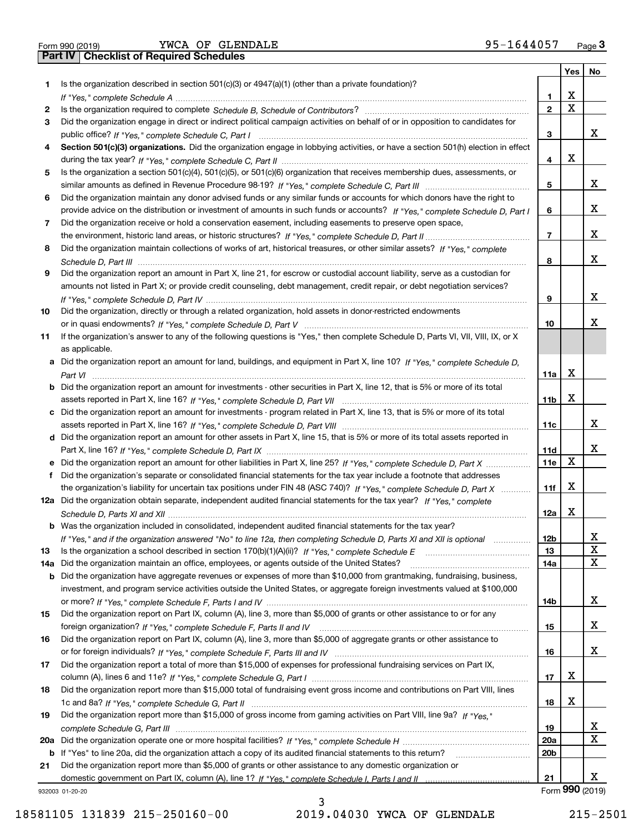| Form 990 (2019) |  |  |
|-----------------|--|--|

|     |                                                                                                                                       |                 | Yes | No              |
|-----|---------------------------------------------------------------------------------------------------------------------------------------|-----------------|-----|-----------------|
| 1   | Is the organization described in section $501(c)(3)$ or $4947(a)(1)$ (other than a private foundation)?                               |                 |     |                 |
|     |                                                                                                                                       | 1               | х   |                 |
| 2   |                                                                                                                                       | $\mathbf{2}$    | X   |                 |
| 3   | Did the organization engage in direct or indirect political campaign activities on behalf of or in opposition to candidates for       |                 |     |                 |
|     |                                                                                                                                       | 3               |     | x               |
| 4   | Section 501(c)(3) organizations. Did the organization engage in lobbying activities, or have a section 501(h) election in effect      |                 |     |                 |
|     |                                                                                                                                       | 4               | х   |                 |
| 5   | Is the organization a section 501(c)(4), 501(c)(5), or 501(c)(6) organization that receives membership dues, assessments, or          |                 |     |                 |
|     |                                                                                                                                       | 5               |     | х               |
| 6   | Did the organization maintain any donor advised funds or any similar funds or accounts for which donors have the right to             |                 |     |                 |
|     | provide advice on the distribution or investment of amounts in such funds or accounts? If "Yes," complete Schedule D, Part I          | 6               |     | х               |
| 7   | Did the organization receive or hold a conservation easement, including easements to preserve open space,                             |                 |     |                 |
|     |                                                                                                                                       | $\overline{7}$  |     | х               |
| 8   | Did the organization maintain collections of works of art, historical treasures, or other similar assets? If "Yes," complete          |                 |     |                 |
|     |                                                                                                                                       | 8               |     | х               |
| 9   | Did the organization report an amount in Part X, line 21, for escrow or custodial account liability, serve as a custodian for         |                 |     |                 |
|     | amounts not listed in Part X; or provide credit counseling, debt management, credit repair, or debt negotiation services?             |                 |     |                 |
|     |                                                                                                                                       | 9               |     | х               |
| 10  | Did the organization, directly or through a related organization, hold assets in donor-restricted endowments                          |                 |     |                 |
|     |                                                                                                                                       | 10              |     | х               |
|     |                                                                                                                                       |                 |     |                 |
| 11  | If the organization's answer to any of the following questions is "Yes," then complete Schedule D, Parts VI, VII, VIII, IX, or X      |                 |     |                 |
|     | as applicable.                                                                                                                        |                 |     |                 |
|     | a Did the organization report an amount for land, buildings, and equipment in Part X, line 10? If "Yes," complete Schedule D,         |                 |     |                 |
|     |                                                                                                                                       | 11a             | Х   |                 |
|     | <b>b</b> Did the organization report an amount for investments - other securities in Part X, line 12, that is 5% or more of its total |                 |     |                 |
|     |                                                                                                                                       | 11b             | Х   |                 |
|     | c Did the organization report an amount for investments - program related in Part X, line 13, that is 5% or more of its total         |                 |     |                 |
|     |                                                                                                                                       | 11c             |     | х               |
|     | d Did the organization report an amount for other assets in Part X, line 15, that is 5% or more of its total assets reported in       |                 |     |                 |
|     |                                                                                                                                       | 11d             |     | х               |
|     |                                                                                                                                       | 11e             | х   |                 |
|     | f Did the organization's separate or consolidated financial statements for the tax year include a footnote that addresses             |                 |     |                 |
|     | the organization's liability for uncertain tax positions under FIN 48 (ASC 740)? If "Yes," complete Schedule D, Part X                | 11f             | Х   |                 |
|     | 12a Did the organization obtain separate, independent audited financial statements for the tax year? If "Yes," complete               |                 |     |                 |
|     |                                                                                                                                       | 12a             | Х   |                 |
|     | <b>b</b> Was the organization included in consolidated, independent audited financial statements for the tax year?                    |                 |     |                 |
|     | If "Yes," and if the organization answered "No" to line 12a, then completing Schedule D, Parts XI and XII is optional metalliming     | 12 <sub>b</sub> |     | х               |
| 13  | Is the organization a school described in section $170(b)(1)(A)(ii)?$ If "Yes," complete Schedule E                                   | 13              |     | X               |
| 14a | Did the organization maintain an office, employees, or agents outside of the United States?                                           | 14a             |     | x               |
| b   | Did the organization have aggregate revenues or expenses of more than \$10,000 from grantmaking, fundraising, business,               |                 |     |                 |
|     | investment, and program service activities outside the United States, or aggregate foreign investments valued at \$100,000            |                 |     |                 |
|     |                                                                                                                                       | 14b             |     | X               |
| 15  | Did the organization report on Part IX, column (A), line 3, more than \$5,000 of grants or other assistance to or for any             |                 |     |                 |
|     |                                                                                                                                       | 15              |     | X               |
| 16  | Did the organization report on Part IX, column (A), line 3, more than \$5,000 of aggregate grants or other assistance to              |                 |     |                 |
|     |                                                                                                                                       | 16              |     | х               |
| 17  | Did the organization report a total of more than \$15,000 of expenses for professional fundraising services on Part IX,               |                 |     |                 |
|     |                                                                                                                                       | 17              | х   |                 |
| 18  | Did the organization report more than \$15,000 total of fundraising event gross income and contributions on Part VIII, lines          |                 |     |                 |
|     |                                                                                                                                       | 18              | х   |                 |
| 19  | Did the organization report more than \$15,000 of gross income from gaming activities on Part VIII, line 9a? If "Yes."                |                 |     |                 |
|     |                                                                                                                                       | 19              |     | x               |
| 20a |                                                                                                                                       | 20a             |     | х               |
| b   | If "Yes" to line 20a, did the organization attach a copy of its audited financial statements to this return?                          | 20 <sub>b</sub> |     |                 |
| 21  | Did the organization report more than \$5,000 of grants or other assistance to any domestic organization or                           |                 |     |                 |
|     |                                                                                                                                       | 21              |     | x               |
|     | 932003 01-20-20                                                                                                                       |                 |     | Form 990 (2019) |

18581105 131839 215-250160-00 2019.04030 YWCA OF GLENDALE 215-2501

3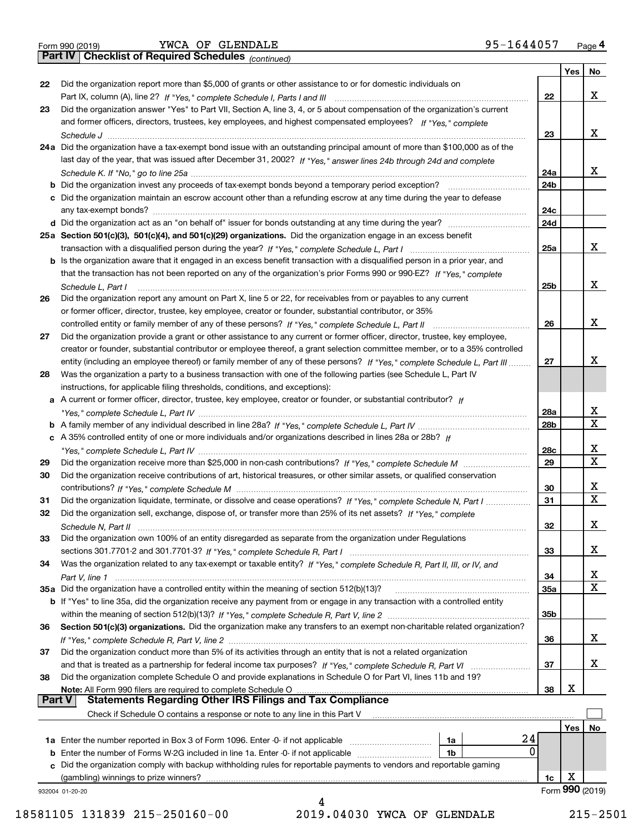|  | Form 990 (2019) |
|--|-----------------|

*(continued)*

|          |                                                                                                                              |                 | Yes | <b>No</b>       |
|----------|------------------------------------------------------------------------------------------------------------------------------|-----------------|-----|-----------------|
| 22       | Did the organization report more than \$5,000 of grants or other assistance to or for domestic individuals on                |                 |     |                 |
|          |                                                                                                                              | 22              |     | x               |
| 23       | Did the organization answer "Yes" to Part VII, Section A, line 3, 4, or 5 about compensation of the organization's current   |                 |     |                 |
|          | and former officers, directors, trustees, key employees, and highest compensated employees? If "Yes," complete               |                 |     |                 |
|          |                                                                                                                              | 23              |     | x               |
|          | 24a Did the organization have a tax-exempt bond issue with an outstanding principal amount of more than \$100,000 as of the  |                 |     |                 |
|          | last day of the year, that was issued after December 31, 2002? If "Yes," answer lines 24b through 24d and complete           |                 |     |                 |
|          |                                                                                                                              | 24a             |     | x               |
|          | b Did the organization invest any proceeds of tax-exempt bonds beyond a temporary period exception?                          | 24b             |     |                 |
|          | c Did the organization maintain an escrow account other than a refunding escrow at any time during the year to defease       |                 |     |                 |
|          |                                                                                                                              | 24c             |     |                 |
|          | d Did the organization act as an "on behalf of" issuer for bonds outstanding at any time during the year?                    | 24d             |     |                 |
|          | 25a Section 501(c)(3), 501(c)(4), and 501(c)(29) organizations. Did the organization engage in an excess benefit             |                 |     |                 |
|          |                                                                                                                              | 25a             |     | x               |
|          | b Is the organization aware that it engaged in an excess benefit transaction with a disqualified person in a prior year, and |                 |     |                 |
|          | that the transaction has not been reported on any of the organization's prior Forms 990 or 990-EZ? If "Yes," complete        |                 |     |                 |
|          | Schedule L. Part I                                                                                                           | 25b             |     | x               |
| 26       | Did the organization report any amount on Part X, line 5 or 22, for receivables from or payables to any current              |                 |     |                 |
|          | or former officer, director, trustee, key employee, creator or founder, substantial contributor, or 35%                      |                 |     |                 |
|          |                                                                                                                              | 26              |     | x               |
| 27       | Did the organization provide a grant or other assistance to any current or former officer, director, trustee, key employee,  |                 |     |                 |
|          | creator or founder, substantial contributor or employee thereof, a grant selection committee member, or to a 35% controlled  |                 |     |                 |
|          | entity (including an employee thereof) or family member of any of these persons? If "Yes," complete Schedule L, Part III     | 27              |     | x               |
| 28       | Was the organization a party to a business transaction with one of the following parties (see Schedule L, Part IV            |                 |     |                 |
|          | instructions, for applicable filing thresholds, conditions, and exceptions):                                                 |                 |     |                 |
|          | a A current or former officer, director, trustee, key employee, creator or founder, or substantial contributor? If           |                 |     |                 |
|          |                                                                                                                              | 28a             |     | х               |
|          |                                                                                                                              | 28 <sub>b</sub> |     | $\mathbf X$     |
|          | c A 35% controlled entity of one or more individuals and/or organizations described in lines 28a or 28b? If                  |                 |     |                 |
|          |                                                                                                                              | 28c             |     | x               |
| 29       |                                                                                                                              | 29              |     | $\mathbf X$     |
| 30       | Did the organization receive contributions of art, historical treasures, or other similar assets, or qualified conservation  |                 |     |                 |
|          |                                                                                                                              | 30              |     | x               |
| 31       | Did the organization liquidate, terminate, or dissolve and cease operations? If "Yes," complete Schedule N, Part I           | 31              |     | $\mathbf X$     |
| 32       | Did the organization sell, exchange, dispose of, or transfer more than 25% of its net assets? If "Yes," complete             |                 |     |                 |
|          |                                                                                                                              | 32              |     | х               |
| 33       | Did the organization own 100% of an entity disregarded as separate from the organization under Regulations                   |                 |     |                 |
|          |                                                                                                                              | 33              |     | х               |
| 34       | Was the organization related to any tax-exempt or taxable entity? If "Yes," complete Schedule R, Part II, III, or IV, and    |                 |     |                 |
|          |                                                                                                                              | 34              |     | х               |
|          | 35a Did the organization have a controlled entity within the meaning of section 512(b)(13)?                                  | 35a             |     | X               |
|          | b If "Yes" to line 35a, did the organization receive any payment from or engage in any transaction with a controlled entity  |                 |     |                 |
|          |                                                                                                                              | 35 <sub>b</sub> |     |                 |
| 36       | Section 501(c)(3) organizations. Did the organization make any transfers to an exempt non-charitable related organization?   |                 |     |                 |
|          |                                                                                                                              | 36              |     | x               |
| 37       | Did the organization conduct more than 5% of its activities through an entity that is not a related organization             |                 |     |                 |
|          |                                                                                                                              | 37              |     | x               |
| 38       | Did the organization complete Schedule O and provide explanations in Schedule O for Part VI, lines 11b and 19?               |                 |     |                 |
|          | Note: All Form 990 filers are required to complete Schedule O                                                                | 38              | X   |                 |
| ∣ Part V | <b>Statements Regarding Other IRS Filings and Tax Compliance</b>                                                             |                 |     |                 |
|          | Check if Schedule O contains a response or note to any line in this Part V                                                   |                 |     |                 |
|          |                                                                                                                              |                 | Yes | No              |
|          | 24<br>1a                                                                                                                     |                 |     |                 |
|          | 0<br><b>b</b> Enter the number of Forms W-2G included in line 1a. Enter -0- if not applicable<br>1b                          |                 |     |                 |
| c        | Did the organization comply with backup withholding rules for reportable payments to vendors and reportable gaming           |                 |     |                 |
|          | (gambling) winnings to prize winners?                                                                                        | 1c              | х   |                 |
|          | 932004 01-20-20                                                                                                              |                 |     | Form 990 (2019) |
|          |                                                                                                                              |                 |     |                 |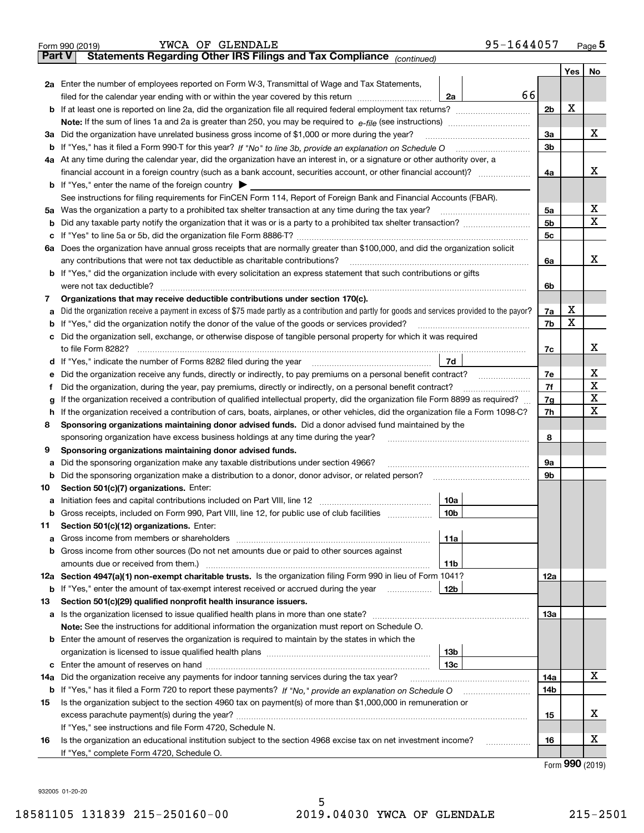|        | 95-1644057<br>YWCA OF GLENDALE<br>Form 990 (2019)                                                                                                                                         |                |   | <u>Page</u> 5 |
|--------|-------------------------------------------------------------------------------------------------------------------------------------------------------------------------------------------|----------------|---|---------------|
| Part V | Statements Regarding Other IRS Filings and Tax Compliance (continued)                                                                                                                     |                |   |               |
|        |                                                                                                                                                                                           |                |   | Yes   No      |
|        | 2a Enter the number of employees reported on Form W-3, Transmittal of Wage and Tax Statements,                                                                                            |                |   |               |
|        | 66<br>filed for the calendar year ending with or within the year covered by this return [11] [11] filed for the calendar year ending with or within the year covered by this return<br>2a |                |   |               |
|        |                                                                                                                                                                                           | 2 <sub>b</sub> | X |               |
|        | Note: If the sum of lines 1a and 2a is greater than 250, you may be required to $e$ -file (see instructions) <i></i>                                                                      |                |   |               |
|        | 3a Did the organization have unrelated business gross income of \$1,000 or more during the year?                                                                                          | 3a             |   | х             |
|        |                                                                                                                                                                                           | 3 <sub>b</sub> |   |               |
|        | 4a At any time during the calendar year, did the organization have an interest in, or a signature or other authority over, a                                                              |                |   |               |
|        |                                                                                                                                                                                           | 4a             |   | x             |
|        | <b>b</b> If "Yes," enter the name of the foreign country                                                                                                                                  |                |   |               |
|        | See instructions for filing requirements for FinCEN Form 114, Report of Foreign Bank and Financial Accounts (FBAR).                                                                       |                |   |               |
|        | 5a Was the organization a party to a prohibited tax shelter transaction at any time during the tax year?                                                                                  | 5a             |   | х             |
|        |                                                                                                                                                                                           | 5 <sub>b</sub> |   | x             |
| c      |                                                                                                                                                                                           | 5c             |   |               |
|        | 6a Does the organization have annual gross receipts that are normally greater than \$100,000, and did the organization solicit                                                            |                |   |               |
|        | any contributions that were not tax deductible as charitable contributions?                                                                                                               | 6a             |   | x             |
|        | b If "Yes," did the organization include with every solicitation an express statement that such contributions or gifts                                                                    |                |   |               |
|        | were not tax deductible?                                                                                                                                                                  | 6b             |   |               |
| 7      | Organizations that may receive deductible contributions under section 170(c).                                                                                                             |                |   |               |
| a      | Did the organization receive a payment in excess of \$75 made partly as a contribution and partly for goods and services provided to the payor?                                           | 7a             | х |               |
| b      | If "Yes," did the organization notify the donor of the value of the goods or services provided?                                                                                           | 7b             | X |               |
|        | c Did the organization sell, exchange, or otherwise dispose of tangible personal property for which it was required                                                                       |                |   |               |
|        |                                                                                                                                                                                           | 7c             |   | x             |
|        | 7d<br>d If "Yes," indicate the number of Forms 8282 filed during the year manufactured in the second of the New York                                                                      |                |   |               |
| е      | Did the organization receive any funds, directly or indirectly, to pay premiums on a personal benefit contract?                                                                           | 7e             |   | х             |
| Ť      | Did the organization, during the year, pay premiums, directly or indirectly, on a personal benefit contract?                                                                              | 7f             |   | X             |
| g      | If the organization received a contribution of qualified intellectual property, did the organization file Form 8899 as required?                                                          | 7g             |   | X             |
| h.     | If the organization received a contribution of cars, boats, airplanes, or other vehicles, did the organization file a Form 1098-C?                                                        | 7h             |   | Х             |
| 8      | Sponsoring organizations maintaining donor advised funds. Did a donor advised fund maintained by the                                                                                      |                |   |               |
|        | sponsoring organization have excess business holdings at any time during the year?                                                                                                        | 8              |   |               |
| 9      | Sponsoring organizations maintaining donor advised funds.                                                                                                                                 |                |   |               |
| а      | Did the sponsoring organization make any taxable distributions under section 4966?                                                                                                        | 9а             |   |               |
| b      | Did the sponsoring organization make a distribution to a donor, donor advisor, or related person?                                                                                         | 9b             |   |               |
| 10     | Section 501(c)(7) organizations. Enter:                                                                                                                                                   |                |   |               |
|        | 10a                                                                                                                                                                                       |                |   |               |
| b      | Gross receipts, included on Form 990, Part VIII, line 12, for public use of club facilities<br>10b                                                                                        |                |   |               |
| 11     | Section 501(c)(12) organizations. Enter:                                                                                                                                                  |                |   |               |
| а      | 11a                                                                                                                                                                                       |                |   |               |
| b      | Gross income from other sources (Do not net amounts due or paid to other sources against                                                                                                  |                |   |               |
|        | amounts due or received from them.)<br>11b                                                                                                                                                |                |   |               |
|        | 12a Section 4947(a)(1) non-exempt charitable trusts. Is the organization filing Form 990 in lieu of Form 1041?                                                                            | 12a            |   |               |
|        | 12b<br><b>b</b> If "Yes," enter the amount of tax-exempt interest received or accrued during the year                                                                                     |                |   |               |
| 13     | Section 501(c)(29) qualified nonprofit health insurance issuers.                                                                                                                          |                |   |               |
|        | <b>a</b> Is the organization licensed to issue qualified health plans in more than one state?                                                                                             | 13а            |   |               |
|        | Note: See the instructions for additional information the organization must report on Schedule O.                                                                                         |                |   |               |
|        | <b>b</b> Enter the amount of reserves the organization is required to maintain by the states in which the                                                                                 |                |   |               |
|        | 13 <sub>b</sub>                                                                                                                                                                           |                |   |               |
| c      | 13с                                                                                                                                                                                       |                |   |               |
|        | 14a Did the organization receive any payments for indoor tanning services during the tax year?                                                                                            | 14a            |   | х             |
|        |                                                                                                                                                                                           | 14b            |   |               |
| 15     | Is the organization subject to the section 4960 tax on payment(s) of more than \$1,000,000 in remuneration or                                                                             |                |   |               |
|        |                                                                                                                                                                                           | 15             |   | х             |
|        | If "Yes," see instructions and file Form 4720, Schedule N.                                                                                                                                |                |   |               |
| 16     | Is the organization an educational institution subject to the section 4968 excise tax on net investment income?<br>.                                                                      | 16             |   | х             |
|        | If "Yes," complete Form 4720, Schedule O.                                                                                                                                                 |                |   |               |

Form (2019) **990**

932005 01-20-20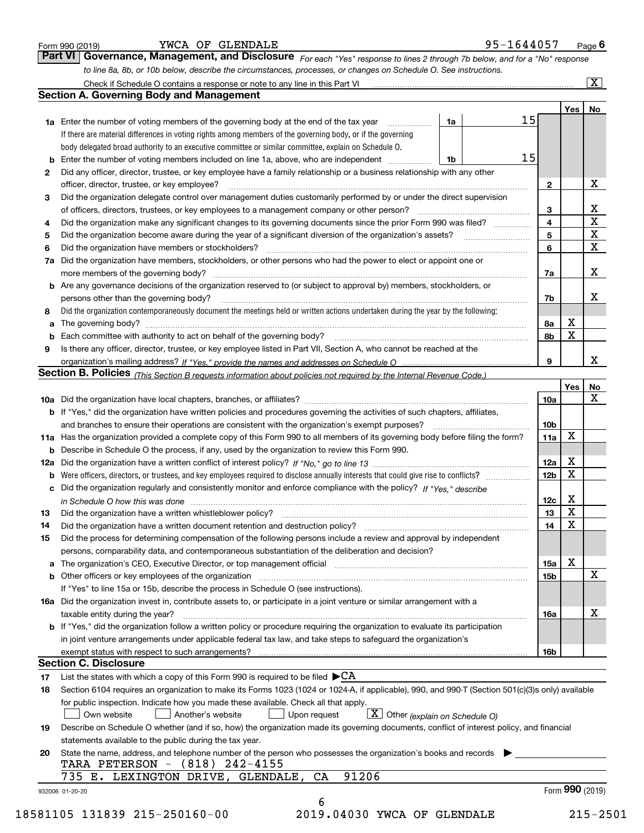|    | <b>Section A. Governing Body and Management</b>                                                                                                                                 |                 |                 | $\overline{\mathbf{x}}$                             |
|----|---------------------------------------------------------------------------------------------------------------------------------------------------------------------------------|-----------------|-----------------|-----------------------------------------------------|
|    |                                                                                                                                                                                 |                 |                 |                                                     |
|    | 15<br>1a                                                                                                                                                                        |                 | Yes             | No.                                                 |
|    | 1a Enter the number of voting members of the governing body at the end of the tax year                                                                                          |                 |                 |                                                     |
|    | If there are material differences in voting rights among members of the governing body, or if the governing                                                                     |                 |                 |                                                     |
|    | body delegated broad authority to an executive committee or similar committee, explain on Schedule O.<br>15                                                                     |                 |                 |                                                     |
|    | <b>b</b> Enter the number of voting members included on line 1a, above, who are independent <i></i><br>1b                                                                       |                 |                 |                                                     |
| 2  | Did any officer, director, trustee, or key employee have a family relationship or a business relationship with any other                                                        |                 |                 |                                                     |
|    | officer, director, trustee, or key employee?                                                                                                                                    | $\mathbf{2}$    |                 | Х                                                   |
| з  | Did the organization delegate control over management duties customarily performed by or under the direct supervision                                                           |                 |                 |                                                     |
|    | of officers, directors, trustees, or key employees to a management company or other person?                                                                                     | 3               |                 | $\underline{\mathbf{X}}$<br>$\overline{\mathbf{x}}$ |
| 4  | Did the organization make any significant changes to its governing documents since the prior Form 990 was filed?                                                                | 4               |                 | $\overline{\mathbf{x}}$                             |
| 5  |                                                                                                                                                                                 | 5               |                 | $\overline{\mathbf{x}}$                             |
| 6  | Did the organization have members or stockholders?                                                                                                                              | 6               |                 |                                                     |
| 7a | Did the organization have members, stockholders, or other persons who had the power to elect or appoint one or                                                                  |                 |                 |                                                     |
|    | more members of the governing body?                                                                                                                                             | 7a              |                 | x                                                   |
|    | b Are any governance decisions of the organization reserved to (or subject to approval by) members, stockholders, or                                                            |                 |                 |                                                     |
|    | persons other than the governing body?                                                                                                                                          | 7b              |                 | х                                                   |
| 8  | Did the organization contemporaneously document the meetings held or written actions undertaken during the year by the following:                                               |                 |                 |                                                     |
| а  |                                                                                                                                                                                 | 8а              | х               |                                                     |
|    | Each committee with authority to act on behalf of the governing body?                                                                                                           | 8b              | X               |                                                     |
| 9  | Is there any officer, director, trustee, or key employee listed in Part VII, Section A, who cannot be reached at the                                                            |                 |                 |                                                     |
|    |                                                                                                                                                                                 | 9               |                 | x                                                   |
|    | Section B. Policies (This Section B requests information about policies not required by the Internal Revenue Code.)                                                             |                 |                 |                                                     |
|    |                                                                                                                                                                                 |                 | Yes             | No                                                  |
|    |                                                                                                                                                                                 | 10a             |                 | X                                                   |
|    | <b>b</b> If "Yes," did the organization have written policies and procedures governing the activities of such chapters, affiliates,                                             |                 |                 |                                                     |
|    |                                                                                                                                                                                 | 10b             |                 |                                                     |
|    | 11a Has the organization provided a complete copy of this Form 990 to all members of its governing body before filing the form?                                                 | 11a             | x               |                                                     |
|    | <b>b</b> Describe in Schedule O the process, if any, used by the organization to review this Form 990.                                                                          |                 |                 |                                                     |
|    |                                                                                                                                                                                 | 12a             | x               |                                                     |
|    | <b>b</b> Were officers, directors, or trustees, and key employees required to disclose annually interests that could give rise to conflicts?                                    | 12 <sub>b</sub> | X               |                                                     |
|    | c Did the organization regularly and consistently monitor and enforce compliance with the policy? If "Yes." describe                                                            |                 |                 |                                                     |
|    | in Schedule O how this was done manufactured and continuum control of the state of the state of the state of t                                                                  | 12c             | Х               |                                                     |
| 13 |                                                                                                                                                                                 | 13              | X               |                                                     |
| 14 | Did the organization have a written document retention and destruction policy?                                                                                                  | 14              | $\mathbf x$     |                                                     |
| 15 | Did the process for determining compensation of the following persons include a review and approval by independent                                                              |                 |                 |                                                     |
|    | persons, comparability data, and contemporaneous substantiation of the deliberation and decision?                                                                               |                 |                 |                                                     |
|    | a The organization's CEO, Executive Director, or top management official manufactured content content of the organization's CEO, Executive Director, or top management official | 15a             | x               |                                                     |
|    |                                                                                                                                                                                 | 15b             |                 | $\mathbf{X}$                                        |
|    | If "Yes" to line 15a or 15b, describe the process in Schedule O (see instructions).                                                                                             |                 |                 |                                                     |
|    | 16a Did the organization invest in, contribute assets to, or participate in a joint venture or similar arrangement with a                                                       |                 |                 |                                                     |
|    | taxable entity during the year?                                                                                                                                                 | 16a             |                 | х                                                   |
|    | b If "Yes," did the organization follow a written policy or procedure requiring the organization to evaluate its participation                                                  |                 |                 |                                                     |
|    | in joint venture arrangements under applicable federal tax law, and take steps to safeguard the organization's                                                                  |                 |                 |                                                     |
|    |                                                                                                                                                                                 | 16b             |                 |                                                     |
|    | <b>Section C. Disclosure</b>                                                                                                                                                    |                 |                 |                                                     |
| 17 | List the states with which a copy of this Form 990 is required to be filed $\blacktriangleright$ CA                                                                             |                 |                 |                                                     |
| 18 | Section 6104 requires an organization to make its Forms 1023 (1024 or 1024-A, if applicable), 990, and 990-T (Section 501(c)(3)s only) available                                |                 |                 |                                                     |
|    | for public inspection. Indicate how you made these available. Check all that apply.                                                                                             |                 |                 |                                                     |
|    | $\boxed{\mathbf{X}}$ Other (explain on Schedule O)<br>Upon request<br>Own website<br>Another's website                                                                          |                 |                 |                                                     |
| 19 | Describe on Schedule O whether (and if so, how) the organization made its governing documents, conflict of interest policy, and financial                                       |                 |                 |                                                     |
|    | statements available to the public during the tax year.                                                                                                                         |                 |                 |                                                     |
| 20 | State the name, address, and telephone number of the person who possesses the organization's books and records                                                                  |                 |                 |                                                     |
|    | TARA PETERSON - (818) 242-4155                                                                                                                                                  |                 |                 |                                                     |
|    | 91206<br>735 E. LEXINGTON DRIVE, GLENDALE,<br>CA                                                                                                                                |                 |                 |                                                     |
|    |                                                                                                                                                                                 |                 | Form 990 (2019) |                                                     |

Form 990 (2019) **Page 6**<br>**Part VI** | Governance, Management, and Disclosure *For each "Yes" response to lines 2 through 7b below, and for a "No" response*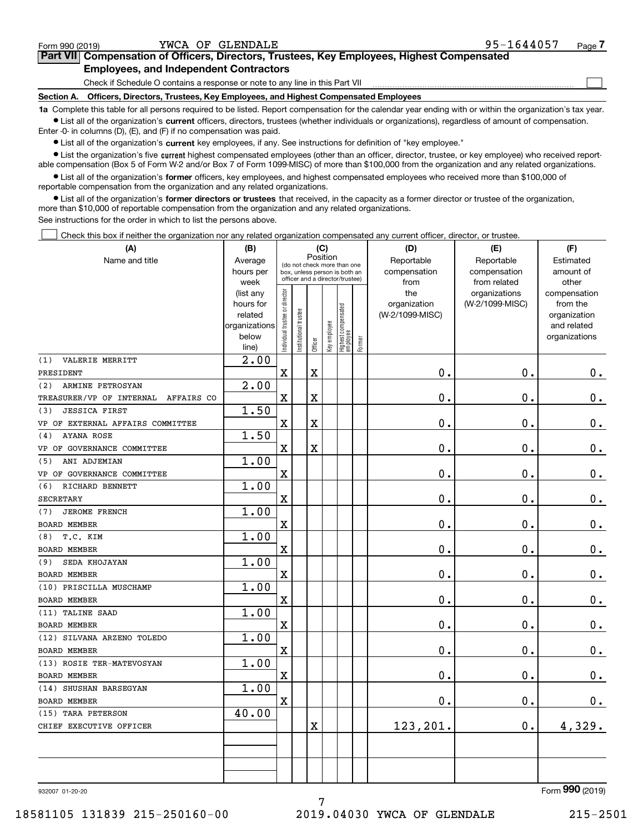| Form 990 (2019) |  |  |
|-----------------|--|--|
|                 |  |  |

 $\mathcal{L}^{\text{max}}$ 

## **7Part VII Compensation of Officers, Directors, Trustees, Key Employees, Highest Compensated Employees, and Independent Contractors**

Check if Schedule O contains a response or note to any line in this Part VII

**Section A. Officers, Directors, Trustees, Key Employees, and Highest Compensated Employees**

**1a**  Complete this table for all persons required to be listed. Report compensation for the calendar year ending with or within the organization's tax year. **•** List all of the organization's current officers, directors, trustees (whether individuals or organizations), regardless of amount of compensation.

Enter -0- in columns (D), (E), and (F) if no compensation was paid.

 $\bullet$  List all of the organization's  $\,$ current key employees, if any. See instructions for definition of "key employee."

**•** List the organization's five current highest compensated employees (other than an officer, director, trustee, or key employee) who received reportable compensation (Box 5 of Form W-2 and/or Box 7 of Form 1099-MISC) of more than \$100,000 from the organization and any related organizations.

**•** List all of the organization's former officers, key employees, and highest compensated employees who received more than \$100,000 of reportable compensation from the organization and any related organizations.

**former directors or trustees**  ¥ List all of the organization's that received, in the capacity as a former director or trustee of the organization, more than \$10,000 of reportable compensation from the organization and any related organizations.

See instructions for the order in which to list the persons above.

Check this box if neither the organization nor any related organization compensated any current officer, director, or trustee.  $\mathcal{L}^{\text{max}}$ 

| (A)                                    | (B)                                                | (C)                           |                      |                         |              |                                                                  |        | (D)                             | (E)             | (F)                      |
|----------------------------------------|----------------------------------------------------|-------------------------------|----------------------|-------------------------|--------------|------------------------------------------------------------------|--------|---------------------------------|-----------------|--------------------------|
| Name and title                         | Position<br>Average<br>(do not check more than one |                               |                      |                         |              |                                                                  |        | Reportable                      | Reportable      | Estimated                |
|                                        | hours per                                          |                               |                      |                         |              | box, unless person is both an<br>officer and a director/trustee) |        | compensation                    | compensation    | amount of                |
|                                        | week                                               |                               |                      |                         |              |                                                                  |        | from                            | from related    | other                    |
|                                        | (list any<br>hours for                             |                               |                      |                         |              |                                                                  |        | the                             | organizations   | compensation<br>from the |
|                                        | related                                            |                               |                      |                         |              |                                                                  |        | organization<br>(W-2/1099-MISC) | (W-2/1099-MISC) | organization             |
|                                        | organizations                                      | ndividual trustee or director | nstitutional trustee |                         |              |                                                                  |        |                                 |                 | and related              |
|                                        | below                                              |                               |                      |                         | Key employee |                                                                  |        |                                 |                 | organizations            |
|                                        | line)                                              |                               |                      | Officer                 |              | Highest compensated<br> employee                                 | Former |                                 |                 |                          |
| VALERIE MERRITT<br>(1)                 | $\overline{2.00}$                                  |                               |                      |                         |              |                                                                  |        |                                 |                 |                          |
| PRESIDENT                              |                                                    | $\mathbf x$                   |                      | $\overline{\text{X}}$   |              |                                                                  |        | 0.                              | $\mathbf 0$ .   | $\mathbf 0$ .            |
| ARMINE PETROSYAN<br>(2)                | 2.00                                               |                               |                      |                         |              |                                                                  |        |                                 |                 |                          |
| TREASURER/VP OF INTERNAL<br>AFFAIRS CO |                                                    | $\mathbf X$                   |                      | $\overline{\text{X}}$   |              |                                                                  |        | 0.                              | $\mathbf 0$ .   | $0\,.$                   |
| <b>JESSICA FIRST</b><br>(3)            | 1.50                                               |                               |                      |                         |              |                                                                  |        |                                 |                 |                          |
| VP OF EXTERNAL AFFAIRS COMMITTEE       |                                                    | $\mathbf X$                   |                      | $\overline{\textbf{X}}$ |              |                                                                  |        | $\mathbf 0$ .                   | $\mathbf 0$ .   | $\mathbf 0$ .            |
| AYANA ROSE<br>(4)                      | 1.50                                               |                               |                      |                         |              |                                                                  |        |                                 |                 |                          |
| VP OF GOVERNANCE COMMITTEE             |                                                    | X                             |                      | $\overline{\textbf{X}}$ |              |                                                                  |        | 0.                              | $\mathbf 0$ .   | $0_{.}$                  |
| ANI ADJEMIAN<br>(5)                    | 1.00                                               |                               |                      |                         |              |                                                                  |        |                                 |                 |                          |
| VP OF GOVERNANCE COMMITTEE             |                                                    | $\rm X$                       |                      |                         |              |                                                                  |        | 0.                              | $\mathbf 0$ .   | $0_{.}$                  |
| RICHARD BENNETT<br>(6)                 | 1.00                                               |                               |                      |                         |              |                                                                  |        |                                 |                 |                          |
| <b>SECRETARY</b>                       |                                                    | X                             |                      |                         |              |                                                                  |        | $\mathbf 0$ .                   | $\mathbf 0$ .   | $\mathbf 0$ .            |
| <b>JEROME FRENCH</b><br>(7)            | 1.00                                               |                               |                      |                         |              |                                                                  |        |                                 |                 |                          |
| <b>BOARD MEMBER</b>                    |                                                    | $\mathbf X$                   |                      |                         |              |                                                                  |        | $\mathbf 0$ .                   | $\mathbf 0$ .   | 0.                       |
| T.C. KIM<br>(8)                        | 1.00                                               |                               |                      |                         |              |                                                                  |        |                                 |                 |                          |
| <b>BOARD MEMBER</b>                    |                                                    | X                             |                      |                         |              |                                                                  |        | $\mathbf 0$ .                   | $\mathbf 0$ .   | $\mathbf 0$ .            |
| SEDA KHOJAYAN<br>(9)                   | 1.00                                               |                               |                      |                         |              |                                                                  |        |                                 |                 |                          |
| <b>BOARD MEMBER</b>                    |                                                    | $\mathbf X$                   |                      |                         |              |                                                                  |        | 0.                              | $\mathbf 0$ .   | $0_{.}$                  |
| (10) PRISCILLA MUSCHAMP                | 1.00                                               |                               |                      |                         |              |                                                                  |        |                                 |                 |                          |
| <b>BOARD MEMBER</b>                    |                                                    | X                             |                      |                         |              |                                                                  |        | 0.                              | $\mathbf 0$ .   | $\mathbf 0$ .            |
| (11) TALINE SAAD                       | 1.00                                               |                               |                      |                         |              |                                                                  |        |                                 |                 |                          |
| <b>BOARD MEMBER</b>                    |                                                    | $\mathbf X$                   |                      |                         |              |                                                                  |        | 0.                              | $\mathbf 0$ .   | $0$ .                    |
| (12) SILVANA ARZENO TOLEDO             | 1.00                                               |                               |                      |                         |              |                                                                  |        |                                 |                 |                          |
| <b>BOARD MEMBER</b>                    |                                                    | X                             |                      |                         |              |                                                                  |        | 0.                              | $\mathbf 0$ .   | $\mathbf 0$ .            |
| (13) ROSIE TER-MATEVOSYAN              | 1.00                                               |                               |                      |                         |              |                                                                  |        |                                 |                 |                          |
| <b>BOARD MEMBER</b>                    |                                                    | $\mathbf X$                   |                      |                         |              |                                                                  |        | 0.                              | $\mathbf 0$ .   | $\mathbf 0$ .            |
| (14) SHUSHAN BARSEGYAN                 | 1.00                                               |                               |                      |                         |              |                                                                  |        |                                 |                 |                          |
| <b>BOARD MEMBER</b>                    |                                                    | X                             |                      |                         |              |                                                                  |        | 0.                              | 0.              | $\mathbf 0$ .            |
| (15) TARA PETERSON                     | 40.00                                              |                               |                      |                         |              |                                                                  |        |                                 |                 |                          |
| CHIEF EXECUTIVE OFFICER                |                                                    |                               |                      | X                       |              |                                                                  |        | 123,201.                        | 0.              | 4,329.                   |
|                                        |                                                    |                               |                      |                         |              |                                                                  |        |                                 |                 |                          |
|                                        |                                                    |                               |                      |                         |              |                                                                  |        |                                 |                 |                          |
|                                        |                                                    |                               |                      |                         |              |                                                                  |        |                                 |                 |                          |
|                                        |                                                    |                               |                      |                         |              |                                                                  |        |                                 |                 |                          |

7

932007 01-20-20

Form (2019) **990**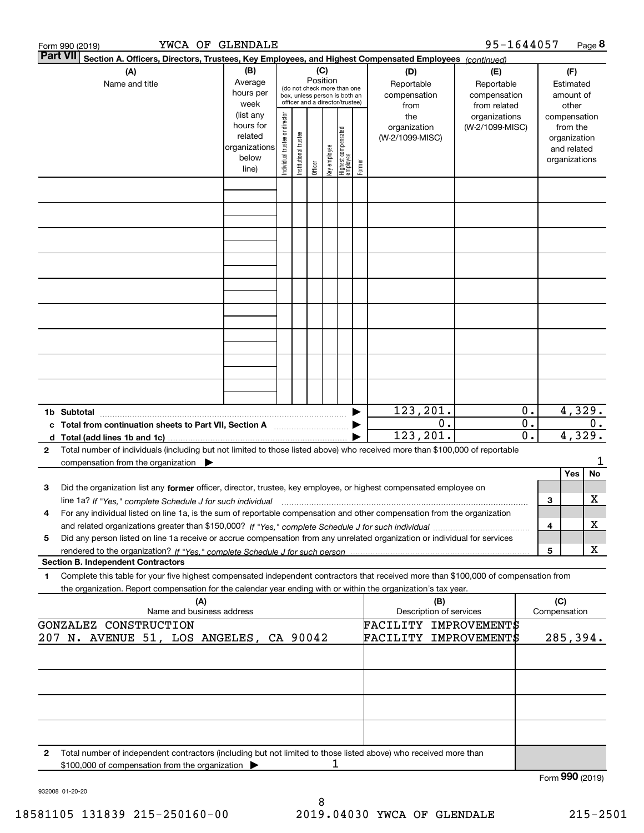|    | YWCA OF GLENDALE<br>Form 990 (2019)                                                                                                                                                                                                                                      |                                                                                                                                                                                                        |                                |                       |         |              |                                  |        |                                                  | 95-1644057                                        |                   |                                                          | Page 8                 |
|----|--------------------------------------------------------------------------------------------------------------------------------------------------------------------------------------------------------------------------------------------------------------------------|--------------------------------------------------------------------------------------------------------------------------------------------------------------------------------------------------------|--------------------------------|-----------------------|---------|--------------|----------------------------------|--------|--------------------------------------------------|---------------------------------------------------|-------------------|----------------------------------------------------------|------------------------|
|    | <b>Part VII</b><br>Section A. Officers, Directors, Trustees, Key Employees, and Highest Compensated Employees (continued)                                                                                                                                                |                                                                                                                                                                                                        |                                |                       |         |              |                                  |        |                                                  |                                                   |                   |                                                          |                        |
|    | (A)<br>Name and title                                                                                                                                                                                                                                                    | (B)<br>(C)<br>(D)<br>Position<br>Average<br>Reportable<br>(do not check more than one<br>hours per<br>compensation<br>box, unless person is both an<br>officer and a director/trustee)<br>week<br>from |                                |                       |         |              |                                  |        |                                                  | (E)<br>Reportable<br>compensation<br>from related |                   | (F)<br>Estimated<br>amount of<br>other                   |                        |
|    |                                                                                                                                                                                                                                                                          | (list any<br>hours for<br>related<br>organizations<br>below<br>line)                                                                                                                                   | Individual trustee or director | Institutional trustee | Officer | key employee | Highest compensated<br> employee | Former | the<br>organization<br>(W-2/1099-MISC)           | organizations<br>(W-2/1099-MISC)                  |                   | from the<br>organization<br>and related<br>organizations | compensation           |
|    |                                                                                                                                                                                                                                                                          |                                                                                                                                                                                                        |                                |                       |         |              |                                  |        |                                                  |                                                   |                   |                                                          |                        |
|    |                                                                                                                                                                                                                                                                          |                                                                                                                                                                                                        |                                |                       |         |              |                                  |        |                                                  |                                                   |                   |                                                          |                        |
|    |                                                                                                                                                                                                                                                                          |                                                                                                                                                                                                        |                                |                       |         |              |                                  |        |                                                  |                                                   |                   |                                                          |                        |
|    |                                                                                                                                                                                                                                                                          |                                                                                                                                                                                                        |                                |                       |         |              |                                  |        |                                                  |                                                   |                   |                                                          |                        |
|    |                                                                                                                                                                                                                                                                          |                                                                                                                                                                                                        |                                |                       |         |              |                                  |        |                                                  |                                                   |                   |                                                          |                        |
|    | 1b Subtotal<br>c Total from continuation sheets to Part VII, Section A manufactured by                                                                                                                                                                                   |                                                                                                                                                                                                        |                                |                       |         |              |                                  |        | 123,201.<br>0.<br>123, 201.                      |                                                   | 0.<br>$0$ .<br>0. |                                                          | 4,329.<br>0.<br>4,329. |
| 2  | Total number of individuals (including but not limited to those listed above) who received more than \$100,000 of reportable<br>compensation from the organization                                                                                                       |                                                                                                                                                                                                        |                                |                       |         |              |                                  |        |                                                  |                                                   |                   |                                                          | 1                      |
|    |                                                                                                                                                                                                                                                                          |                                                                                                                                                                                                        |                                |                       |         |              |                                  |        |                                                  |                                                   |                   | Yes                                                      | No                     |
| 3  | Did the organization list any former officer, director, trustee, key employee, or highest compensated employee on<br>line 1a? If "Yes," complete Schedule J for such individual manumanamental communities and the 1a? If "Yes," complete Schedule J for such individual |                                                                                                                                                                                                        |                                |                       |         |              |                                  |        |                                                  |                                                   |                   | 3                                                        | x                      |
|    | For any individual listed on line 1a, is the sum of reportable compensation and other compensation from the organization                                                                                                                                                 |                                                                                                                                                                                                        |                                |                       |         |              |                                  |        |                                                  |                                                   |                   | 4                                                        | х                      |
| 5  | Did any person listed on line 1a receive or accrue compensation from any unrelated organization or individual for services                                                                                                                                               |                                                                                                                                                                                                        |                                |                       |         |              |                                  |        |                                                  |                                                   |                   | 5                                                        | х                      |
|    | <b>Section B. Independent Contractors</b>                                                                                                                                                                                                                                |                                                                                                                                                                                                        |                                |                       |         |              |                                  |        |                                                  |                                                   |                   |                                                          |                        |
| 1. | Complete this table for your five highest compensated independent contractors that received more than \$100,000 of compensation from<br>the organization. Report compensation for the calendar year ending with or within the organization's tax year.                   |                                                                                                                                                                                                        |                                |                       |         |              |                                  |        |                                                  |                                                   |                   |                                                          |                        |
|    | (A)<br>Name and business address                                                                                                                                                                                                                                         |                                                                                                                                                                                                        |                                |                       |         |              |                                  |        | (B)<br>Description of services                   |                                                   |                   | (C)<br>Compensation                                      |                        |
|    | GONZALEZ CONSTRUCTION<br>207 N. AVENUE 51, LOS ANGELES, CA 90042                                                                                                                                                                                                         |                                                                                                                                                                                                        |                                |                       |         |              |                                  |        | FACILITY IMPROVEMENT\$<br>FACILITY IMPROVEMENT\$ |                                                   |                   |                                                          | 285, 394.              |
|    |                                                                                                                                                                                                                                                                          |                                                                                                                                                                                                        |                                |                       |         |              |                                  |        |                                                  |                                                   |                   |                                                          |                        |
| 2  | Total number of independent contractors (including but not limited to those listed above) who received more than<br>\$100,000 of compensation from the organization                                                                                                      |                                                                                                                                                                                                        |                                |                       |         | 1            |                                  |        |                                                  |                                                   |                   |                                                          |                        |
|    |                                                                                                                                                                                                                                                                          |                                                                                                                                                                                                        |                                |                       |         |              |                                  |        |                                                  |                                                   |                   |                                                          | Form 990 (2019)        |

932008 01-20-20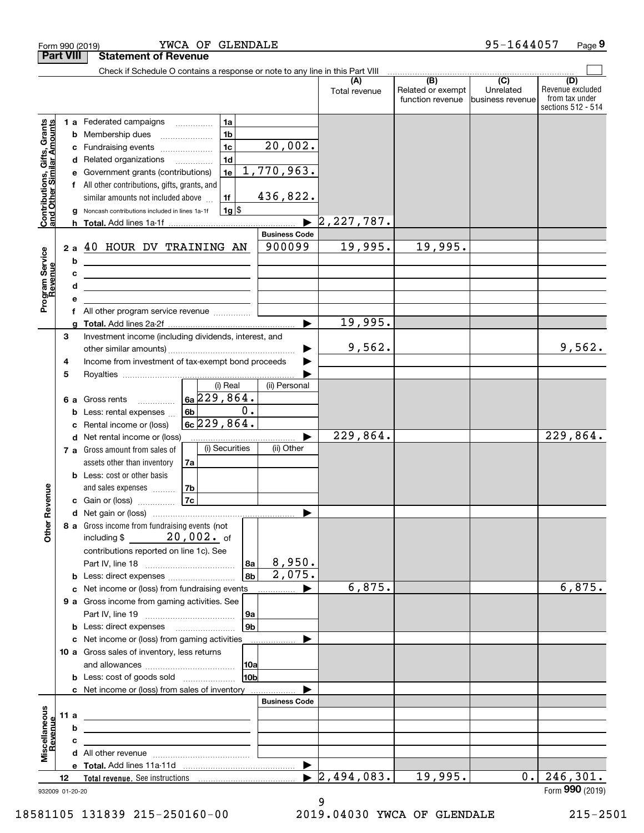|                                                           | <b>Part VIII</b>            | <b>Statement of Revenue</b>                                                                                                                                                                                                                                                                                                                             |                                                           |                      |                                                           |                                                 |                                                                 |
|-----------------------------------------------------------|-----------------------------|---------------------------------------------------------------------------------------------------------------------------------------------------------------------------------------------------------------------------------------------------------------------------------------------------------------------------------------------------------|-----------------------------------------------------------|----------------------|-----------------------------------------------------------|-------------------------------------------------|-----------------------------------------------------------------|
|                                                           |                             | Check if Schedule O contains a response or note to any line in this Part VIII                                                                                                                                                                                                                                                                           |                                                           |                      |                                                           |                                                 |                                                                 |
|                                                           |                             |                                                                                                                                                                                                                                                                                                                                                         |                                                           | (A)<br>Total revenue | $\overline{(B)}$<br>Related or exempt<br>function revenue | $\overline{C}$<br>Unrelated<br>business revenue | (D)<br>Revenue excluded<br>from tax under<br>sections 512 - 514 |
| Contributions, Gifts, Grants<br>and Other Similar Amounts | b<br>с<br>d<br>f<br>h.      | 1a<br>1 a Federated campaigns<br>1 <sub>b</sub><br>Membership dues<br>1 <sub>c</sub><br>Fundraising events<br>1 <sub>d</sub><br>Related organizations<br>1e<br>Government grants (contributions)<br>All other contributions, gifts, grants, and<br>1f<br>similar amounts not included above<br>$1g$ \$<br>Noncash contributions included in lines 1a-1f | 20,002.<br>1,770,963.<br>436,822.<br><b>Business Code</b> | 2,227,787.           |                                                           |                                                 |                                                                 |
| Program Service<br>Revenue                                | 2a<br>b<br>c<br>d<br>е<br>f | 40 HOUR DV TRAINING AN<br>the control of the control of the control of the control of the control of<br>the contract of the contract of the contract of the contract of the contract of<br>the contract of the contract of the contract of the contract of the contract of<br>All other program service revenue                                         | 900099                                                    | 19,995.              | 19,995.                                                   |                                                 |                                                                 |
|                                                           |                             |                                                                                                                                                                                                                                                                                                                                                         | $\blacktriangleright$                                     | 19,995.              |                                                           |                                                 |                                                                 |
|                                                           | 3<br>4                      | Investment income (including dividends, interest, and<br>Income from investment of tax-exempt bond proceeds                                                                                                                                                                                                                                             |                                                           | 9,562.               |                                                           |                                                 | 9,562.                                                          |
|                                                           | 5<br>6а<br>b<br>c           | (i) Real<br>$6a$ 229,864.<br>Gross rents<br>0.<br>6b<br>Less: rental expenses<br>$6c$ 229, 864.<br>Rental income or (loss)                                                                                                                                                                                                                              | (ii) Personal                                             |                      |                                                           |                                                 |                                                                 |
|                                                           | d                           | Net rental income or (loss)<br>(i) Securities<br>7 a Gross amount from sales of<br>assets other than inventory<br>7a<br><b>b</b> Less: cost or other basis<br>7b<br>and sales expenses                                                                                                                                                                  | (ii) Other                                                | 229,864.             |                                                           |                                                 | 229,864.                                                        |
| Revenue                                                   |                             | <b>7c</b><br>c Gain or (loss)                                                                                                                                                                                                                                                                                                                           |                                                           |                      |                                                           |                                                 |                                                                 |
| <b>Other</b>                                              |                             | 8 a Gross income from fundraising events (not<br>$20,002.$ of<br>including $$$<br>contributions reported on line 1c). See<br>  8a<br>8b<br><b>b</b> Less: direct expenses                                                                                                                                                                               | ▶<br>8,950.<br>2,075.                                     |                      |                                                           |                                                 |                                                                 |
|                                                           |                             | c Net income or (loss) from fundraising events<br>9 a Gross income from gaming activities. See<br>  9a                                                                                                                                                                                                                                                  |                                                           | 6,875.               |                                                           |                                                 | 6,875.                                                          |
|                                                           |                             | 9 <sub>b</sub><br><b>b</b> Less: direct expenses <b>manually</b>                                                                                                                                                                                                                                                                                        |                                                           |                      |                                                           |                                                 |                                                                 |
|                                                           |                             | c Net income or (loss) from gaming activities<br>10 a Gross sales of inventory, less returns<br> 10a<br>10b<br><b>b</b> Less: cost of goods sold                                                                                                                                                                                                        | .                                                         |                      |                                                           |                                                 |                                                                 |
|                                                           |                             | c Net income or (loss) from sales of inventory                                                                                                                                                                                                                                                                                                          | <b>Business Code</b>                                      |                      |                                                           |                                                 |                                                                 |
| Miscellaneous<br>Revenue                                  | 11 a<br>b<br>c              | <u> 1989 - Johann Barbara, martin amerikan basar dan berasal dalam basar dalam basar dalam basar dalam basar dala</u>                                                                                                                                                                                                                                   |                                                           |                      |                                                           |                                                 |                                                                 |
|                                                           |                             | the control of the control of the control of the control of the control of                                                                                                                                                                                                                                                                              |                                                           |                      |                                                           |                                                 |                                                                 |
|                                                           |                             |                                                                                                                                                                                                                                                                                                                                                         | ▶                                                         |                      |                                                           |                                                 |                                                                 |
|                                                           | 12                          |                                                                                                                                                                                                                                                                                                                                                         |                                                           | 2,494,083.           | 19,995.                                                   | 0.1                                             | 246,301.                                                        |
|                                                           | 932009 01-20-20             |                                                                                                                                                                                                                                                                                                                                                         |                                                           |                      |                                                           |                                                 | Form 990 (2019)                                                 |

932009 01-20-20

9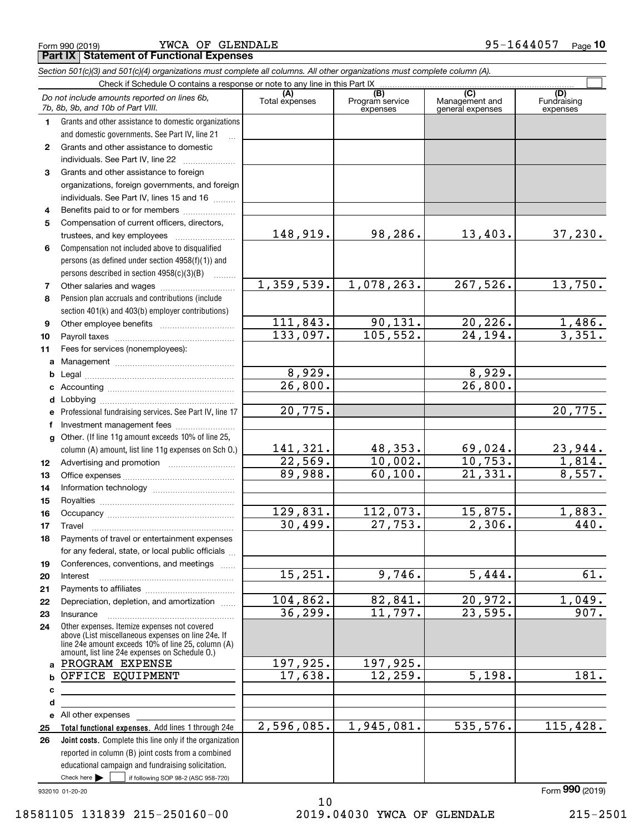Form 990 (2019) Page YWCA OF GLENDALE 95-1644057

**Part IX Statement of Functional Expenses**

|              | Section 501(c)(3) and 501(c)(4) organizations must complete all columns. All other organizations must complete column (A).                                                                                 |                       |                                    |                                           |                                |
|--------------|------------------------------------------------------------------------------------------------------------------------------------------------------------------------------------------------------------|-----------------------|------------------------------------|-------------------------------------------|--------------------------------|
|              | Check if Schedule O contains a response or note to any line in this Part IX                                                                                                                                |                       |                                    |                                           |                                |
|              | Do not include amounts reported on lines 6b,<br>7b, 8b, 9b, and 10b of Part VIII.                                                                                                                          | (A)<br>Total expenses | (B)<br>Program service<br>expenses | (C)<br>Management and<br>general expenses | (D)<br>Fundraising<br>expenses |
| 1            | Grants and other assistance to domestic organizations                                                                                                                                                      |                       |                                    |                                           |                                |
|              | and domestic governments. See Part IV, line 21                                                                                                                                                             |                       |                                    |                                           |                                |
| $\mathbf{2}$ | Grants and other assistance to domestic                                                                                                                                                                    |                       |                                    |                                           |                                |
|              | individuals. See Part IV, line 22                                                                                                                                                                          |                       |                                    |                                           |                                |
| 3            | Grants and other assistance to foreign                                                                                                                                                                     |                       |                                    |                                           |                                |
|              | organizations, foreign governments, and foreign                                                                                                                                                            |                       |                                    |                                           |                                |
|              | individuals. See Part IV, lines 15 and 16                                                                                                                                                                  |                       |                                    |                                           |                                |
| 4            | Benefits paid to or for members                                                                                                                                                                            |                       |                                    |                                           |                                |
| 5            | Compensation of current officers, directors,                                                                                                                                                               |                       |                                    |                                           |                                |
|              |                                                                                                                                                                                                            | 148,919.              | 98,286.                            | 13,403.                                   | 37,230.                        |
| 6            | Compensation not included above to disqualified                                                                                                                                                            |                       |                                    |                                           |                                |
|              | persons (as defined under section 4958(f)(1)) and                                                                                                                                                          |                       |                                    |                                           |                                |
|              | persons described in section 4958(c)(3)(B)                                                                                                                                                                 |                       |                                    |                                           |                                |
| 7            |                                                                                                                                                                                                            | 1,359,539.            | 1,078,263.                         | 267,526.                                  | 13,750.                        |
| 8            | Pension plan accruals and contributions (include                                                                                                                                                           |                       |                                    |                                           |                                |
|              | section 401(k) and 403(b) employer contributions)                                                                                                                                                          |                       |                                    |                                           |                                |
| 9            |                                                                                                                                                                                                            | 111,843.              | 90, 131.                           | 20, 226.                                  | $\frac{1,486}{3,351}$ .        |
| 10           |                                                                                                                                                                                                            | 133,097.              | 105, 552.                          | $\overline{24,194}$ .                     |                                |
| 11           | Fees for services (nonemployees):                                                                                                                                                                          |                       |                                    |                                           |                                |
| a            |                                                                                                                                                                                                            |                       |                                    |                                           |                                |
| b            |                                                                                                                                                                                                            | 8,929.<br>26,800.     |                                    | 8,929.<br>26,800.                         |                                |
| c            |                                                                                                                                                                                                            |                       |                                    |                                           |                                |
| d            |                                                                                                                                                                                                            | 20,775.               |                                    |                                           | 20,775.                        |
| е            | Professional fundraising services. See Part IV, line 17                                                                                                                                                    |                       |                                    |                                           |                                |
| f            | Investment management fees                                                                                                                                                                                 |                       |                                    |                                           |                                |
| g            | Other. (If line 11g amount exceeds 10% of line 25,<br>column (A) amount, list line 11g expenses on Sch O.)                                                                                                 | 141,321.              | 48,353.                            | 69,024.                                   | <u>23,944.</u>                 |
| 12           |                                                                                                                                                                                                            | 22, 569.              | 10,002.                            | 10,753.                                   | 1,814.                         |
| 13           |                                                                                                                                                                                                            | 89,988.               | 60,100.                            | $\overline{21,331}$ .                     | 8,557.                         |
| 14           |                                                                                                                                                                                                            |                       |                                    |                                           |                                |
| 15           |                                                                                                                                                                                                            |                       |                                    |                                           |                                |
| 16           |                                                                                                                                                                                                            | 129,831.              | 112,073.                           | 15,875.                                   | 1,883.                         |
| 17           |                                                                                                                                                                                                            | 30,499.               | 27,753.                            | 2,306.                                    | $\overline{440}$ .             |
| 18           | Payments of travel or entertainment expenses                                                                                                                                                               |                       |                                    |                                           |                                |
|              | for any federal, state, or local public officials                                                                                                                                                          |                       |                                    |                                           |                                |
| 19           | Conferences, conventions, and meetings                                                                                                                                                                     |                       |                                    |                                           |                                |
| 20           | Interest                                                                                                                                                                                                   | 15,251.               | 9,746.                             | 5,444.                                    | 61.                            |
| 21           |                                                                                                                                                                                                            |                       |                                    |                                           |                                |
| 22           | Depreciation, depletion, and amortization                                                                                                                                                                  | 104, 862.             | 82,841.                            | 20,972.                                   | 1,049.                         |
| 23           | Insurance                                                                                                                                                                                                  | 36, 299.              | 11,797.                            | 23,595.                                   | 907.                           |
| 24           | Other expenses. Itemize expenses not covered<br>above (List miscellaneous expenses on line 24e. If<br>line 24e amount exceeds 10% of line 25, column (A)<br>amount, list line 24e expenses on Schedule O.) |                       |                                    |                                           |                                |
|              | a PROGRAM EXPENSE                                                                                                                                                                                          | 197,925.              | 197,925.                           |                                           |                                |
| b            | OFFICE EQUIPMENT                                                                                                                                                                                           | 17,638.               | $\overline{12, 259}$ .             | 5,198.                                    | $\overline{181}$ .             |
| c            |                                                                                                                                                                                                            |                       |                                    |                                           |                                |
| d            |                                                                                                                                                                                                            |                       |                                    |                                           |                                |
|              | e All other expenses                                                                                                                                                                                       |                       |                                    |                                           |                                |
| 25           | Total functional expenses. Add lines 1 through 24e                                                                                                                                                         | 2,596,085.            | 1,945,081.                         | 535,576.                                  | 115,428.                       |
| 26           | Joint costs. Complete this line only if the organization                                                                                                                                                   |                       |                                    |                                           |                                |
|              | reported in column (B) joint costs from a combined                                                                                                                                                         |                       |                                    |                                           |                                |
|              | educational campaign and fundraising solicitation.                                                                                                                                                         |                       |                                    |                                           |                                |
|              | Check here $\blacktriangleright$<br>if following SOP 98-2 (ASC 958-720)                                                                                                                                    |                       |                                    |                                           |                                |

932010 01-20-20

10

Form (2019) **990**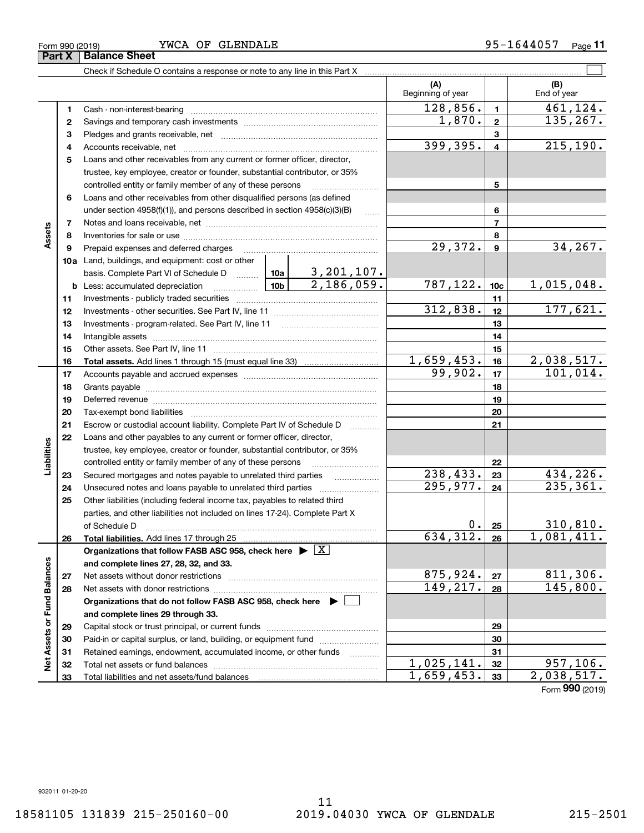|                             | Form 990 (2019) | YWCA OF GLENDALE                                                                                                                                                                                                              |            |                   |                          |                         | 95-1644057<br>$Page$ 11             |  |
|-----------------------------|-----------------|-------------------------------------------------------------------------------------------------------------------------------------------------------------------------------------------------------------------------------|------------|-------------------|--------------------------|-------------------------|-------------------------------------|--|
|                             | Part X          | <b>Balance Sheet</b>                                                                                                                                                                                                          |            |                   |                          |                         |                                     |  |
|                             |                 |                                                                                                                                                                                                                               |            |                   |                          |                         |                                     |  |
|                             |                 |                                                                                                                                                                                                                               |            |                   | (A)<br>Beginning of year |                         | (B)<br>End of year                  |  |
|                             | 1               |                                                                                                                                                                                                                               |            |                   | 128,856.                 | $\mathbf{1}$            | $\overline{461,}$ 124.              |  |
|                             | 2               |                                                                                                                                                                                                                               | 1,870.     | $\mathbf{2}$      | 135,267.                 |                         |                                     |  |
|                             | з               |                                                                                                                                                                                                                               |            | 3                 |                          |                         |                                     |  |
|                             | 4               |                                                                                                                                                                                                                               |            |                   | 399,395.                 | $\overline{\mathbf{4}}$ | 215, 190.                           |  |
|                             | 5               | Loans and other receivables from any current or former officer, director,                                                                                                                                                     |            |                   |                          |                         |                                     |  |
|                             |                 | trustee, key employee, creator or founder, substantial contributor, or 35%                                                                                                                                                    |            |                   |                          |                         |                                     |  |
|                             |                 | controlled entity or family member of any of these persons                                                                                                                                                                    |            |                   |                          | 5                       |                                     |  |
|                             | 6               | Loans and other receivables from other disqualified persons (as defined                                                                                                                                                       |            |                   |                          |                         |                                     |  |
|                             |                 | under section 4958(f)(1)), and persons described in section 4958(c)(3)(B)                                                                                                                                                     |            |                   |                          | 6                       |                                     |  |
|                             | 7               |                                                                                                                                                                                                                               |            | $\ldots$          |                          | $\overline{7}$          |                                     |  |
| Assets                      | 8               |                                                                                                                                                                                                                               |            |                   |                          | 8                       |                                     |  |
|                             | 9               | Prepaid expenses and deferred charges                                                                                                                                                                                         |            |                   | $\overline{29,372}$ .    | 9                       | 34, 267.                            |  |
|                             |                 | <b>10a</b> Land, buildings, and equipment: cost or other                                                                                                                                                                      |            |                   |                          |                         |                                     |  |
|                             |                 |                                                                                                                                                                                                                               |            |                   |                          |                         |                                     |  |
|                             |                 | <b>b</b> Less: accumulated depreciation                                                                                                                                                                                       |            |                   | 787,122.                 | 10 <sub>c</sub>         | 1,015,048.                          |  |
|                             | 11              |                                                                                                                                                                                                                               |            |                   |                          | 11                      |                                     |  |
|                             | 12              |                                                                                                                                                                                                                               |            |                   | 312,838.                 | 12                      | 177,621.                            |  |
|                             | 13              | Investments - program-related. See Part IV, line 11                                                                                                                                                                           |            |                   |                          | 13                      |                                     |  |
|                             | 14              |                                                                                                                                                                                                                               |            |                   |                          | 14                      |                                     |  |
|                             | 15              |                                                                                                                                                                                                                               |            |                   |                          | 15                      |                                     |  |
|                             | 16              |                                                                                                                                                                                                                               | 1,659,453. | 16                | 2,038,517.               |                         |                                     |  |
|                             | 17              |                                                                                                                                                                                                                               |            |                   | 99,902.                  | 17                      | 101,014.                            |  |
|                             | 18              |                                                                                                                                                                                                                               |            |                   |                          | 18                      |                                     |  |
|                             | 19              | Deferred revenue manual contracts and contracts are all the manual contracts and contracts are all the contracts of the contracts of the contracts of the contracts of the contracts of the contracts of the contracts of the |            |                   |                          | 19                      |                                     |  |
|                             | 20              |                                                                                                                                                                                                                               |            |                   |                          | 20                      |                                     |  |
|                             | 21              | Escrow or custodial account liability. Complete Part IV of Schedule D                                                                                                                                                         |            | .                 |                          | 21                      |                                     |  |
|                             | 22              | Loans and other payables to any current or former officer, director,                                                                                                                                                          |            |                   |                          |                         |                                     |  |
| Liabilities                 |                 | trustee, key employee, creator or founder, substantial contributor, or 35%                                                                                                                                                    |            |                   |                          |                         |                                     |  |
|                             |                 | controlled entity or family member of any of these persons                                                                                                                                                                    |            |                   |                          | 22                      |                                     |  |
|                             | 23              | Secured mortgages and notes payable to unrelated third parties                                                                                                                                                                |            | .                 | $\overline{238, 433}$ .  | 23                      | 434,226.                            |  |
|                             | 24              |                                                                                                                                                                                                                               |            |                   | $\overline{295,977}$ .   | 24                      | 235, 361.                           |  |
|                             | 25              | Other liabilities (including federal income tax, payables to related third                                                                                                                                                    |            |                   |                          |                         |                                     |  |
|                             |                 | parties, and other liabilities not included on lines 17-24). Complete Part X                                                                                                                                                  |            |                   |                          |                         |                                     |  |
|                             |                 | of Schedule D                                                                                                                                                                                                                 |            |                   | 0.                       | 25                      | $\frac{310,810.}{1,081,411.}$       |  |
|                             | 26              |                                                                                                                                                                                                                               |            |                   | 634,312.                 | 26                      |                                     |  |
|                             |                 | Organizations that follow FASB ASC 958, check here $\blacktriangleright \boxed{X}$                                                                                                                                            |            |                   |                          |                         |                                     |  |
|                             |                 | and complete lines 27, 28, 32, and 33.                                                                                                                                                                                        |            |                   | 875,924.                 |                         |                                     |  |
|                             | 27              | Net assets without donor restrictions                                                                                                                                                                                         |            |                   | 149, 217.                | 27<br>28                | <u>811,306.</u><br>145,800.         |  |
|                             | 28              | Organizations that do not follow FASB ASC 958, check here $\blacktriangleright$                                                                                                                                               |            |                   |                          |                         |                                     |  |
|                             |                 | and complete lines 29 through 33.                                                                                                                                                                                             |            |                   |                          |                         |                                     |  |
|                             | 29              |                                                                                                                                                                                                                               |            |                   |                          | 29                      |                                     |  |
|                             | 30              | Paid-in or capital surplus, or land, building, or equipment fund                                                                                                                                                              |            |                   |                          | 30                      |                                     |  |
|                             | 31              | Retained earnings, endowment, accumulated income, or other funds                                                                                                                                                              |            | 1.1.1.1.1.1.1.1.1 |                          | 31                      |                                     |  |
| Net Assets or Fund Balances | 32              |                                                                                                                                                                                                                               |            |                   | 1,025,141.               | 32                      | 957, 106.                           |  |
|                             | 33              |                                                                                                                                                                                                                               |            |                   | 1,659,453.               | 33                      | 2,038,517.                          |  |
|                             |                 |                                                                                                                                                                                                                               |            |                   |                          |                         | $T_{\text{c}} = 990 \text{ (2010)}$ |  |

Form (2019) **990**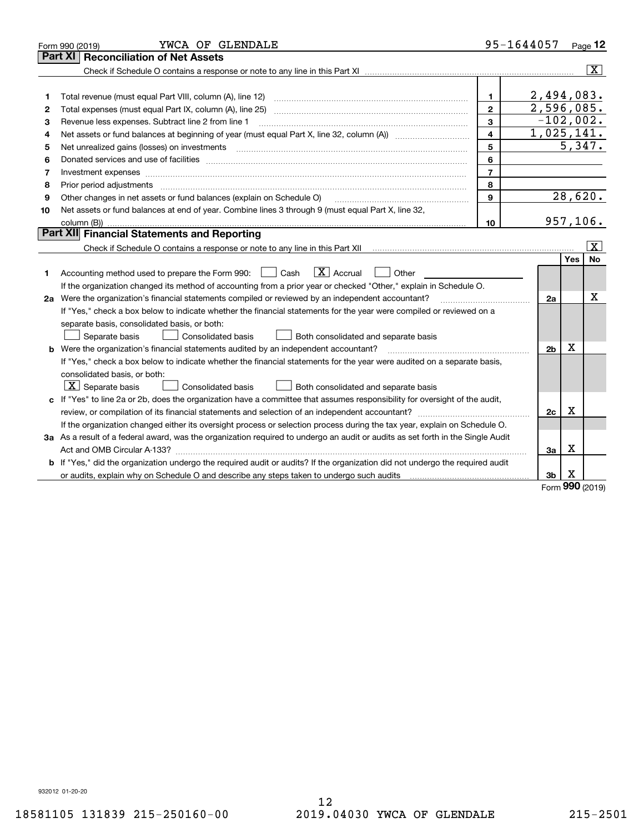|    | YWCA OF GLENDALE<br>Form 990 (2019)                                                                                                                                                                                                                                                                                                                                                                                                                                        |                         | 95-1644057     |          | $Page$ 12               |
|----|----------------------------------------------------------------------------------------------------------------------------------------------------------------------------------------------------------------------------------------------------------------------------------------------------------------------------------------------------------------------------------------------------------------------------------------------------------------------------|-------------------------|----------------|----------|-------------------------|
|    | Part XI<br><b>Reconciliation of Net Assets</b>                                                                                                                                                                                                                                                                                                                                                                                                                             |                         |                |          |                         |
|    |                                                                                                                                                                                                                                                                                                                                                                                                                                                                            |                         |                |          | $ \mathbf{X} $          |
|    |                                                                                                                                                                                                                                                                                                                                                                                                                                                                            |                         |                |          |                         |
| 1  | Total revenue (must equal Part VIII, column (A), line 12)                                                                                                                                                                                                                                                                                                                                                                                                                  | 1.                      | 2,494,083.     |          |                         |
| 2  | Total expenses (must equal Part IX, column (A), line 25)                                                                                                                                                                                                                                                                                                                                                                                                                   | $\mathbf{2}$            | 2,596,085.     |          |                         |
| 3  | Revenue less expenses. Subtract line 2 from line 1                                                                                                                                                                                                                                                                                                                                                                                                                         | 3                       | $-102,002.$    |          |                         |
| 4  |                                                                                                                                                                                                                                                                                                                                                                                                                                                                            | $\overline{\mathbf{4}}$ | 1,025,141.     |          |                         |
| 5  | Net unrealized gains (losses) on investments<br>$\overline{a_1, \ldots, a_n, \ldots, a_n, \ldots, a_n, \ldots, a_n, \ldots, a_n, \ldots, a_n, \ldots, a_n, \ldots, a_n, \ldots, a_n, \ldots, a_n, \ldots, a_n, \ldots, a_n, \ldots, a_n, \ldots, a_n, \ldots, a_n, \ldots, a_n, \ldots, a_n, \ldots, a_n, \ldots, a_n, \ldots, a_n, \ldots, a_n, \ldots, a_n, \ldots, a_n, \ldots, a_n, \ldots, a_n, \ldots, a_n, \ldots, a_n, \ldots, a_n, \ldots, a_n, \ldots, a_n, \ld$ | 5                       |                |          | 5,347.                  |
| 6  |                                                                                                                                                                                                                                                                                                                                                                                                                                                                            | 6                       |                |          |                         |
| 7  | Investment expenses                                                                                                                                                                                                                                                                                                                                                                                                                                                        | $\overline{7}$          |                |          |                         |
| 8  | Prior period adjustments                                                                                                                                                                                                                                                                                                                                                                                                                                                   | 8                       |                |          |                         |
| 9  | Other changes in net assets or fund balances (explain on Schedule O)                                                                                                                                                                                                                                                                                                                                                                                                       | 9                       |                |          | 28,620.                 |
| 10 | Net assets or fund balances at end of year. Combine lines 3 through 9 (must equal Part X, line 32,                                                                                                                                                                                                                                                                                                                                                                         |                         |                |          |                         |
|    | column (B))                                                                                                                                                                                                                                                                                                                                                                                                                                                                | 10                      |                |          | 957, 106.               |
|    | Part XII Financial Statements and Reporting                                                                                                                                                                                                                                                                                                                                                                                                                                |                         |                |          |                         |
|    |                                                                                                                                                                                                                                                                                                                                                                                                                                                                            |                         |                |          | $\overline{\mathbf{X}}$ |
|    |                                                                                                                                                                                                                                                                                                                                                                                                                                                                            |                         |                | Yes      | No                      |
| 1  | $\boxed{\text{X}}$ Accrual<br>Accounting method used to prepare the Form 990: <u>June</u> Cash<br>Other                                                                                                                                                                                                                                                                                                                                                                    |                         |                |          |                         |
|    | If the organization changed its method of accounting from a prior year or checked "Other," explain in Schedule O.                                                                                                                                                                                                                                                                                                                                                          |                         |                |          |                         |
|    | 2a Were the organization's financial statements compiled or reviewed by an independent accountant?                                                                                                                                                                                                                                                                                                                                                                         |                         | 2a             |          | х                       |
|    | If "Yes," check a box below to indicate whether the financial statements for the year were compiled or reviewed on a                                                                                                                                                                                                                                                                                                                                                       |                         |                |          |                         |
|    | separate basis, consolidated basis, or both:                                                                                                                                                                                                                                                                                                                                                                                                                               |                         |                |          |                         |
|    | Separate basis<br>Consolidated basis<br>Both consolidated and separate basis                                                                                                                                                                                                                                                                                                                                                                                               |                         |                |          |                         |
|    | <b>b</b> Were the organization's financial statements audited by an independent accountant?                                                                                                                                                                                                                                                                                                                                                                                |                         | 2 <sub>b</sub> | X        |                         |
|    | If "Yes," check a box below to indicate whether the financial statements for the year were audited on a separate basis,                                                                                                                                                                                                                                                                                                                                                    |                         |                |          |                         |
|    | consolidated basis, or both:                                                                                                                                                                                                                                                                                                                                                                                                                                               |                         |                |          |                         |
|    | $ \mathbf{X} $ Separate basis<br><b>Consolidated basis</b><br>Both consolidated and separate basis                                                                                                                                                                                                                                                                                                                                                                         |                         |                |          |                         |
|    | c If "Yes" to line 2a or 2b, does the organization have a committee that assumes responsibility for oversight of the audit,                                                                                                                                                                                                                                                                                                                                                |                         |                |          |                         |
|    | review, or compilation of its financial statements and selection of an independent accountant?                                                                                                                                                                                                                                                                                                                                                                             |                         | 2c             | х        |                         |
|    | If the organization changed either its oversight process or selection process during the tax year, explain on Schedule O.                                                                                                                                                                                                                                                                                                                                                  |                         |                |          |                         |
|    | 3a As a result of a federal award, was the organization required to undergo an audit or audits as set forth in the Single Audit                                                                                                                                                                                                                                                                                                                                            |                         |                |          |                         |
|    |                                                                                                                                                                                                                                                                                                                                                                                                                                                                            |                         | За             | Χ        |                         |
|    | b If "Yes," did the organization undergo the required audit or audits? If the organization did not undergo the required audit                                                                                                                                                                                                                                                                                                                                              |                         |                |          |                         |
|    |                                                                                                                                                                                                                                                                                                                                                                                                                                                                            |                         | 3b             | х<br>nnn |                         |

Form (2019) **990**

932012 01-20-20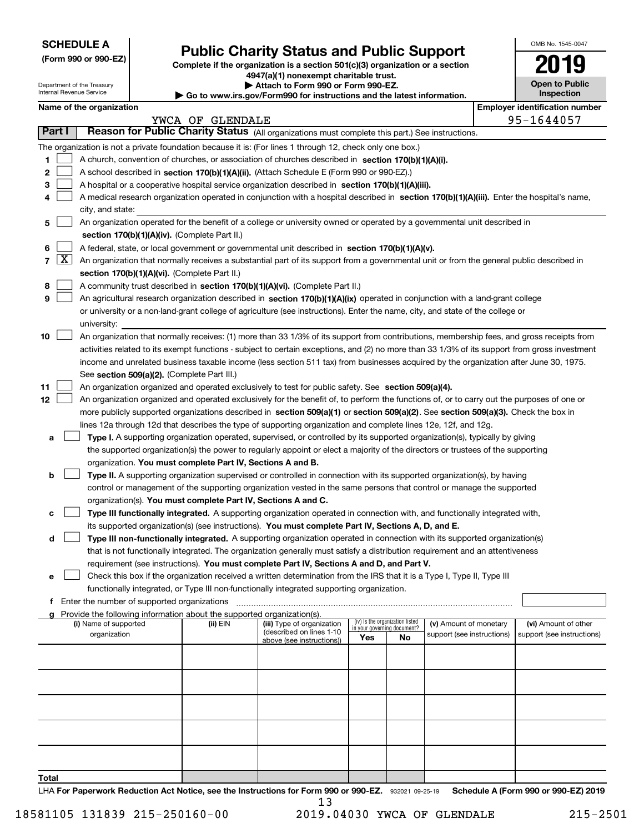| <b>SCHEDULE A</b> |  |
|-------------------|--|
|-------------------|--|

| (Form 990 or 990-EZ) |  |  |  |  |
|----------------------|--|--|--|--|
|----------------------|--|--|--|--|

## **Public Charity Status and Public Support**

**Complete if the organization is a section 501(c)(3) organization or a section 4947(a)(1) nonexempt charitable trust. | Attach to Form 990 or Form 990-EZ.** 

| OMB No. 1545-0047                 |
|-----------------------------------|
| 2019                              |
| <b>Open to Public</b><br>cnootion |

| Department of the Treasury<br>Internal Revenue Service |                                                                                                                                            |                                                      |  |                                                                        | Attach to Form 990 or Form 990-EZ.<br>$\blacktriangleright$ Go to www.irs.gov/Form990 for instructions and the latest information.                                                                                              |     |                                                                      |                            |  | <b>Open to Public</b><br>Inspection   |  |
|--------------------------------------------------------|--------------------------------------------------------------------------------------------------------------------------------------------|------------------------------------------------------|--|------------------------------------------------------------------------|---------------------------------------------------------------------------------------------------------------------------------------------------------------------------------------------------------------------------------|-----|----------------------------------------------------------------------|----------------------------|--|---------------------------------------|--|
|                                                        |                                                                                                                                            | Name of the organization                             |  |                                                                        |                                                                                                                                                                                                                                 |     |                                                                      |                            |  | <b>Employer identification number</b> |  |
|                                                        |                                                                                                                                            |                                                      |  | YWCA OF GLENDALE                                                       |                                                                                                                                                                                                                                 |     |                                                                      |                            |  | 95-1644057                            |  |
|                                                        | Part I                                                                                                                                     |                                                      |  |                                                                        | Reason for Public Charity Status (All organizations must complete this part.) See instructions.                                                                                                                                 |     |                                                                      |                            |  |                                       |  |
|                                                        | The organization is not a private foundation because it is: (For lines 1 through 12, check only one box.)                                  |                                                      |  |                                                                        |                                                                                                                                                                                                                                 |     |                                                                      |                            |  |                                       |  |
| 1                                                      |                                                                                                                                            |                                                      |  |                                                                        | A church, convention of churches, or association of churches described in section 170(b)(1)(A)(i).                                                                                                                              |     |                                                                      |                            |  |                                       |  |
| 2                                                      |                                                                                                                                            |                                                      |  |                                                                        | A school described in section 170(b)(1)(A)(ii). (Attach Schedule E (Form 990 or 990-EZ).)                                                                                                                                       |     |                                                                      |                            |  |                                       |  |
| 3                                                      |                                                                                                                                            |                                                      |  |                                                                        | A hospital or a cooperative hospital service organization described in section 170(b)(1)(A)(iii).                                                                                                                               |     |                                                                      |                            |  |                                       |  |
| 4                                                      | A medical research organization operated in conjunction with a hospital described in section 170(b)(1)(A)(iii). Enter the hospital's name, |                                                      |  |                                                                        |                                                                                                                                                                                                                                 |     |                                                                      |                            |  |                                       |  |
|                                                        | city, and state:                                                                                                                           |                                                      |  |                                                                        |                                                                                                                                                                                                                                 |     |                                                                      |                            |  |                                       |  |
| 5                                                      | An organization operated for the benefit of a college or university owned or operated by a governmental unit described in                  |                                                      |  |                                                                        |                                                                                                                                                                                                                                 |     |                                                                      |                            |  |                                       |  |
|                                                        | section 170(b)(1)(A)(iv). (Complete Part II.)                                                                                              |                                                      |  |                                                                        |                                                                                                                                                                                                                                 |     |                                                                      |                            |  |                                       |  |
| 6                                                      |                                                                                                                                            |                                                      |  |                                                                        | A federal, state, or local government or governmental unit described in section 170(b)(1)(A)(v).                                                                                                                                |     |                                                                      |                            |  |                                       |  |
| $\overline{7}$                                         | $\lfloor x \rfloor$                                                                                                                        |                                                      |  |                                                                        | An organization that normally receives a substantial part of its support from a governmental unit or from the general public described in                                                                                       |     |                                                                      |                            |  |                                       |  |
|                                                        |                                                                                                                                            |                                                      |  | section 170(b)(1)(A)(vi). (Complete Part II.)                          |                                                                                                                                                                                                                                 |     |                                                                      |                            |  |                                       |  |
| 8                                                      |                                                                                                                                            |                                                      |  |                                                                        | A community trust described in section 170(b)(1)(A)(vi). (Complete Part II.)                                                                                                                                                    |     |                                                                      |                            |  |                                       |  |
| 9                                                      |                                                                                                                                            |                                                      |  |                                                                        | An agricultural research organization described in section 170(b)(1)(A)(ix) operated in conjunction with a land-grant college                                                                                                   |     |                                                                      |                            |  |                                       |  |
|                                                        |                                                                                                                                            |                                                      |  |                                                                        | or university or a non-land-grant college of agriculture (see instructions). Enter the name, city, and state of the college or                                                                                                  |     |                                                                      |                            |  |                                       |  |
|                                                        |                                                                                                                                            | university:                                          |  |                                                                        |                                                                                                                                                                                                                                 |     |                                                                      |                            |  |                                       |  |
| 10                                                     |                                                                                                                                            |                                                      |  |                                                                        | An organization that normally receives: (1) more than 33 1/3% of its support from contributions, membership fees, and gross receipts from                                                                                       |     |                                                                      |                            |  |                                       |  |
|                                                        |                                                                                                                                            |                                                      |  |                                                                        | activities related to its exempt functions - subject to certain exceptions, and (2) no more than 33 1/3% of its support from gross investment                                                                                   |     |                                                                      |                            |  |                                       |  |
|                                                        |                                                                                                                                            |                                                      |  |                                                                        | income and unrelated business taxable income (less section 511 tax) from businesses acquired by the organization after June 30, 1975.                                                                                           |     |                                                                      |                            |  |                                       |  |
|                                                        |                                                                                                                                            |                                                      |  | See section 509(a)(2). (Complete Part III.)                            |                                                                                                                                                                                                                                 |     |                                                                      |                            |  |                                       |  |
| 11                                                     |                                                                                                                                            |                                                      |  |                                                                        | An organization organized and operated exclusively to test for public safety. See section 509(a)(4).                                                                                                                            |     |                                                                      |                            |  |                                       |  |
| 12                                                     |                                                                                                                                            |                                                      |  |                                                                        | An organization organized and operated exclusively for the benefit of, to perform the functions of, or to carry out the purposes of one or                                                                                      |     |                                                                      |                            |  |                                       |  |
|                                                        |                                                                                                                                            |                                                      |  |                                                                        | more publicly supported organizations described in section 509(a)(1) or section 509(a)(2). See section 509(a)(3). Check the box in                                                                                              |     |                                                                      |                            |  |                                       |  |
|                                                        |                                                                                                                                            |                                                      |  |                                                                        | lines 12a through 12d that describes the type of supporting organization and complete lines 12e, 12f, and 12g.                                                                                                                  |     |                                                                      |                            |  |                                       |  |
| а                                                      |                                                                                                                                            |                                                      |  |                                                                        | Type I. A supporting organization operated, supervised, or controlled by its supported organization(s), typically by giving                                                                                                     |     |                                                                      |                            |  |                                       |  |
|                                                        |                                                                                                                                            |                                                      |  |                                                                        | the supported organization(s) the power to regularly appoint or elect a majority of the directors or trustees of the supporting                                                                                                 |     |                                                                      |                            |  |                                       |  |
|                                                        |                                                                                                                                            |                                                      |  | organization. You must complete Part IV, Sections A and B.             |                                                                                                                                                                                                                                 |     |                                                                      |                            |  |                                       |  |
| b                                                      |                                                                                                                                            |                                                      |  |                                                                        | Type II. A supporting organization supervised or controlled in connection with its supported organization(s), by having                                                                                                         |     |                                                                      |                            |  |                                       |  |
|                                                        |                                                                                                                                            |                                                      |  |                                                                        | control or management of the supporting organization vested in the same persons that control or manage the supported                                                                                                            |     |                                                                      |                            |  |                                       |  |
|                                                        |                                                                                                                                            |                                                      |  | organization(s). You must complete Part IV, Sections A and C.          |                                                                                                                                                                                                                                 |     |                                                                      |                            |  |                                       |  |
| с                                                      |                                                                                                                                            |                                                      |  |                                                                        | Type III functionally integrated. A supporting organization operated in connection with, and functionally integrated with,                                                                                                      |     |                                                                      |                            |  |                                       |  |
| d                                                      |                                                                                                                                            |                                                      |  |                                                                        | its supported organization(s) (see instructions). You must complete Part IV, Sections A, D, and E.<br>Type III non-functionally integrated. A supporting organization operated in connection with its supported organization(s) |     |                                                                      |                            |  |                                       |  |
|                                                        |                                                                                                                                            |                                                      |  |                                                                        | that is not functionally integrated. The organization generally must satisfy a distribution requirement and an attentiveness                                                                                                    |     |                                                                      |                            |  |                                       |  |
|                                                        |                                                                                                                                            |                                                      |  |                                                                        | requirement (see instructions). You must complete Part IV, Sections A and D, and Part V.                                                                                                                                        |     |                                                                      |                            |  |                                       |  |
| е                                                      |                                                                                                                                            |                                                      |  |                                                                        | Check this box if the organization received a written determination from the IRS that it is a Type I, Type II, Type III                                                                                                         |     |                                                                      |                            |  |                                       |  |
|                                                        |                                                                                                                                            |                                                      |  |                                                                        | functionally integrated, or Type III non-functionally integrated supporting organization.                                                                                                                                       |     |                                                                      |                            |  |                                       |  |
|                                                        |                                                                                                                                            | <b>f</b> Enter the number of supported organizations |  |                                                                        |                                                                                                                                                                                                                                 |     |                                                                      |                            |  |                                       |  |
| a                                                      |                                                                                                                                            |                                                      |  | Provide the following information about the supported organization(s). |                                                                                                                                                                                                                                 |     |                                                                      |                            |  |                                       |  |
|                                                        |                                                                                                                                            | (i) Name of supported                                |  | (ii) EIN                                                               | (iii) Type of organization                                                                                                                                                                                                      |     | (iv) Is the organization listed<br><u>n your governing document?</u> | (v) Amount of monetary     |  | (vi) Amount of other                  |  |
|                                                        |                                                                                                                                            | organization                                         |  |                                                                        | (described on lines 1-10<br>above (see instructions))                                                                                                                                                                           | Yes | No                                                                   | support (see instructions) |  | support (see instructions)            |  |
|                                                        |                                                                                                                                            |                                                      |  |                                                                        |                                                                                                                                                                                                                                 |     |                                                                      |                            |  |                                       |  |
|                                                        |                                                                                                                                            |                                                      |  |                                                                        |                                                                                                                                                                                                                                 |     |                                                                      |                            |  |                                       |  |
|                                                        |                                                                                                                                            |                                                      |  |                                                                        |                                                                                                                                                                                                                                 |     |                                                                      |                            |  |                                       |  |
|                                                        |                                                                                                                                            |                                                      |  |                                                                        |                                                                                                                                                                                                                                 |     |                                                                      |                            |  |                                       |  |
|                                                        |                                                                                                                                            |                                                      |  |                                                                        |                                                                                                                                                                                                                                 |     |                                                                      |                            |  |                                       |  |
|                                                        |                                                                                                                                            |                                                      |  |                                                                        |                                                                                                                                                                                                                                 |     |                                                                      |                            |  |                                       |  |
|                                                        |                                                                                                                                            |                                                      |  |                                                                        |                                                                                                                                                                                                                                 |     |                                                                      |                            |  |                                       |  |
|                                                        |                                                                                                                                            |                                                      |  |                                                                        |                                                                                                                                                                                                                                 |     |                                                                      |                            |  |                                       |  |
|                                                        |                                                                                                                                            |                                                      |  |                                                                        |                                                                                                                                                                                                                                 |     |                                                                      |                            |  |                                       |  |
|                                                        |                                                                                                                                            |                                                      |  |                                                                        |                                                                                                                                                                                                                                 |     |                                                                      |                            |  |                                       |  |

**Total**

LHA For Paperwork Reduction Act Notice, see the Instructions for Form 990 or 990-EZ. 932021 09-25-19 Schedule A (Form 990 or 990-EZ) 2019 13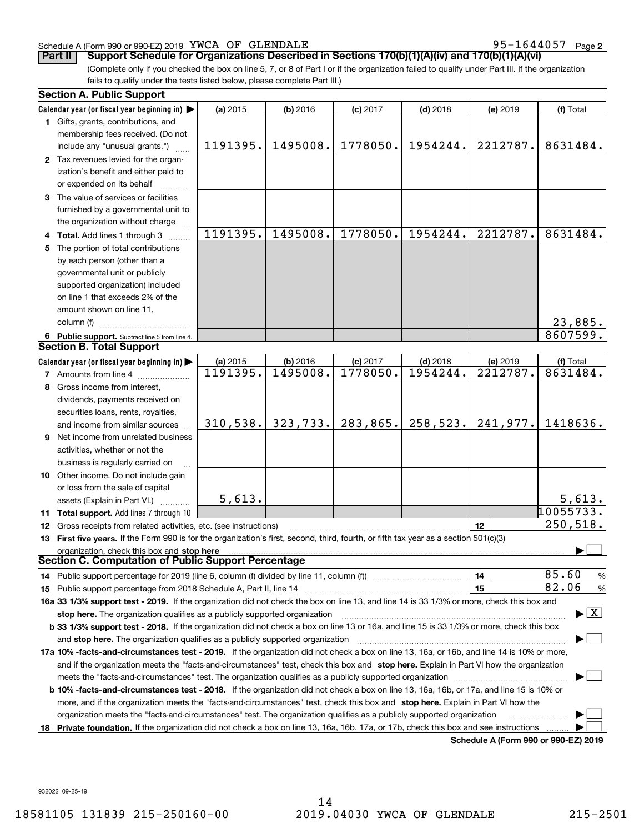### Schedule A (Form 990 or 990-EZ) 2019 Page YWCA OF GLENDALE 95-1644057

95-1644057 Page 2

**Part II Support Schedule for Organizations Described in Sections 170(b)(1)(A)(iv) and 170(b)(1)(A)(vi)** 

(Complete only if you checked the box on line 5, 7, or 8 of Part I or if the organization failed to qualify under Part III. If the organization fails to qualify under the tests listed below, please complete Part III.)

| <b>Section A. Public Support</b>                                                                                                                                                                                               |           |           |            |            |                                      |                                          |
|--------------------------------------------------------------------------------------------------------------------------------------------------------------------------------------------------------------------------------|-----------|-----------|------------|------------|--------------------------------------|------------------------------------------|
| Calendar year (or fiscal year beginning in)                                                                                                                                                                                    | (a) 2015  | (b) 2016  | $(c)$ 2017 | $(d)$ 2018 | (e) 2019                             | (f) Total                                |
| 1 Gifts, grants, contributions, and                                                                                                                                                                                            |           |           |            |            |                                      |                                          |
| membership fees received. (Do not                                                                                                                                                                                              |           |           |            |            |                                      |                                          |
| include any "unusual grants.")                                                                                                                                                                                                 | 1191395.  | 1495008.  | 1778050.   | 1954244.   | 2212787.                             | 8631484.                                 |
| 2 Tax revenues levied for the organ-                                                                                                                                                                                           |           |           |            |            |                                      |                                          |
| ization's benefit and either paid to                                                                                                                                                                                           |           |           |            |            |                                      |                                          |
| or expended on its behalf                                                                                                                                                                                                      |           |           |            |            |                                      |                                          |
| 3 The value of services or facilities                                                                                                                                                                                          |           |           |            |            |                                      |                                          |
| furnished by a governmental unit to                                                                                                                                                                                            |           |           |            |            |                                      |                                          |
| the organization without charge                                                                                                                                                                                                |           |           |            |            |                                      |                                          |
| 4 Total. Add lines 1 through 3                                                                                                                                                                                                 | 1191395.  | 1495008.  | 1778050.   | 1954244.   | 2212787.                             | 8631484.                                 |
| 5 The portion of total contributions                                                                                                                                                                                           |           |           |            |            |                                      |                                          |
| by each person (other than a                                                                                                                                                                                                   |           |           |            |            |                                      |                                          |
| governmental unit or publicly                                                                                                                                                                                                  |           |           |            |            |                                      |                                          |
| supported organization) included                                                                                                                                                                                               |           |           |            |            |                                      |                                          |
| on line 1 that exceeds 2% of the                                                                                                                                                                                               |           |           |            |            |                                      |                                          |
| amount shown on line 11,                                                                                                                                                                                                       |           |           |            |            |                                      |                                          |
| column (f)                                                                                                                                                                                                                     |           |           |            |            |                                      | 23,885.                                  |
| 6 Public support. Subtract line 5 from line 4.                                                                                                                                                                                 |           |           |            |            |                                      | 8607599.                                 |
| <b>Section B. Total Support</b>                                                                                                                                                                                                |           |           |            |            |                                      |                                          |
| Calendar year (or fiscal year beginning in)                                                                                                                                                                                    | (a) 2015  | (b) 2016  | $(c)$ 2017 | $(d)$ 2018 | (e) 2019                             | (f) Total                                |
| <b>7</b> Amounts from line 4                                                                                                                                                                                                   | 1191395.  | 1495008.  | 1778050.   | 1954244.   | 2212787.                             | 8631484.                                 |
| 8 Gross income from interest,                                                                                                                                                                                                  |           |           |            |            |                                      |                                          |
|                                                                                                                                                                                                                                |           |           |            |            |                                      |                                          |
| dividends, payments received on                                                                                                                                                                                                |           |           |            |            |                                      |                                          |
| securities loans, rents, royalties,                                                                                                                                                                                            | 310, 538. |           | 283,865.   | 258,523.   | 241,977.                             | 1418636.                                 |
| and income from similar sources                                                                                                                                                                                                |           | 323, 733. |            |            |                                      |                                          |
| <b>9</b> Net income from unrelated business                                                                                                                                                                                    |           |           |            |            |                                      |                                          |
| activities, whether or not the                                                                                                                                                                                                 |           |           |            |            |                                      |                                          |
| business is regularly carried on                                                                                                                                                                                               |           |           |            |            |                                      |                                          |
| <b>10</b> Other income. Do not include gain                                                                                                                                                                                    |           |           |            |            |                                      |                                          |
| or loss from the sale of capital                                                                                                                                                                                               |           |           |            |            |                                      |                                          |
| assets (Explain in Part VI.) <b>Constant</b>                                                                                                                                                                                   | 5,613.    |           |            |            |                                      | 5,613.                                   |
| 11 Total support. Add lines 7 through 10                                                                                                                                                                                       |           |           |            |            |                                      | 10055733.                                |
| 12 Gross receipts from related activities, etc. (see instructions)                                                                                                                                                             |           |           |            |            | 12                                   | 250,518.                                 |
| 13 First five years. If the Form 990 is for the organization's first, second, third, fourth, or fifth tax year as a section 501(c)(3)                                                                                          |           |           |            |            |                                      |                                          |
| organization, check this box and stop here                                                                                                                                                                                     |           |           |            |            |                                      |                                          |
| Section C. Computation of Public Support Percentage                                                                                                                                                                            |           |           |            |            |                                      |                                          |
| 14 Public support percentage for 2019 (line 6, column (f) divided by line 11, column (f) <i>mummumumum</i>                                                                                                                     |           |           |            |            | 14                                   | 85.60<br>%                               |
| 15 Public support percentage from 2018 Schedule A, Part II, line 14 [11] [11] manument continuum manument of Public support percentage from 2018 Schedule A, Part II, line 14 [11] manument continuum manument of Public suppo |           |           |            |            | 15                                   | 82.06<br>$\%$                            |
| 16a 33 1/3% support test - 2019. If the organization did not check the box on line 13, and line 14 is 33 1/3% or more, check this box and                                                                                      |           |           |            |            |                                      |                                          |
| stop here. The organization qualifies as a publicly supported organization                                                                                                                                                     |           |           |            |            |                                      | $\blacktriangleright$ $\boxed{\text{X}}$ |
| b 33 1/3% support test - 2018. If the organization did not check a box on line 13 or 16a, and line 15 is 33 1/3% or more, check this box                                                                                       |           |           |            |            |                                      |                                          |
| and stop here. The organization qualifies as a publicly supported organization                                                                                                                                                 |           |           |            |            |                                      |                                          |
| 17a 10% -facts-and-circumstances test - 2019. If the organization did not check a box on line 13, 16a, or 16b, and line 14 is 10% or more,                                                                                     |           |           |            |            |                                      |                                          |
| and if the organization meets the "facts-and-circumstances" test, check this box and stop here. Explain in Part VI how the organization                                                                                        |           |           |            |            |                                      |                                          |
| meets the "facts-and-circumstances" test. The organization qualifies as a publicly supported organization <i>marroummumumum</i>                                                                                                |           |           |            |            |                                      |                                          |
| <b>b 10% -facts-and-circumstances test - 2018.</b> If the organization did not check a box on line 13, 16a, 16b, or 17a, and line 15 is 10% or                                                                                 |           |           |            |            |                                      |                                          |
| more, and if the organization meets the "facts-and-circumstances" test, check this box and stop here. Explain in Part VI how the                                                                                               |           |           |            |            |                                      |                                          |
| organization meets the "facts-and-circumstances" test. The organization qualifies as a publicly supported organization                                                                                                         |           |           |            |            |                                      |                                          |
| 18 Private foundation. If the organization did not check a box on line 13, 16a, 16b, 17a, or 17b, check this box and see instructions                                                                                          |           |           |            |            |                                      |                                          |
|                                                                                                                                                                                                                                |           |           |            |            | Schedule A (Form 990 or 990-F7) 2019 |                                          |

**Schedule A (Form 990 or 990-EZ) 2019**

932022 09-25-19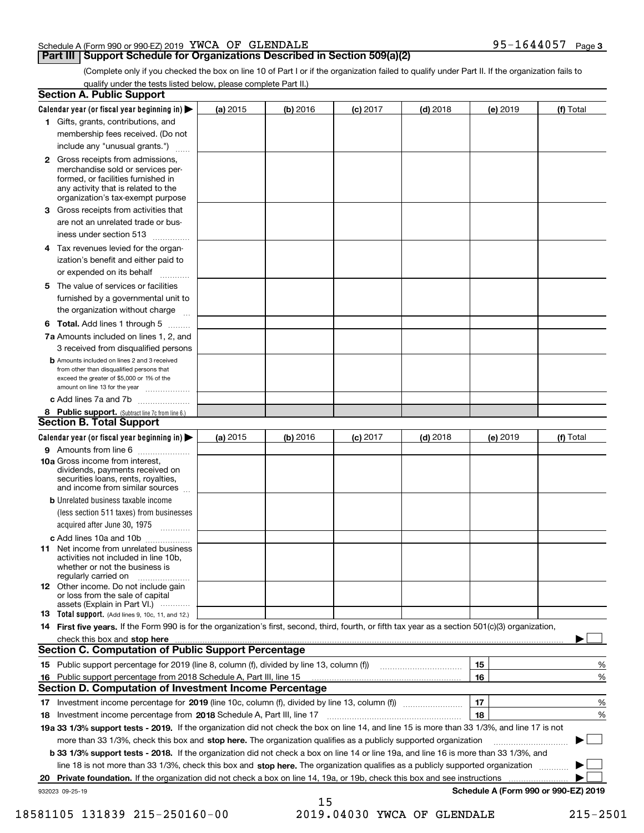### Schedule A (Form 990 or 990-EZ) 2019 Page YWCA OF GLENDALE 95-1644057

## **Part III Support Schedule for Organizations Described in Section 509(a)(2)**

**3**

(Complete only if you checked the box on line 10 of Part I or if the organization failed to qualify under Part II. If the organization fails to qualify under the tests listed below, please complete Part II.)

| <b>Section A. Public Support</b>                                                                                                                                                         |            |          |            |            |          |                                      |
|------------------------------------------------------------------------------------------------------------------------------------------------------------------------------------------|------------|----------|------------|------------|----------|--------------------------------------|
| Calendar year (or fiscal year beginning in) $\blacktriangleright$                                                                                                                        | (a) 2015   | (b) 2016 | $(c)$ 2017 | $(d)$ 2018 | (e) 2019 | (f) Total                            |
| 1 Gifts, grants, contributions, and                                                                                                                                                      |            |          |            |            |          |                                      |
| membership fees received. (Do not                                                                                                                                                        |            |          |            |            |          |                                      |
| include any "unusual grants.")                                                                                                                                                           |            |          |            |            |          |                                      |
| 2 Gross receipts from admissions,<br>merchandise sold or services per-<br>formed, or facilities furnished in<br>any activity that is related to the<br>organization's tax-exempt purpose |            |          |            |            |          |                                      |
| 3 Gross receipts from activities that<br>are not an unrelated trade or bus-                                                                                                              |            |          |            |            |          |                                      |
| iness under section 513                                                                                                                                                                  |            |          |            |            |          |                                      |
| 4 Tax revenues levied for the organ-<br>ization's benefit and either paid to<br>or expended on its behalf<br>.                                                                           |            |          |            |            |          |                                      |
| 5 The value of services or facilities<br>furnished by a governmental unit to<br>the organization without charge                                                                          |            |          |            |            |          |                                      |
|                                                                                                                                                                                          |            |          |            |            |          |                                      |
| <b>6 Total.</b> Add lines 1 through 5<br>7a Amounts included on lines 1, 2, and<br>3 received from disqualified persons                                                                  |            |          |            |            |          |                                      |
| <b>b</b> Amounts included on lines 2 and 3 received<br>from other than disqualified persons that<br>exceed the greater of \$5,000 or 1% of the<br>amount on line 13 for the year         |            |          |            |            |          |                                      |
| c Add lines 7a and 7b                                                                                                                                                                    |            |          |            |            |          |                                      |
| 8 Public support. (Subtract line 7c from line 6.)                                                                                                                                        |            |          |            |            |          |                                      |
| <b>Section B. Total Support</b>                                                                                                                                                          |            |          |            |            |          |                                      |
| Calendar year (or fiscal year beginning in) $\blacktriangleright$                                                                                                                        | (a) $2015$ | (b) 2016 | $(c)$ 2017 | $(d)$ 2018 | (e) 2019 | (f) Total                            |
| 9 Amounts from line 6                                                                                                                                                                    |            |          |            |            |          |                                      |
| 10a Gross income from interest,<br>dividends, payments received on<br>securities loans, rents, royalties,<br>and income from similar sources                                             |            |          |            |            |          |                                      |
| <b>b</b> Unrelated business taxable income<br>(less section 511 taxes) from businesses<br>acquired after June 30, 1975<br>1.1.1.1.1.1.1.1.1.1                                            |            |          |            |            |          |                                      |
| c Add lines 10a and 10b                                                                                                                                                                  |            |          |            |            |          |                                      |
| <b>11</b> Net income from unrelated business<br>activities not included in line 10b,<br>whether or not the business is<br>regularly carried on                                           |            |          |            |            |          |                                      |
| <b>12</b> Other income. Do not include gain<br>or loss from the sale of capital<br>assets (Explain in Part VI.)                                                                          |            |          |            |            |          |                                      |
| <b>13</b> Total support. (Add lines 9, 10c, 11, and 12.)                                                                                                                                 |            |          |            |            |          |                                      |
| 14 First five years. If the Form 990 is for the organization's first, second, third, fourth, or fifth tax year as a section 501(c)(3) organization,                                      |            |          |            |            |          |                                      |
|                                                                                                                                                                                          |            |          |            |            |          |                                      |
| <b>Section C. Computation of Public Support Percentage</b>                                                                                                                               |            |          |            |            |          |                                      |
| 15 Public support percentage for 2019 (line 8, column (f), divided by line 13, column (f))                                                                                               |            |          |            |            | 15       | %                                    |
| 16 Public support percentage from 2018 Schedule A, Part III, line 15                                                                                                                     |            |          |            |            | 16       | %                                    |
| <b>Section D. Computation of Investment Income Percentage</b>                                                                                                                            |            |          |            |            |          |                                      |
| 17 Investment income percentage for 2019 (line 10c, column (f), divided by line 13, column (f))                                                                                          |            |          |            |            | 17       | %                                    |
| 18 Investment income percentage from 2018 Schedule A, Part III, line 17                                                                                                                  |            |          |            |            | 18       | %                                    |
| 19a 33 1/3% support tests - 2019. If the organization did not check the box on line 14, and line 15 is more than 33 1/3%, and line 17 is not                                             |            |          |            |            |          |                                      |
| more than 33 1/3%, check this box and stop here. The organization qualifies as a publicly supported organization                                                                         |            |          |            |            |          |                                      |
| b 33 1/3% support tests - 2018. If the organization did not check a box on line 14 or line 19a, and line 16 is more than 33 1/3%, and                                                    |            |          |            |            |          |                                      |
| line 18 is not more than 33 1/3%, check this box and stop here. The organization qualifies as a publicly supported organization                                                          |            |          |            |            |          |                                      |
| 20 Private foundation. If the organization did not check a box on line 14, 19a, or 19b, check this box and see instructions                                                              |            |          |            |            |          | .                                    |
| 932023 09-25-19                                                                                                                                                                          |            | 15       |            |            |          | Schedule A (Form 990 or 990-EZ) 2019 |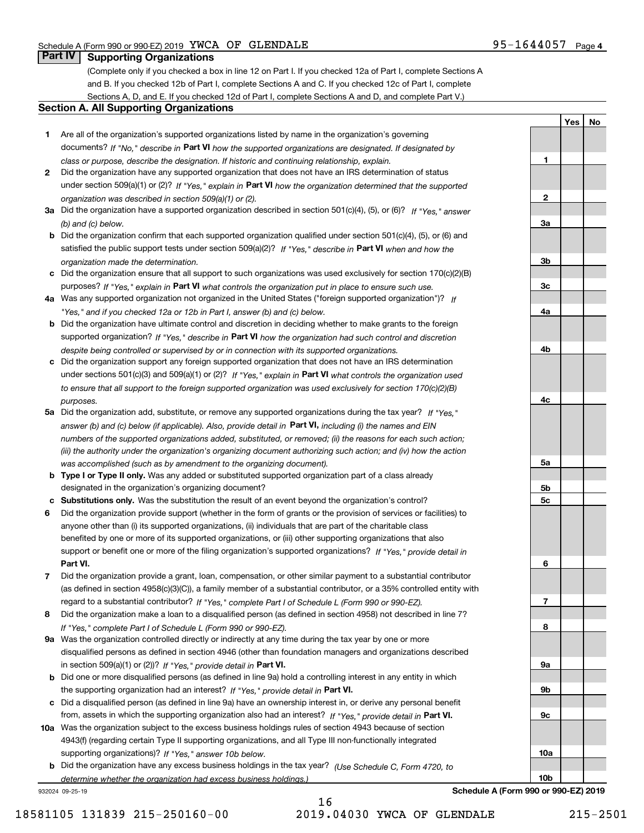**1**

**2**

**3a**

**YesNo**

## **Part IV Supporting Organizations**

(Complete only if you checked a box in line 12 on Part I. If you checked 12a of Part I, complete Sections A and B. If you checked 12b of Part I, complete Sections A and C. If you checked 12c of Part I, complete Sections A, D, and E. If you checked 12d of Part I, complete Sections A and D, and complete Part V.)

## **Section A. All Supporting Organizations**

- **1** Are all of the organization's supported organizations listed by name in the organization's governing documents? If "No," describe in **Part VI** how the supported organizations are designated. If designated by *class or purpose, describe the designation. If historic and continuing relationship, explain.*
- **2** Did the organization have any supported organization that does not have an IRS determination of status under section 509(a)(1) or (2)? If "Yes," explain in Part VI how the organization determined that the supported *organization was described in section 509(a)(1) or (2).*
- **3a** Did the organization have a supported organization described in section 501(c)(4), (5), or (6)? If "Yes," answer *(b) and (c) below.*
- **b** Did the organization confirm that each supported organization qualified under section 501(c)(4), (5), or (6) and satisfied the public support tests under section 509(a)(2)? If "Yes," describe in **Part VI** when and how the *organization made the determination.*
- **c**Did the organization ensure that all support to such organizations was used exclusively for section 170(c)(2)(B) purposes? If "Yes," explain in **Part VI** what controls the organization put in place to ensure such use.
- **4a***If* Was any supported organization not organized in the United States ("foreign supported organization")? *"Yes," and if you checked 12a or 12b in Part I, answer (b) and (c) below.*
- **b** Did the organization have ultimate control and discretion in deciding whether to make grants to the foreign supported organization? If "Yes," describe in **Part VI** how the organization had such control and discretion *despite being controlled or supervised by or in connection with its supported organizations.*
- **c** Did the organization support any foreign supported organization that does not have an IRS determination under sections 501(c)(3) and 509(a)(1) or (2)? If "Yes," explain in **Part VI** what controls the organization used *to ensure that all support to the foreign supported organization was used exclusively for section 170(c)(2)(B) purposes.*
- **5a** Did the organization add, substitute, or remove any supported organizations during the tax year? If "Yes," answer (b) and (c) below (if applicable). Also, provide detail in **Part VI,** including (i) the names and EIN *numbers of the supported organizations added, substituted, or removed; (ii) the reasons for each such action; (iii) the authority under the organization's organizing document authorizing such action; and (iv) how the action was accomplished (such as by amendment to the organizing document).*
- **b** Type I or Type II only. Was any added or substituted supported organization part of a class already designated in the organization's organizing document?
- **cSubstitutions only.**  Was the substitution the result of an event beyond the organization's control?
- **6** Did the organization provide support (whether in the form of grants or the provision of services or facilities) to **Part VI.** *If "Yes," provide detail in* support or benefit one or more of the filing organization's supported organizations? anyone other than (i) its supported organizations, (ii) individuals that are part of the charitable class benefited by one or more of its supported organizations, or (iii) other supporting organizations that also
- **7**Did the organization provide a grant, loan, compensation, or other similar payment to a substantial contributor *If "Yes," complete Part I of Schedule L (Form 990 or 990-EZ).* regard to a substantial contributor? (as defined in section 4958(c)(3)(C)), a family member of a substantial contributor, or a 35% controlled entity with
- **8** Did the organization make a loan to a disqualified person (as defined in section 4958) not described in line 7? *If "Yes," complete Part I of Schedule L (Form 990 or 990-EZ).*
- **9a** Was the organization controlled directly or indirectly at any time during the tax year by one or more in section 509(a)(1) or (2))? If "Yes," *provide detail in* <code>Part VI.</code> disqualified persons as defined in section 4946 (other than foundation managers and organizations described
- **b** Did one or more disqualified persons (as defined in line 9a) hold a controlling interest in any entity in which the supporting organization had an interest? If "Yes," provide detail in P**art VI**.
- **c**Did a disqualified person (as defined in line 9a) have an ownership interest in, or derive any personal benefit from, assets in which the supporting organization also had an interest? If "Yes," provide detail in P**art VI.**
- **10a** Was the organization subject to the excess business holdings rules of section 4943 because of section supporting organizations)? If "Yes," answer 10b below. 4943(f) (regarding certain Type II supporting organizations, and all Type III non-functionally integrated
- **b** Did the organization have any excess business holdings in the tax year? (Use Schedule C, Form 4720, to *determine whether the organization had excess business holdings.)*

932024 09-25-19

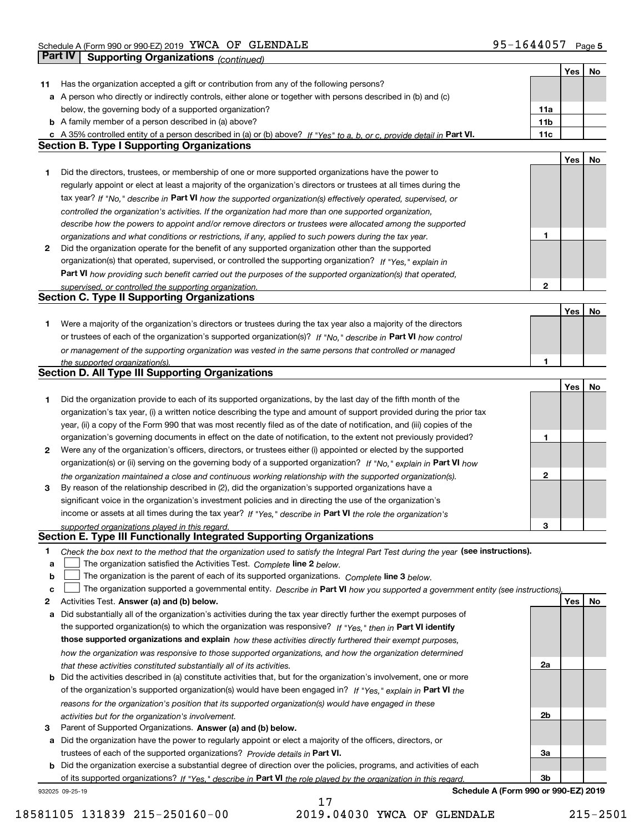|    |                                                                                                                                   |                 | Yes | No |
|----|-----------------------------------------------------------------------------------------------------------------------------------|-----------------|-----|----|
| 11 | Has the organization accepted a gift or contribution from any of the following persons?                                           |                 |     |    |
|    | a A person who directly or indirectly controls, either alone or together with persons described in (b) and (c)                    |                 |     |    |
|    | below, the governing body of a supported organization?                                                                            | 11a             |     |    |
|    | <b>b</b> A family member of a person described in (a) above?                                                                      | 11 <sub>b</sub> |     |    |
|    | c A 35% controlled entity of a person described in (a) or (b) above? If "Yes" to a, b, or c, provide detail in Part VI.           | 11c             |     |    |
|    | <b>Section B. Type I Supporting Organizations</b>                                                                                 |                 |     |    |
|    |                                                                                                                                   |                 | Yes | No |
| 1  | Did the directors, trustees, or membership of one or more supported organizations have the power to                               |                 |     |    |
|    | regularly appoint or elect at least a majority of the organization's directors or trustees at all times during the                |                 |     |    |
|    | tax year? If "No," describe in Part VI how the supported organization(s) effectively operated, supervised, or                     |                 |     |    |
|    | controlled the organization's activities. If the organization had more than one supported organization,                           |                 |     |    |
|    | describe how the powers to appoint and/or remove directors or trustees were allocated among the supported                         |                 |     |    |
|    | organizations and what conditions or restrictions, if any, applied to such powers during the tax year.                            | 1               |     |    |
| 2  | Did the organization operate for the benefit of any supported organization other than the supported                               |                 |     |    |
|    | organization(s) that operated, supervised, or controlled the supporting organization? If "Yes," explain in                        |                 |     |    |
|    | Part VI how providing such benefit carried out the purposes of the supported organization(s) that operated,                       |                 |     |    |
|    | supervised, or controlled the supporting organization.                                                                            | $\mathbf{2}$    |     |    |
|    | <b>Section C. Type II Supporting Organizations</b>                                                                                |                 |     |    |
|    |                                                                                                                                   |                 | Yes | No |
| 1. | Were a majority of the organization's directors or trustees during the tax year also a majority of the directors                  |                 |     |    |
|    | or trustees of each of the organization's supported organization(s)? If "No," describe in Part VI how control                     |                 |     |    |
|    | or management of the supporting organization was vested in the same persons that controlled or managed                            |                 |     |    |
|    | the supported organization(s).<br><b>Section D. All Type III Supporting Organizations</b>                                         | 1               |     |    |
|    |                                                                                                                                   |                 | Yes | No |
| 1  | Did the organization provide to each of its supported organizations, by the last day of the fifth month of the                    |                 |     |    |
|    | organization's tax year, (i) a written notice describing the type and amount of support provided during the prior tax             |                 |     |    |
|    | year, (ii) a copy of the Form 990 that was most recently filed as of the date of notification, and (iii) copies of the            |                 |     |    |
|    | organization's governing documents in effect on the date of notification, to the extent not previously provided?                  | 1               |     |    |
| 2  | Were any of the organization's officers, directors, or trustees either (i) appointed or elected by the supported                  |                 |     |    |
|    | organization(s) or (ii) serving on the governing body of a supported organization? If "No," explain in Part VI how                |                 |     |    |
|    | the organization maintained a close and continuous working relationship with the supported organization(s).                       | $\mathbf{2}$    |     |    |
| 3  | By reason of the relationship described in (2), did the organization's supported organizations have a                             |                 |     |    |
|    | significant voice in the organization's investment policies and in directing the use of the organization's                        |                 |     |    |
|    | income or assets at all times during the tax year? If "Yes," describe in Part VI the role the organization's                      |                 |     |    |
|    | supported organizations played in this regard.                                                                                    | 3               |     |    |
|    | Section E. Type III Functionally Integrated Supporting Organizations                                                              |                 |     |    |
| 1  | Check the box next to the method that the organization used to satisfy the Integral Part Test during the year (see instructions). |                 |     |    |
| а  | The organization satisfied the Activities Test. Complete line 2 below.                                                            |                 |     |    |
| b  | The organization is the parent of each of its supported organizations. Complete line 3 below.                                     |                 |     |    |
| c  | The organization supported a governmental entity. Describe in Part VI how you supported a government entity (see instructions),   |                 |     |    |
| 2  | Activities Test. Answer (a) and (b) below.                                                                                        |                 | Yes | No |
| а  | Did substantially all of the organization's activities during the tax year directly further the exempt purposes of                |                 |     |    |
|    | the supported organization(s) to which the organization was responsive? If "Yes," then in Part VI identify                        |                 |     |    |
|    | those supported organizations and explain how these activities directly furthered their exempt purposes,                          |                 |     |    |
|    | how the organization was responsive to those supported organizations, and how the organization determined                         |                 |     |    |
|    | that these activities constituted substantially all of its activities.                                                            | 2a              |     |    |
| b  | Did the activities described in (a) constitute activities that, but for the organization's involvement, one or more               |                 |     |    |
|    | of the organization's supported organization(s) would have been engaged in? If "Yes," explain in Part VI the                      |                 |     |    |
|    | reasons for the organization's position that its supported organization(s) would have engaged in these                            | 2b              |     |    |
| 3  | activities but for the organization's involvement.<br>Parent of Supported Organizations. Answer (a) and (b) below.                |                 |     |    |
|    | Did the organization have the power to regularly appoint or elect a majority of the officers, directors, or                       |                 |     |    |
| а  | trustees of each of the supported organizations? Provide details in Part VI.                                                      | За              |     |    |
|    | <b>b</b> Did the organization exercise a substantial degree of direction over the policies, programs, and activities of each      |                 |     |    |
|    | of its supported organizations? If "Yes," describe in Part VI the role played by the organization in this regard.                 | 3b              |     |    |
|    | Schedule A (Form 990 or 990-EZ) 2019<br>932025 09-25-19                                                                           |                 |     |    |
|    |                                                                                                                                   |                 |     |    |

18581105 131839 215-250160-00 2019.04030 YWCA OF GLENDALE 215-2501

17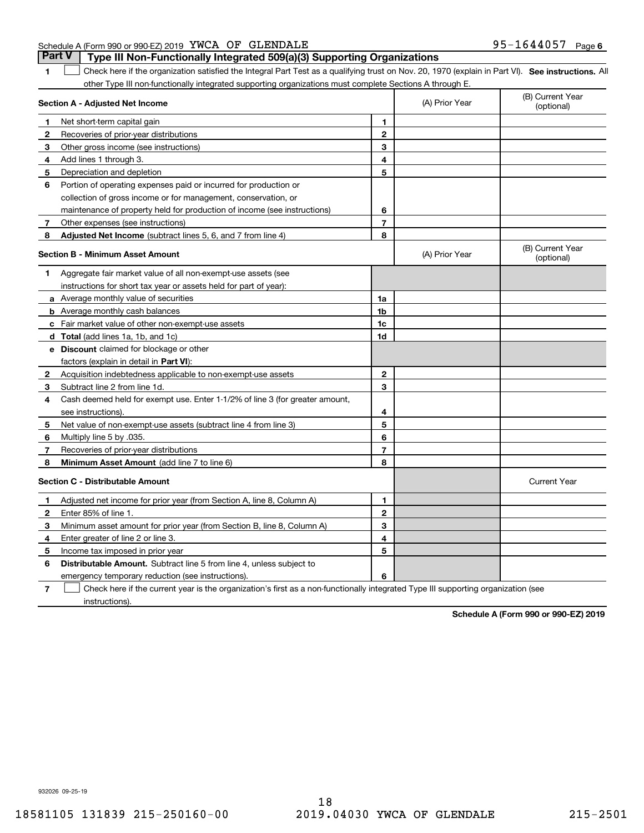## Schedule A (Form 990 or 990-EZ) 2019 Page YWCA OF GLENDALE 95-1644057 **Part V Type III Non-Functionally Integrated 509(a)(3) Supporting Organizations**

**1**

1 Check here if the organization satisfied the Integral Part Test as a qualifying trust on Nov. 20, 1970 (explain in Part VI). See instructions. All other Type III non-functionally integrated supporting organizations must complete Sections A through E.

|    | Section A - Adjusted Net Income                                              |                | (A) Prior Year | (B) Current Year<br>(optional) |
|----|------------------------------------------------------------------------------|----------------|----------------|--------------------------------|
| 1. | Net short-term capital gain                                                  | 1              |                |                                |
| 2  | Recoveries of prior-year distributions                                       | $\overline{2}$ |                |                                |
| 3  | Other gross income (see instructions)                                        | 3              |                |                                |
| 4  | Add lines 1 through 3.                                                       | 4              |                |                                |
| 5  | Depreciation and depletion                                                   | 5              |                |                                |
| 6  | Portion of operating expenses paid or incurred for production or             |                |                |                                |
|    | collection of gross income or for management, conservation, or               |                |                |                                |
|    | maintenance of property held for production of income (see instructions)     | 6              |                |                                |
| 7  | Other expenses (see instructions)                                            | 7              |                |                                |
| 8  | Adjusted Net Income (subtract lines 5, 6, and 7 from line 4)                 | 8              |                |                                |
|    | <b>Section B - Minimum Asset Amount</b>                                      |                | (A) Prior Year | (B) Current Year<br>(optional) |
| 1  | Aggregate fair market value of all non-exempt-use assets (see                |                |                |                                |
|    | instructions for short tax year or assets held for part of year):            |                |                |                                |
|    | <b>a</b> Average monthly value of securities                                 | 1a             |                |                                |
|    | <b>b</b> Average monthly cash balances                                       | 1b             |                |                                |
|    | c Fair market value of other non-exempt-use assets                           | 1c             |                |                                |
|    | <b>d</b> Total (add lines 1a, 1b, and 1c)                                    | 1d             |                |                                |
|    | e Discount claimed for blockage or other                                     |                |                |                                |
|    | factors (explain in detail in Part VI):                                      |                |                |                                |
| 2  | Acquisition indebtedness applicable to non-exempt-use assets                 | $\mathbf{2}$   |                |                                |
| З  | Subtract line 2 from line 1d.                                                | 3              |                |                                |
| 4  | Cash deemed held for exempt use. Enter 1-1/2% of line 3 (for greater amount, |                |                |                                |
|    | see instructions).                                                           | 4              |                |                                |
| 5  | Net value of non-exempt-use assets (subtract line 4 from line 3)             | 5              |                |                                |
| 6  | Multiply line 5 by .035.                                                     | 6              |                |                                |
| 7  | Recoveries of prior-year distributions                                       | $\overline{7}$ |                |                                |
| 8  | Minimum Asset Amount (add line 7 to line 6)                                  | 8              |                |                                |
|    | <b>Section C - Distributable Amount</b>                                      |                |                | <b>Current Year</b>            |
| 1  | Adjusted net income for prior year (from Section A, line 8, Column A)        | 1              |                |                                |
| 2  | Enter 85% of line 1.                                                         | $\overline{2}$ |                |                                |
| 3  | Minimum asset amount for prior year (from Section B, line 8, Column A)       | 3              |                |                                |
| 4  | Enter greater of line 2 or line 3.                                           | 4              |                |                                |
| 5  | Income tax imposed in prior year                                             | 5              |                |                                |
| 6  | <b>Distributable Amount.</b> Subtract line 5 from line 4, unless subject to  |                |                |                                |
|    | emergency temporary reduction (see instructions).                            | 6              |                |                                |
|    |                                                                              |                |                |                                |

**7** Check here if the current year is the organization's first as a non-functionally integrated Type III supporting organization (see instructions).

**Schedule A (Form 990 or 990-EZ) 2019**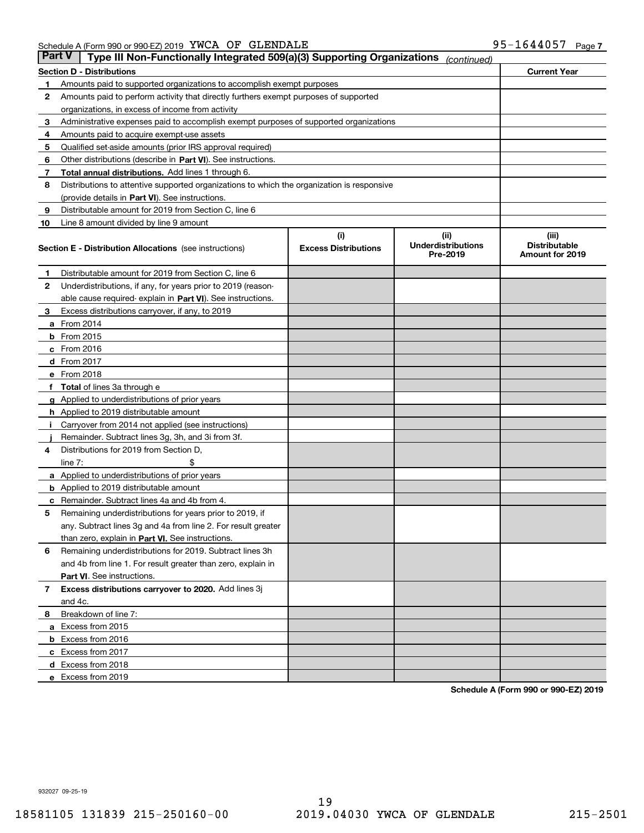| Part V | Type III Non-Functionally Integrated 509(a)(3) Supporting Organizations                    |                             | (continued)                           |                                         |
|--------|--------------------------------------------------------------------------------------------|-----------------------------|---------------------------------------|-----------------------------------------|
|        | <b>Section D - Distributions</b>                                                           |                             |                                       | <b>Current Year</b>                     |
| 1      | Amounts paid to supported organizations to accomplish exempt purposes                      |                             |                                       |                                         |
| 2      | Amounts paid to perform activity that directly furthers exempt purposes of supported       |                             |                                       |                                         |
|        | organizations, in excess of income from activity                                           |                             |                                       |                                         |
| 3      | Administrative expenses paid to accomplish exempt purposes of supported organizations      |                             |                                       |                                         |
| 4      | Amounts paid to acquire exempt-use assets                                                  |                             |                                       |                                         |
| 5      | Qualified set-aside amounts (prior IRS approval required)                                  |                             |                                       |                                         |
| 6      | Other distributions (describe in Part VI). See instructions.                               |                             |                                       |                                         |
| 7      | <b>Total annual distributions.</b> Add lines 1 through 6.                                  |                             |                                       |                                         |
| 8      | Distributions to attentive supported organizations to which the organization is responsive |                             |                                       |                                         |
|        | (provide details in Part VI). See instructions.                                            |                             |                                       |                                         |
| 9      | Distributable amount for 2019 from Section C, line 6                                       |                             |                                       |                                         |
| 10     | Line 8 amount divided by line 9 amount                                                     |                             |                                       |                                         |
|        |                                                                                            | (i)                         | (ii)                                  | (iii)                                   |
|        | <b>Section E - Distribution Allocations</b> (see instructions)                             | <b>Excess Distributions</b> | <b>Underdistributions</b><br>Pre-2019 | <b>Distributable</b><br>Amount for 2019 |
| 1      | Distributable amount for 2019 from Section C, line 6                                       |                             |                                       |                                         |
| 2      | Underdistributions, if any, for years prior to 2019 (reason-                               |                             |                                       |                                         |
|        | able cause required- explain in Part VI). See instructions.                                |                             |                                       |                                         |
| З      | Excess distributions carryover, if any, to 2019                                            |                             |                                       |                                         |
|        | <b>a</b> From 2014                                                                         |                             |                                       |                                         |
|        | <b>b</b> From 2015                                                                         |                             |                                       |                                         |
|        | $c$ From 2016                                                                              |                             |                                       |                                         |
|        | d From 2017                                                                                |                             |                                       |                                         |
|        | e From 2018                                                                                |                             |                                       |                                         |
|        | <b>Total</b> of lines 3a through e                                                         |                             |                                       |                                         |
| g      | Applied to underdistributions of prior years                                               |                             |                                       |                                         |
|        | <b>h</b> Applied to 2019 distributable amount                                              |                             |                                       |                                         |
|        | Carryover from 2014 not applied (see instructions)                                         |                             |                                       |                                         |
|        | Remainder. Subtract lines 3g, 3h, and 3i from 3f.                                          |                             |                                       |                                         |
| 4      | Distributions for 2019 from Section D,                                                     |                             |                                       |                                         |
|        | line $7:$                                                                                  |                             |                                       |                                         |
|        | <b>a</b> Applied to underdistributions of prior years                                      |                             |                                       |                                         |
|        | <b>b</b> Applied to 2019 distributable amount                                              |                             |                                       |                                         |
|        | c Remainder. Subtract lines 4a and 4b from 4.                                              |                             |                                       |                                         |
| 5      | Remaining underdistributions for years prior to 2019, if                                   |                             |                                       |                                         |
|        | any. Subtract lines 3g and 4a from line 2. For result greater                              |                             |                                       |                                         |
|        | than zero, explain in Part VI. See instructions.                                           |                             |                                       |                                         |
| 6      | Remaining underdistributions for 2019. Subtract lines 3h                                   |                             |                                       |                                         |
|        | and 4b from line 1. For result greater than zero, explain in                               |                             |                                       |                                         |
|        | Part VI. See instructions.                                                                 |                             |                                       |                                         |
| 7      | Excess distributions carryover to 2020. Add lines 3j                                       |                             |                                       |                                         |
|        | and 4c.                                                                                    |                             |                                       |                                         |
| 8      | Breakdown of line 7:                                                                       |                             |                                       |                                         |
|        | a Excess from 2015                                                                         |                             |                                       |                                         |
|        | <b>b</b> Excess from 2016                                                                  |                             |                                       |                                         |
|        | c Excess from 2017                                                                         |                             |                                       |                                         |
|        | d Excess from 2018                                                                         |                             |                                       |                                         |
|        | e Excess from 2019                                                                         |                             |                                       |                                         |

**Schedule A (Form 990 or 990-EZ) 2019**

932027 09-25-19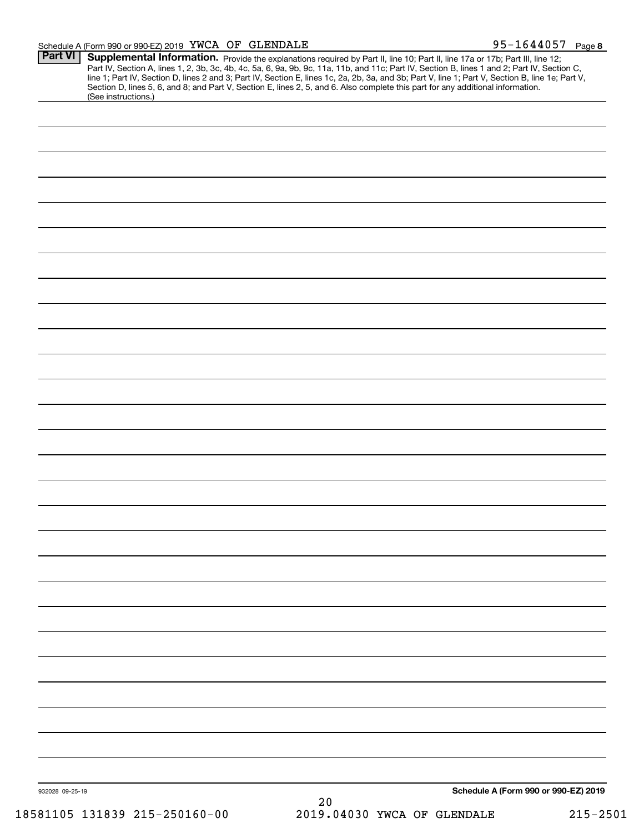### Schedule A (Form 990 or 990-EZ) 2019 **Y WCA OF GLENDALLE 9** 5-I 6 4 4 U 5 7 Page YWCA OF GLENDALE 95-1644057

| <b>Part VI</b>  | Supplemental Information. Provide the explanations required by Part II, line 10; Part II, line 17a or 17b; Part III, line 12;<br>Part IV, Section A, lines 1, 2, 3b, 3c, 4b, 4c, 5a, 6, 9a, 9b, 9c, 11a, 11b, and 11c; Part IV, Section B, lines 1 and 2; Part IV, Section C,<br>line 1; Part IV, Section D, lines 2 and 3; Part IV, Section E, lines 1c, 2a, 2b, 3a, and 3b; Part V, line 1; Part V, Section B, line 1e; Part V,<br>Section D, lines 5, 6, and 8; and Part V, Section E, lines 2, 5, and 6. Also complete this part for any additional information.<br>(See instructions.) |
|-----------------|---------------------------------------------------------------------------------------------------------------------------------------------------------------------------------------------------------------------------------------------------------------------------------------------------------------------------------------------------------------------------------------------------------------------------------------------------------------------------------------------------------------------------------------------------------------------------------------------|
|                 |                                                                                                                                                                                                                                                                                                                                                                                                                                                                                                                                                                                             |
|                 |                                                                                                                                                                                                                                                                                                                                                                                                                                                                                                                                                                                             |
|                 |                                                                                                                                                                                                                                                                                                                                                                                                                                                                                                                                                                                             |
|                 |                                                                                                                                                                                                                                                                                                                                                                                                                                                                                                                                                                                             |
|                 |                                                                                                                                                                                                                                                                                                                                                                                                                                                                                                                                                                                             |
|                 |                                                                                                                                                                                                                                                                                                                                                                                                                                                                                                                                                                                             |
|                 |                                                                                                                                                                                                                                                                                                                                                                                                                                                                                                                                                                                             |
|                 |                                                                                                                                                                                                                                                                                                                                                                                                                                                                                                                                                                                             |
|                 |                                                                                                                                                                                                                                                                                                                                                                                                                                                                                                                                                                                             |
|                 |                                                                                                                                                                                                                                                                                                                                                                                                                                                                                                                                                                                             |
|                 |                                                                                                                                                                                                                                                                                                                                                                                                                                                                                                                                                                                             |
|                 |                                                                                                                                                                                                                                                                                                                                                                                                                                                                                                                                                                                             |
|                 |                                                                                                                                                                                                                                                                                                                                                                                                                                                                                                                                                                                             |
|                 |                                                                                                                                                                                                                                                                                                                                                                                                                                                                                                                                                                                             |
|                 |                                                                                                                                                                                                                                                                                                                                                                                                                                                                                                                                                                                             |
|                 |                                                                                                                                                                                                                                                                                                                                                                                                                                                                                                                                                                                             |
|                 |                                                                                                                                                                                                                                                                                                                                                                                                                                                                                                                                                                                             |
|                 |                                                                                                                                                                                                                                                                                                                                                                                                                                                                                                                                                                                             |
|                 |                                                                                                                                                                                                                                                                                                                                                                                                                                                                                                                                                                                             |
|                 |                                                                                                                                                                                                                                                                                                                                                                                                                                                                                                                                                                                             |
|                 |                                                                                                                                                                                                                                                                                                                                                                                                                                                                                                                                                                                             |
|                 |                                                                                                                                                                                                                                                                                                                                                                                                                                                                                                                                                                                             |
|                 |                                                                                                                                                                                                                                                                                                                                                                                                                                                                                                                                                                                             |
|                 |                                                                                                                                                                                                                                                                                                                                                                                                                                                                                                                                                                                             |
|                 |                                                                                                                                                                                                                                                                                                                                                                                                                                                                                                                                                                                             |
|                 |                                                                                                                                                                                                                                                                                                                                                                                                                                                                                                                                                                                             |
|                 |                                                                                                                                                                                                                                                                                                                                                                                                                                                                                                                                                                                             |
|                 |                                                                                                                                                                                                                                                                                                                                                                                                                                                                                                                                                                                             |
|                 |                                                                                                                                                                                                                                                                                                                                                                                                                                                                                                                                                                                             |
|                 |                                                                                                                                                                                                                                                                                                                                                                                                                                                                                                                                                                                             |
|                 |                                                                                                                                                                                                                                                                                                                                                                                                                                                                                                                                                                                             |
|                 |                                                                                                                                                                                                                                                                                                                                                                                                                                                                                                                                                                                             |
|                 |                                                                                                                                                                                                                                                                                                                                                                                                                                                                                                                                                                                             |
|                 |                                                                                                                                                                                                                                                                                                                                                                                                                                                                                                                                                                                             |
|                 |                                                                                                                                                                                                                                                                                                                                                                                                                                                                                                                                                                                             |
|                 |                                                                                                                                                                                                                                                                                                                                                                                                                                                                                                                                                                                             |
|                 |                                                                                                                                                                                                                                                                                                                                                                                                                                                                                                                                                                                             |
|                 |                                                                                                                                                                                                                                                                                                                                                                                                                                                                                                                                                                                             |
|                 |                                                                                                                                                                                                                                                                                                                                                                                                                                                                                                                                                                                             |
|                 |                                                                                                                                                                                                                                                                                                                                                                                                                                                                                                                                                                                             |
|                 |                                                                                                                                                                                                                                                                                                                                                                                                                                                                                                                                                                                             |
|                 |                                                                                                                                                                                                                                                                                                                                                                                                                                                                                                                                                                                             |
|                 | Schedule A (Form 990 or 990-EZ) 2019                                                                                                                                                                                                                                                                                                                                                                                                                                                                                                                                                        |
| 932028 09-25-19 | 20                                                                                                                                                                                                                                                                                                                                                                                                                                                                                                                                                                                          |
|                 | 2019.04030 YWCA OF GLENDALE<br>18581105 131839 215-250160-00<br>$215 - 2501$                                                                                                                                                                                                                                                                                                                                                                                                                                                                                                                |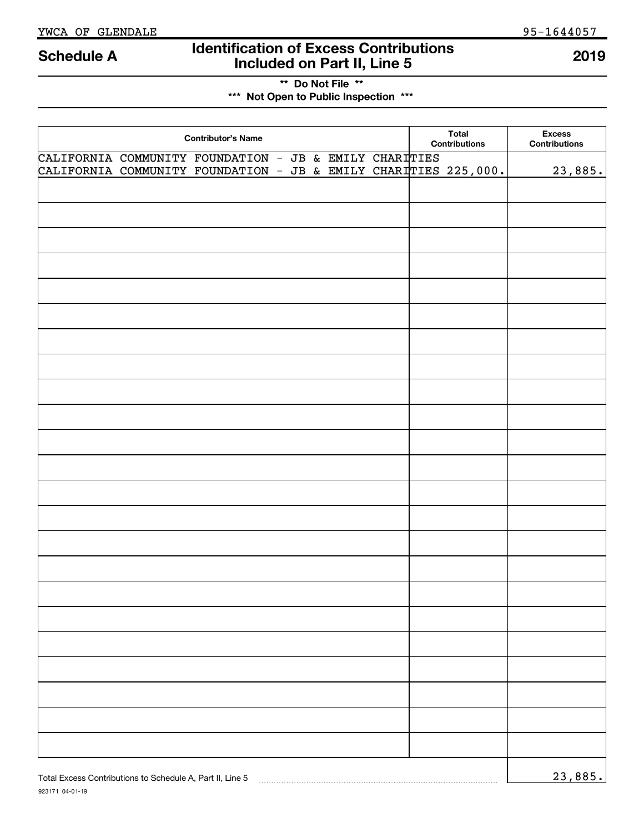## **Identification of Excess Contributions Included on Part II, Line 5 Schedule A 2019**

## **\*\* Do Not File \*\* \*\*\* Not Open to Public Inspection \*\*\***

|                                                           | <b>Contributor's Name</b>                                                                                                 |  |  |  | <b>Total</b><br><b>Contributions</b> | <b>Excess</b><br><b>Contributions</b> |
|-----------------------------------------------------------|---------------------------------------------------------------------------------------------------------------------------|--|--|--|--------------------------------------|---------------------------------------|
|                                                           | CALIFORNIA COMMUNITY FOUNDATION - JB & EMILY CHARITIES<br>CALIFORNIA COMMUNITY FOUNDATION - JB & EMILY CHARITIES 225,000. |  |  |  |                                      | 23,885.                               |
|                                                           |                                                                                                                           |  |  |  |                                      |                                       |
|                                                           |                                                                                                                           |  |  |  |                                      |                                       |
|                                                           |                                                                                                                           |  |  |  |                                      |                                       |
|                                                           |                                                                                                                           |  |  |  |                                      |                                       |
|                                                           |                                                                                                                           |  |  |  |                                      |                                       |
|                                                           |                                                                                                                           |  |  |  |                                      |                                       |
|                                                           |                                                                                                                           |  |  |  |                                      |                                       |
|                                                           |                                                                                                                           |  |  |  |                                      |                                       |
|                                                           |                                                                                                                           |  |  |  |                                      |                                       |
|                                                           |                                                                                                                           |  |  |  |                                      |                                       |
|                                                           |                                                                                                                           |  |  |  |                                      |                                       |
|                                                           |                                                                                                                           |  |  |  |                                      |                                       |
|                                                           |                                                                                                                           |  |  |  |                                      |                                       |
|                                                           |                                                                                                                           |  |  |  |                                      |                                       |
|                                                           |                                                                                                                           |  |  |  |                                      |                                       |
|                                                           |                                                                                                                           |  |  |  |                                      |                                       |
|                                                           |                                                                                                                           |  |  |  |                                      |                                       |
|                                                           |                                                                                                                           |  |  |  |                                      |                                       |
|                                                           |                                                                                                                           |  |  |  |                                      |                                       |
|                                                           |                                                                                                                           |  |  |  |                                      |                                       |
|                                                           |                                                                                                                           |  |  |  |                                      |                                       |
|                                                           |                                                                                                                           |  |  |  |                                      |                                       |
|                                                           |                                                                                                                           |  |  |  |                                      |                                       |
|                                                           |                                                                                                                           |  |  |  |                                      |                                       |
|                                                           |                                                                                                                           |  |  |  |                                      |                                       |
|                                                           |                                                                                                                           |  |  |  |                                      |                                       |
| Total Excess Contributions to Schedule A, Part II, Line 5 |                                                                                                                           |  |  |  |                                      | 23,885.                               |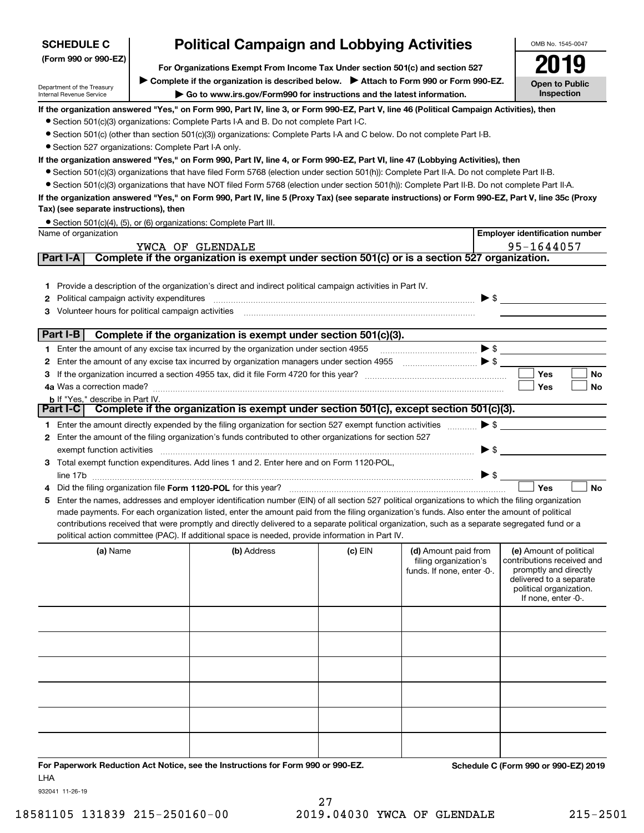| (Form 990 or 990-EZ)                                                                                                                                   |  | For Organizations Exempt From Income Tax Under section 501(c) and section 527                                                                                                                                                                                                                 |           |                                               |                                                       |
|--------------------------------------------------------------------------------------------------------------------------------------------------------|--|-----------------------------------------------------------------------------------------------------------------------------------------------------------------------------------------------------------------------------------------------------------------------------------------------|-----------|-----------------------------------------------|-------------------------------------------------------|
|                                                                                                                                                        |  | ▶ Complete if the organization is described below. ▶ Attach to Form 990 or Form 990-EZ.                                                                                                                                                                                                       |           |                                               | <b>Open to Public</b>                                 |
| Department of the Treasury<br>$\blacktriangleright$ Go to www.irs.gov/Form990 for instructions and the latest information.<br>Internal Revenue Service |  |                                                                                                                                                                                                                                                                                               |           |                                               | <b>Inspection</b>                                     |
|                                                                                                                                                        |  | If the organization answered "Yes," on Form 990, Part IV, line 3, or Form 990-EZ, Part V, line 46 (Political Campaign Activities), then                                                                                                                                                       |           |                                               |                                                       |
|                                                                                                                                                        |  | • Section 501(c)(3) organizations: Complete Parts I-A and B. Do not complete Part I-C.                                                                                                                                                                                                        |           |                                               |                                                       |
|                                                                                                                                                        |  | ● Section 501(c) (other than section 501(c)(3)) organizations: Complete Parts I-A and C below. Do not complete Part I-B.                                                                                                                                                                      |           |                                               |                                                       |
| • Section 527 organizations: Complete Part I-A only.                                                                                                   |  |                                                                                                                                                                                                                                                                                               |           |                                               |                                                       |
|                                                                                                                                                        |  | If the organization answered "Yes," on Form 990, Part IV, line 4, or Form 990-EZ, Part VI, line 47 (Lobbying Activities), then                                                                                                                                                                |           |                                               |                                                       |
|                                                                                                                                                        |  | • Section 501(c)(3) organizations that have filed Form 5768 (election under section 501(h)): Complete Part II-A. Do not complete Part II-B.                                                                                                                                                   |           |                                               |                                                       |
|                                                                                                                                                        |  | • Section 501(c)(3) organizations that have NOT filed Form 5768 (election under section 501(h)): Complete Part II-B. Do not complete Part II-A.                                                                                                                                               |           |                                               |                                                       |
|                                                                                                                                                        |  | If the organization answered "Yes," on Form 990, Part IV, line 5 (Proxy Tax) (see separate instructions) or Form 990-EZ, Part V, line 35c (Proxy                                                                                                                                              |           |                                               |                                                       |
| Tax) (see separate instructions), then                                                                                                                 |  |                                                                                                                                                                                                                                                                                               |           |                                               |                                                       |
|                                                                                                                                                        |  | • Section 501(c)(4), (5), or (6) organizations: Complete Part III.                                                                                                                                                                                                                            |           |                                               |                                                       |
| Name of organization                                                                                                                                   |  |                                                                                                                                                                                                                                                                                               |           |                                               | <b>Employer identification number</b>                 |
| Part I-A                                                                                                                                               |  | YWCA OF GLENDALE<br>Complete if the organization is exempt under section 501(c) or is a section 527 organization.                                                                                                                                                                             |           |                                               | 95-1644057                                            |
|                                                                                                                                                        |  |                                                                                                                                                                                                                                                                                               |           |                                               |                                                       |
|                                                                                                                                                        |  |                                                                                                                                                                                                                                                                                               |           |                                               |                                                       |
|                                                                                                                                                        |  | 1 Provide a description of the organization's direct and indirect political campaign activities in Part IV.                                                                                                                                                                                   |           |                                               |                                                       |
| Political campaign activity expenditures                                                                                                               |  |                                                                                                                                                                                                                                                                                               |           |                                               | $\blacktriangleright$ \$                              |
|                                                                                                                                                        |  |                                                                                                                                                                                                                                                                                               |           |                                               |                                                       |
| Part I-B                                                                                                                                               |  | Complete if the organization is exempt under section 501(c)(3).                                                                                                                                                                                                                               |           |                                               |                                                       |
|                                                                                                                                                        |  | 1 Enter the amount of any excise tax incurred by the organization under section 4955                                                                                                                                                                                                          |           | $\overline{\phantom{a}}$                      |                                                       |
|                                                                                                                                                        |  |                                                                                                                                                                                                                                                                                               |           |                                               |                                                       |
|                                                                                                                                                        |  |                                                                                                                                                                                                                                                                                               |           |                                               | <b>Yes</b><br>No                                      |
| 4a Was a correction made?                                                                                                                              |  |                                                                                                                                                                                                                                                                                               |           |                                               | <b>No</b><br>Yes                                      |
| <b>b</b> If "Yes," describe in Part IV.                                                                                                                |  |                                                                                                                                                                                                                                                                                               |           |                                               |                                                       |
|                                                                                                                                                        |  | Part I-C   Complete if the organization is exempt under section 501(c), except section 501(c)(3).                                                                                                                                                                                             |           |                                               |                                                       |
|                                                                                                                                                        |  | 1 Enter the amount directly expended by the filing organization for section 527 exempt function activities                                                                                                                                                                                    |           | $\blacktriangleright$ \$                      |                                                       |
|                                                                                                                                                        |  | 2 Enter the amount of the filing organization's funds contributed to other organizations for section 527                                                                                                                                                                                      |           |                                               |                                                       |
| exempt function activities                                                                                                                             |  |                                                                                                                                                                                                                                                                                               |           | $\blacktriangleright$ \$                      |                                                       |
|                                                                                                                                                        |  | 3 Total exempt function expenditures. Add lines 1 and 2. Enter here and on Form 1120-POL,                                                                                                                                                                                                     |           |                                               |                                                       |
|                                                                                                                                                        |  |                                                                                                                                                                                                                                                                                               |           | $\triangleright$ \$                           |                                                       |
|                                                                                                                                                        |  |                                                                                                                                                                                                                                                                                               |           |                                               | <b>No</b><br>Yes                                      |
|                                                                                                                                                        |  | Enter the names, addresses and employer identification number (EIN) of all section 527 political organizations to which the filing organization                                                                                                                                               |           |                                               |                                                       |
|                                                                                                                                                        |  | made payments. For each organization listed, enter the amount paid from the filing organization's funds. Also enter the amount of political<br>contributions received that were promptly and directly delivered to a separate political organization, such as a separate segregated fund or a |           |                                               |                                                       |
|                                                                                                                                                        |  | political action committee (PAC). If additional space is needed, provide information in Part IV.                                                                                                                                                                                              |           |                                               |                                                       |
|                                                                                                                                                        |  |                                                                                                                                                                                                                                                                                               |           |                                               |                                                       |
| (a) Name                                                                                                                                               |  | (b) Address                                                                                                                                                                                                                                                                                   | $(c)$ EIN | (d) Amount paid from<br>filing organization's | (e) Amount of political<br>contributions received and |
|                                                                                                                                                        |  |                                                                                                                                                                                                                                                                                               |           | funds. If none, enter -0-.                    | promptly and directly                                 |
|                                                                                                                                                        |  |                                                                                                                                                                                                                                                                                               |           |                                               | delivered to a separate                               |
|                                                                                                                                                        |  |                                                                                                                                                                                                                                                                                               |           |                                               | political organization.<br>If none, enter -0-.        |
|                                                                                                                                                        |  |                                                                                                                                                                                                                                                                                               |           |                                               |                                                       |
|                                                                                                                                                        |  |                                                                                                                                                                                                                                                                                               |           |                                               |                                                       |
|                                                                                                                                                        |  |                                                                                                                                                                                                                                                                                               |           |                                               |                                                       |
|                                                                                                                                                        |  |                                                                                                                                                                                                                                                                                               |           |                                               |                                                       |
|                                                                                                                                                        |  |                                                                                                                                                                                                                                                                                               |           |                                               |                                                       |
|                                                                                                                                                        |  |                                                                                                                                                                                                                                                                                               |           |                                               |                                                       |

# **Political Campaign and Lobbying Activities**

932041 11-26-19 **For Paperwork Reduction Act Notice, see the Instructions for Form 990 or 990-EZ. Schedule C (Form 990 or 990-EZ) 2019** LHA

**SCHEDULE C**

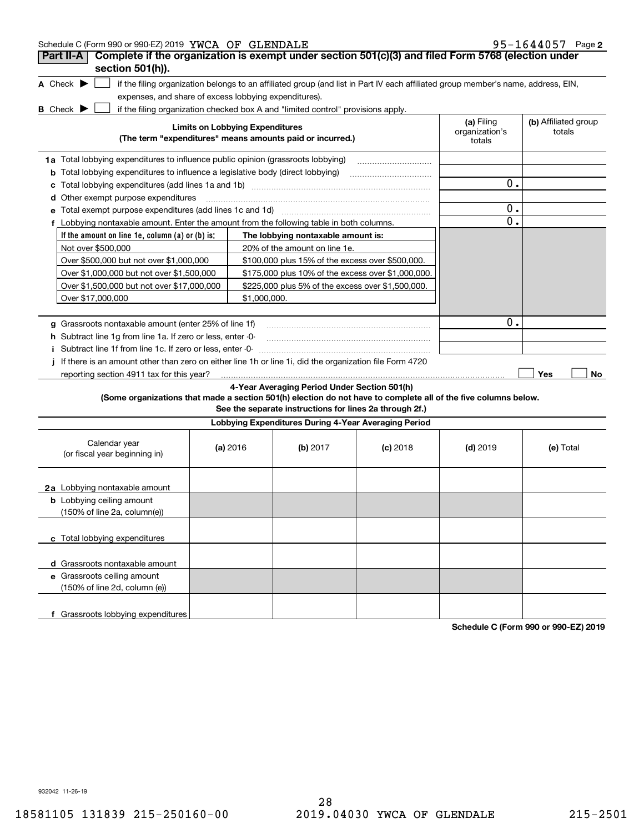| Schedule C (Form 990 or 990-EZ) 2019 YWCA OF GLENDALE |  | $95 - 1644057$ Page 2 |  |
|-------------------------------------------------------|--|-----------------------|--|
|-------------------------------------------------------|--|-----------------------|--|

| Part II-A<br>Complete if the organization is exempt under section 501(c)(3) and filed Form 5768 (election under<br>section 501(h)).                                                    |                                        |              |                                                                                                         |                                                                                                                                   |                                        |                                |
|----------------------------------------------------------------------------------------------------------------------------------------------------------------------------------------|----------------------------------------|--------------|---------------------------------------------------------------------------------------------------------|-----------------------------------------------------------------------------------------------------------------------------------|----------------------------------------|--------------------------------|
| A Check $\blacktriangleright$                                                                                                                                                          |                                        |              |                                                                                                         | if the filing organization belongs to an affiliated group (and list in Part IV each affiliated group member's name, address, EIN, |                                        |                                |
| expenses, and share of excess lobbying expenditures).                                                                                                                                  |                                        |              |                                                                                                         |                                                                                                                                   |                                        |                                |
| <b>B</b> Check <b>D</b>                                                                                                                                                                |                                        |              | if the filing organization checked box A and "limited control" provisions apply.                        |                                                                                                                                   |                                        |                                |
|                                                                                                                                                                                        | <b>Limits on Lobbying Expenditures</b> |              | (The term "expenditures" means amounts paid or incurred.)                                               |                                                                                                                                   | (a) Filing<br>organization's<br>totals | (b) Affiliated group<br>totals |
| 1a Total lobbying expenditures to influence public opinion (grassroots lobbying)                                                                                                       |                                        |              |                                                                                                         |                                                                                                                                   |                                        |                                |
| <b>b</b> Total lobbying expenditures to influence a legislative body (direct lobbying)                                                                                                 |                                        |              |                                                                                                         |                                                                                                                                   |                                        |                                |
|                                                                                                                                                                                        |                                        |              |                                                                                                         |                                                                                                                                   | О.                                     |                                |
| d Other exempt purpose expenditures                                                                                                                                                    |                                        |              |                                                                                                         |                                                                                                                                   |                                        |                                |
| Total exempt purpose expenditures (add lines 1c and 1d)                                                                                                                                |                                        |              |                                                                                                         |                                                                                                                                   | 0.                                     |                                |
| f Lobbying nontaxable amount. Enter the amount from the following table in both columns.                                                                                               |                                        |              |                                                                                                         |                                                                                                                                   | $\mathbf 0$ .                          |                                |
| If the amount on line 1e, column (a) or (b) is:                                                                                                                                        |                                        |              | The lobbying nontaxable amount is:                                                                      |                                                                                                                                   |                                        |                                |
| Not over \$500,000                                                                                                                                                                     |                                        |              | 20% of the amount on line 1e.                                                                           |                                                                                                                                   |                                        |                                |
| Over \$500,000 but not over \$1,000,000                                                                                                                                                |                                        |              | \$100,000 plus 15% of the excess over \$500,000.                                                        |                                                                                                                                   |                                        |                                |
| Over \$1,000,000 but not over \$1,500,000                                                                                                                                              |                                        |              | \$175,000 plus 10% of the excess over \$1,000,000.                                                      |                                                                                                                                   |                                        |                                |
| Over \$1,500,000 but not over \$17,000,000                                                                                                                                             |                                        |              | \$225,000 plus 5% of the excess over \$1,500,000.                                                       |                                                                                                                                   |                                        |                                |
| Over \$17,000,000                                                                                                                                                                      |                                        | \$1,000,000. |                                                                                                         |                                                                                                                                   |                                        |                                |
| g Grassroots nontaxable amount (enter 25% of line 1f)<br><b>h</b> Subtract line 1g from line 1a. If zero or less, enter -0-<br>Subtract line 1f from line 1c. If zero or less, enter 0 |                                        |              |                                                                                                         |                                                                                                                                   | Ο.                                     |                                |
| If there is an amount other than zero on either line 1h or line 1i, did the organization file Form 4720<br>reporting section 4911 tax for this year?                                   |                                        |              |                                                                                                         |                                                                                                                                   |                                        | Yes<br>No                      |
| (Some organizations that made a section 501(h) election do not have to complete all of the five columns below.                                                                         |                                        |              | 4-Year Averaging Period Under Section 501(h)<br>See the separate instructions for lines 2a through 2f.) |                                                                                                                                   |                                        |                                |
|                                                                                                                                                                                        |                                        |              | Lobbying Expenditures During 4-Year Averaging Period                                                    |                                                                                                                                   |                                        |                                |
| Calendar year<br>(or fiscal year beginning in)                                                                                                                                         | (a) 2016                               |              | (b) 2017                                                                                                | $(c)$ 2018                                                                                                                        | $(d)$ 2019                             | (e) Total                      |
| 2a Lobbying nontaxable amount                                                                                                                                                          |                                        |              |                                                                                                         |                                                                                                                                   |                                        |                                |
| <b>b</b> Lobbying ceiling amount<br>(150% of line 2a, column(e))                                                                                                                       |                                        |              |                                                                                                         |                                                                                                                                   |                                        |                                |
| c Total lobbying expenditures                                                                                                                                                          |                                        |              |                                                                                                         |                                                                                                                                   |                                        |                                |
| d Grassroots nontaxable amount                                                                                                                                                         |                                        |              |                                                                                                         |                                                                                                                                   |                                        |                                |
| e Grassroots ceiling amount<br>(150% of line 2d, column (e))                                                                                                                           |                                        |              |                                                                                                         |                                                                                                                                   |                                        |                                |
|                                                                                                                                                                                        |                                        |              |                                                                                                         |                                                                                                                                   |                                        |                                |

**Schedule C (Form 990 or 990-EZ) 2019**

932042 11-26-19

**f** Grassroots lobbying expenditures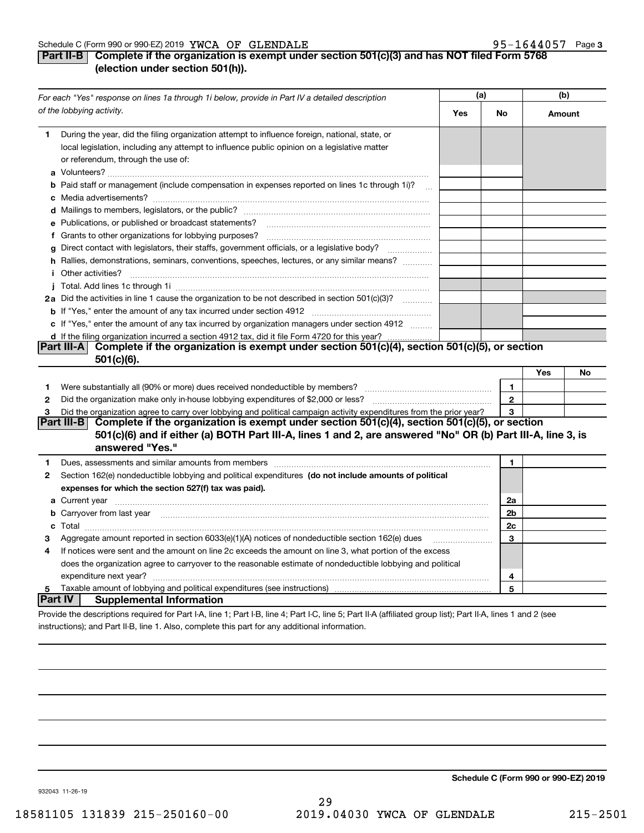### Schedule C (Form 990 or 990-EZ) 2019 Page YWCA OF GLENDALE 95-1644057

## **3**

## **Part II-B Complete if the organization is exempt under section 501(c)(3) and has NOT filed Form 5768 (election under section 501(h)).**

| For each "Yes" response on lines 1a through 1i below, provide in Part IV a detailed description |                                                                                                                                                                                                                                      | (a) |                | (b)    |    |
|-------------------------------------------------------------------------------------------------|--------------------------------------------------------------------------------------------------------------------------------------------------------------------------------------------------------------------------------------|-----|----------------|--------|----|
|                                                                                                 | of the lobbying activity.                                                                                                                                                                                                            | Yes | No             | Amount |    |
| 1                                                                                               | During the year, did the filing organization attempt to influence foreign, national, state, or<br>local legislation, including any attempt to influence public opinion on a legislative matter<br>or referendum, through the use of: |     |                |        |    |
|                                                                                                 | <b>b</b> Paid staff or management (include compensation in expenses reported on lines 1c through 1i)?                                                                                                                                |     |                |        |    |
|                                                                                                 |                                                                                                                                                                                                                                      |     |                |        |    |
|                                                                                                 | <b>e</b> Publications, or published or broadcast statements?                                                                                                                                                                         |     |                |        |    |
|                                                                                                 | f Grants to other organizations for lobbying purposes?                                                                                                                                                                               |     |                |        |    |
|                                                                                                 | g Direct contact with legislators, their staffs, government officials, or a legislative body?                                                                                                                                        |     |                |        |    |
|                                                                                                 | h Rallies, demonstrations, seminars, conventions, speeches, lectures, or any similar means?<br><i>i</i> Other activities?                                                                                                            |     |                |        |    |
|                                                                                                 |                                                                                                                                                                                                                                      |     |                |        |    |
|                                                                                                 | 2a Did the activities in line 1 cause the organization to be not described in section 501(c)(3)?                                                                                                                                     |     |                |        |    |
|                                                                                                 |                                                                                                                                                                                                                                      |     |                |        |    |
|                                                                                                 | c If "Yes," enter the amount of any tax incurred by organization managers under section 4912                                                                                                                                         |     |                |        |    |
|                                                                                                 | d If the filing organization incurred a section 4912 tax, did it file Form 4720 for this year?                                                                                                                                       |     |                |        |    |
|                                                                                                 | Complete if the organization is exempt under section $501(c)(4)$ , section $501(c)(5)$ , or section<br> Part III-A <br>$501(c)(6)$ .                                                                                                 |     |                |        |    |
|                                                                                                 |                                                                                                                                                                                                                                      |     |                | Yes    | No |
| 1                                                                                               |                                                                                                                                                                                                                                      |     | $\mathbf{1}$   |        |    |
| 2                                                                                               |                                                                                                                                                                                                                                      |     | $\overline{2}$ |        |    |
| 3                                                                                               | Did the organization agree to carry over lobbying and political campaign activity expenditures from the prior year?                                                                                                                  |     | 3              |        |    |
|                                                                                                 | Part III-B Complete if the organization is exempt under section $501(c)(4)$ , section $501(c)(5)$ , or section                                                                                                                       |     |                |        |    |
|                                                                                                 | 501(c)(6) and if either (a) BOTH Part III-A, lines 1 and 2, are answered "No" OR (b) Part III-A, line 3, is<br>answered "Yes."                                                                                                       |     |                |        |    |
| 1.                                                                                              | Dues, assessments and similar amounts from members [11] matter contracts and similar amounts from members [11] matter and similar amounts from members [11] matter and similar amounts from members [11] matter and similar am       |     | 1.             |        |    |
| 2                                                                                               | Section 162(e) nondeductible lobbying and political expenditures (do not include amounts of political                                                                                                                                |     |                |        |    |
|                                                                                                 | expenses for which the section 527(f) tax was paid).                                                                                                                                                                                 |     |                |        |    |
|                                                                                                 |                                                                                                                                                                                                                                      |     | 2a             |        |    |
|                                                                                                 | b Carryover from last year manufactured and contact the control of the control of the control of the control of the control of the control of the control of the control of the control of the control of the control of the c       |     | 2 <sub>b</sub> |        |    |
|                                                                                                 |                                                                                                                                                                                                                                      |     | 2c             |        |    |
| з                                                                                               | Aggregate amount reported in section $6033(e)(1)(A)$ notices of nondeductible section $162(e)$ dues                                                                                                                                  |     | 3              |        |    |
| 4                                                                                               | If notices were sent and the amount on line 2c exceeds the amount on line 3, what portion of the excess                                                                                                                              |     |                |        |    |
|                                                                                                 | does the organization agree to carryover to the reasonable estimate of nondeductible lobbying and political                                                                                                                          |     |                |        |    |
|                                                                                                 |                                                                                                                                                                                                                                      |     | 4              |        |    |
| 5                                                                                               |                                                                                                                                                                                                                                      |     | 5              |        |    |
|                                                                                                 | <b>Part IV</b><br><b>Supplemental Information</b>                                                                                                                                                                                    |     |                |        |    |
|                                                                                                 | Provide the descriptions required for Part I-A, line 1; Part I-B, line 4; Part I-C, line 5; Part II-A (affiliated group list); Part II-A, lines 1 and 2 (see                                                                         |     |                |        |    |
|                                                                                                 | instructions); and Part II-B, line 1. Also, complete this part for any additional information.                                                                                                                                       |     |                |        |    |

**Schedule C (Form 990 or 990-EZ) 2019**

932043 11-26-19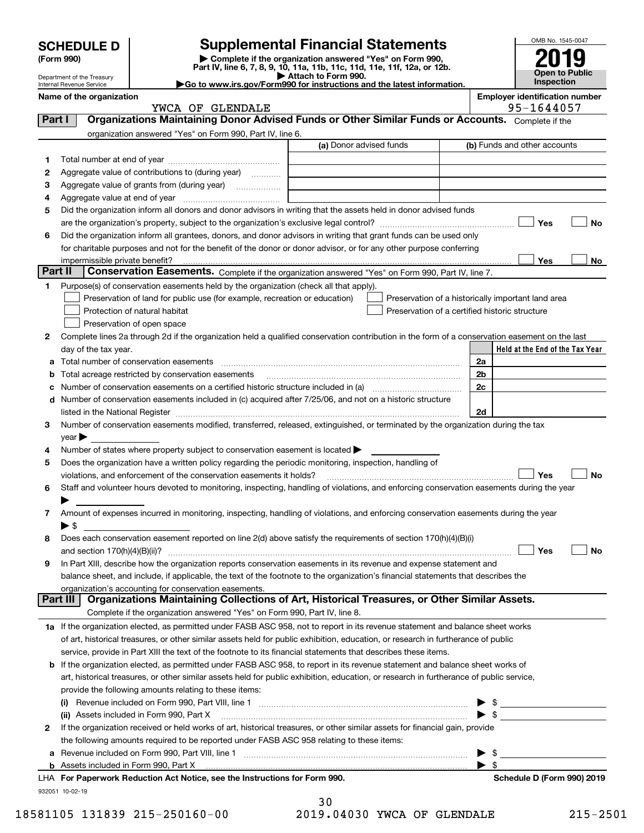|         | <b>SCHEDULE D</b><br>Supplemental Financial Statements<br>Complete if the organization answered "Yes" on Form 990, |                                                                                                        |                                                                                                                                                |                                                    |                                                     |
|---------|--------------------------------------------------------------------------------------------------------------------|--------------------------------------------------------------------------------------------------------|------------------------------------------------------------------------------------------------------------------------------------------------|----------------------------------------------------|-----------------------------------------------------|
|         | (Form 990)                                                                                                         |                                                                                                        |                                                                                                                                                |                                                    |                                                     |
|         | Department of the Treasury                                                                                         |                                                                                                        | Part IV, line 6, 7, 8, 9, 10, 11a, 11b, 11c, 11d, 11e, 11f, 12a, or 12b.<br>Attach to Form 990.                                                |                                                    | <b>Open to Public</b><br>Inspection                 |
|         | Internal Revenue Service                                                                                           |                                                                                                        | Go to www.irs.gov/Form990 for instructions and the latest information.                                                                         |                                                    |                                                     |
|         | Name of the organization                                                                                           | YWCA OF GLENDALE                                                                                       |                                                                                                                                                |                                                    | <b>Employer identification number</b><br>95-1644057 |
| Part I  |                                                                                                                    |                                                                                                        | Organizations Maintaining Donor Advised Funds or Other Similar Funds or Accounts. Complete if the                                              |                                                    |                                                     |
|         |                                                                                                                    | organization answered "Yes" on Form 990, Part IV, line 6.                                              |                                                                                                                                                |                                                    |                                                     |
|         |                                                                                                                    |                                                                                                        | (a) Donor advised funds                                                                                                                        |                                                    | (b) Funds and other accounts                        |
| 1.      |                                                                                                                    |                                                                                                        |                                                                                                                                                |                                                    |                                                     |
| 2       |                                                                                                                    | Aggregate value of contributions to (during year)                                                      |                                                                                                                                                |                                                    |                                                     |
| 3       |                                                                                                                    |                                                                                                        |                                                                                                                                                |                                                    |                                                     |
| 4       |                                                                                                                    |                                                                                                        |                                                                                                                                                |                                                    |                                                     |
| 5       |                                                                                                                    |                                                                                                        | Did the organization inform all donors and donor advisors in writing that the assets held in donor advised funds                               |                                                    |                                                     |
|         |                                                                                                                    |                                                                                                        |                                                                                                                                                |                                                    | Yes<br><b>No</b>                                    |
| 6       |                                                                                                                    |                                                                                                        | Did the organization inform all grantees, donors, and donor advisors in writing that grant funds can be used only                              |                                                    |                                                     |
|         |                                                                                                                    |                                                                                                        | for charitable purposes and not for the benefit of the donor or donor advisor, or for any other purpose conferring                             |                                                    |                                                     |
|         |                                                                                                                    |                                                                                                        |                                                                                                                                                |                                                    | Yes<br>No                                           |
| Part II |                                                                                                                    |                                                                                                        | Conservation Easements. Complete if the organization answered "Yes" on Form 990, Part IV, line 7.                                              |                                                    |                                                     |
| 1.      |                                                                                                                    | Purpose(s) of conservation easements held by the organization (check all that apply).                  |                                                                                                                                                |                                                    |                                                     |
|         |                                                                                                                    | Preservation of land for public use (for example, recreation or education)                             |                                                                                                                                                | Preservation of a historically important land area |                                                     |
|         |                                                                                                                    | Protection of natural habitat                                                                          |                                                                                                                                                | Preservation of a certified historic structure     |                                                     |
|         |                                                                                                                    | Preservation of open space                                                                             |                                                                                                                                                |                                                    |                                                     |
| 2       | day of the tax year.                                                                                               |                                                                                                        | Complete lines 2a through 2d if the organization held a qualified conservation contribution in the form of a conservation easement on the last |                                                    | Held at the End of the Tax Year                     |
|         |                                                                                                                    |                                                                                                        |                                                                                                                                                | 2a                                                 |                                                     |
|         |                                                                                                                    | <b>b</b> Total acreage restricted by conservation easements                                            |                                                                                                                                                | 2b                                                 |                                                     |
|         |                                                                                                                    |                                                                                                        | c Number of conservation easements on a certified historic structure included in (a) manufacture included in (a)                               | 2c                                                 |                                                     |
|         |                                                                                                                    |                                                                                                        | d Number of conservation easements included in (c) acquired after 7/25/06, and not on a historic structure                                     |                                                    |                                                     |
|         |                                                                                                                    |                                                                                                        |                                                                                                                                                | 2d                                                 |                                                     |
| 3       |                                                                                                                    |                                                                                                        | Number of conservation easements modified, transferred, released, extinguished, or terminated by the organization during the tax               |                                                    |                                                     |
|         | $\gamma$ ear $\blacktriangleright$                                                                                 |                                                                                                        |                                                                                                                                                |                                                    |                                                     |
| 4       |                                                                                                                    | Number of states where property subject to conservation easement is located $\blacktriangleright$      |                                                                                                                                                |                                                    |                                                     |
| 5       |                                                                                                                    | Does the organization have a written policy regarding the periodic monitoring, inspection, handling of |                                                                                                                                                |                                                    |                                                     |
|         |                                                                                                                    | violations, and enforcement of the conservation easements it holds?                                    |                                                                                                                                                |                                                    | Yes<br><b>No</b>                                    |
| 6       |                                                                                                                    |                                                                                                        | Staff and volunteer hours devoted to monitoring, inspecting, handling of violations, and enforcing conservation easements during the year      |                                                    |                                                     |
|         |                                                                                                                    |                                                                                                        |                                                                                                                                                |                                                    |                                                     |
|         |                                                                                                                    |                                                                                                        | Amount of expenses incurred in monitoring, inspecting, handling of violations, and enforcing conservation easements during the year            |                                                    |                                                     |
|         | $\blacktriangleright$ \$                                                                                           |                                                                                                        |                                                                                                                                                |                                                    |                                                     |
| 8       |                                                                                                                    |                                                                                                        | Does each conservation easement reported on line 2(d) above satisfy the requirements of section 170(h)(4)(B)(i)                                |                                                    |                                                     |
|         |                                                                                                                    |                                                                                                        |                                                                                                                                                |                                                    | Yes<br>No                                           |
| 9       |                                                                                                                    |                                                                                                        | In Part XIII, describe how the organization reports conservation easements in its revenue and expense statement and                            |                                                    |                                                     |
|         |                                                                                                                    | organization's accounting for conservation easements.                                                  | balance sheet, and include, if applicable, the text of the footnote to the organization's financial statements that describes the              |                                                    |                                                     |
|         | Part III                                                                                                           |                                                                                                        | Organizations Maintaining Collections of Art, Historical Treasures, or Other Similar Assets.                                                   |                                                    |                                                     |
|         |                                                                                                                    | Complete if the organization answered "Yes" on Form 990, Part IV, line 8.                              |                                                                                                                                                |                                                    |                                                     |
|         |                                                                                                                    |                                                                                                        | 1a If the organization elected, as permitted under FASB ASC 958, not to report in its revenue statement and balance sheet works                |                                                    |                                                     |
|         |                                                                                                                    |                                                                                                        | of art, historical treasures, or other similar assets held for public exhibition, education, or research in furtherance of public              |                                                    |                                                     |
|         |                                                                                                                    |                                                                                                        | service, provide in Part XIII the text of the footnote to its financial statements that describes these items.                                 |                                                    |                                                     |
|         |                                                                                                                    |                                                                                                        | <b>b</b> If the organization elected, as permitted under FASB ASC 958, to report in its revenue statement and balance sheet works of           |                                                    |                                                     |
|         |                                                                                                                    |                                                                                                        | art, historical treasures, or other similar assets held for public exhibition, education, or research in furtherance of public service,        |                                                    |                                                     |
|         |                                                                                                                    | provide the following amounts relating to these items:                                                 |                                                                                                                                                |                                                    |                                                     |
|         |                                                                                                                    |                                                                                                        |                                                                                                                                                | $\blacktriangleright$ s                            |                                                     |
|         |                                                                                                                    | (ii) Assets included in Form 990, Part X                                                               |                                                                                                                                                | $\blacktriangleright$ \$                           |                                                     |
| 2       |                                                                                                                    |                                                                                                        | If the organization received or held works of art, historical treasures, or other similar assets for financial gain, provide                   |                                                    |                                                     |
|         |                                                                                                                    | the following amounts required to be reported under FASB ASC 958 relating to these items:              |                                                                                                                                                |                                                    |                                                     |
|         |                                                                                                                    |                                                                                                        |                                                                                                                                                | $\blacktriangleright$ s                            |                                                     |
|         |                                                                                                                    |                                                                                                        | $\sim$ $\sim$ $\sim$<br>$\sim$                                                                                                                 | $\blacktriangleright$ \$                           |                                                     |

932051 10-02-19 **For Paperwork Reduction Act Notice, see the Instructions for Form 990. Schedule D (Form 990) 2019** LHA

18581105 131839 215-250160-00 2019.04030 YWCA OF GLENDALE 215-2501

30

| <b>CHEDULE D</b> | <b>Supplemental Financial Statements</b> |
|------------------|------------------------------------------|
|                  |                                          |

OMB No. 1545-0047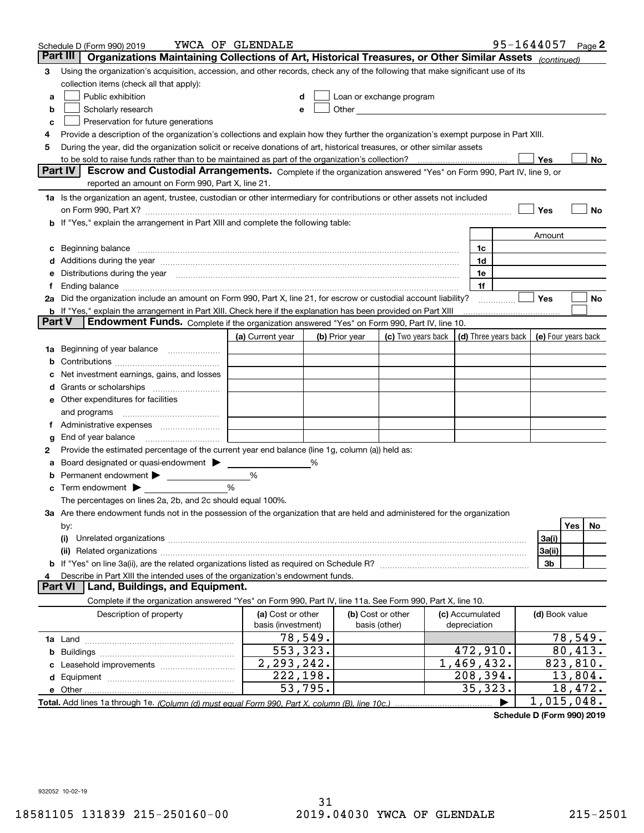|        | Schedule D (Form 990) 2019                                                                                                                                                                                                     | YWCA OF GLENDALE   |                |                                                                                                                                                                                                                               |                         | 95-1644057     | Page 2              |
|--------|--------------------------------------------------------------------------------------------------------------------------------------------------------------------------------------------------------------------------------|--------------------|----------------|-------------------------------------------------------------------------------------------------------------------------------------------------------------------------------------------------------------------------------|-------------------------|----------------|---------------------|
|        | Organizations Maintaining Collections of Art, Historical Treasures, or Other Similar Assets (continued)<br>Part III                                                                                                            |                    |                |                                                                                                                                                                                                                               |                         |                |                     |
| 3      | Using the organization's acquisition, accession, and other records, check any of the following that make significant use of its                                                                                                |                    |                |                                                                                                                                                                                                                               |                         |                |                     |
|        | collection items (check all that apply):                                                                                                                                                                                       |                    |                |                                                                                                                                                                                                                               |                         |                |                     |
| a      | Public exhibition                                                                                                                                                                                                              |                    |                | Loan or exchange program                                                                                                                                                                                                      |                         |                |                     |
| b      | Scholarly research                                                                                                                                                                                                             | е                  |                | Other and the contract of the contract of the contract of the contract of the contract of the contract of the contract of the contract of the contract of the contract of the contract of the contract of the contract of the |                         |                |                     |
| c      | Preservation for future generations                                                                                                                                                                                            |                    |                |                                                                                                                                                                                                                               |                         |                |                     |
| 4      | Provide a description of the organization's collections and explain how they further the organization's exempt purpose in Part XIII.                                                                                           |                    |                |                                                                                                                                                                                                                               |                         |                |                     |
| 5      | During the year, did the organization solicit or receive donations of art, historical treasures, or other similar assets                                                                                                       |                    |                |                                                                                                                                                                                                                               |                         |                |                     |
|        | to be sold to raise funds rather than to be maintained as part of the organization's collection?                                                                                                                               |                    |                |                                                                                                                                                                                                                               |                         | Yes            | No                  |
|        | <b>Part IV</b><br>Escrow and Custodial Arrangements. Complete if the organization answered "Yes" on Form 990, Part IV, line 9, or                                                                                              |                    |                |                                                                                                                                                                                                                               |                         |                |                     |
|        | reported an amount on Form 990, Part X, line 21.                                                                                                                                                                               |                    |                |                                                                                                                                                                                                                               |                         |                |                     |
|        | 1a Is the organization an agent, trustee, custodian or other intermediary for contributions or other assets not included                                                                                                       |                    |                |                                                                                                                                                                                                                               |                         |                |                     |
|        |                                                                                                                                                                                                                                |                    |                |                                                                                                                                                                                                                               |                         | Yes            | No                  |
|        | b If "Yes," explain the arrangement in Part XIII and complete the following table:                                                                                                                                             |                    |                |                                                                                                                                                                                                                               |                         |                |                     |
|        |                                                                                                                                                                                                                                |                    |                |                                                                                                                                                                                                                               |                         | Amount         |                     |
|        | Beginning balance                                                                                                                                                                                                              |                    |                |                                                                                                                                                                                                                               | 1c                      |                |                     |
|        | Additions during the year manufactured and an annual contract of the year manufactured and a set of the year manufactured and a set of the year manufactured and a set of the year manufactured and a set of the year manufact |                    |                |                                                                                                                                                                                                                               | 1d                      |                |                     |
|        | Distributions during the year manufactured and continuum and contained and the year manufactured and contained                                                                                                                 |                    |                |                                                                                                                                                                                                                               | 1e                      |                |                     |
|        |                                                                                                                                                                                                                                |                    |                |                                                                                                                                                                                                                               | 1f                      |                |                     |
|        | 2a Did the organization include an amount on Form 990, Part X, line 21, for escrow or custodial account liability?                                                                                                             |                    |                |                                                                                                                                                                                                                               |                         | Yes            | No                  |
|        | <b>b</b> If "Yes," explain the arrangement in Part XIII. Check here if the explanation has been provided on Part XIII                                                                                                          |                    |                |                                                                                                                                                                                                                               |                         |                |                     |
| Part V | Endowment Funds. Complete if the organization answered "Yes" on Form 990, Part IV, line 10.                                                                                                                                    |                    |                |                                                                                                                                                                                                                               |                         |                |                     |
|        |                                                                                                                                                                                                                                | (a) Current year   | (b) Prior year | (c) Two years back                                                                                                                                                                                                            | (d) Three years back    |                | (e) Four years back |
| 1a     | Beginning of year balance                                                                                                                                                                                                      |                    |                |                                                                                                                                                                                                                               |                         |                |                     |
|        |                                                                                                                                                                                                                                |                    |                |                                                                                                                                                                                                                               |                         |                |                     |
|        | Net investment earnings, gains, and losses                                                                                                                                                                                     |                    |                |                                                                                                                                                                                                                               |                         |                |                     |
|        |                                                                                                                                                                                                                                |                    |                |                                                                                                                                                                                                                               |                         |                |                     |
| е      | Other expenditures for facilities                                                                                                                                                                                              |                    |                |                                                                                                                                                                                                                               |                         |                |                     |
|        | and programs                                                                                                                                                                                                                   |                    |                |                                                                                                                                                                                                                               |                         |                |                     |
|        |                                                                                                                                                                                                                                |                    |                |                                                                                                                                                                                                                               |                         |                |                     |
| g      | End of year balance                                                                                                                                                                                                            |                    |                |                                                                                                                                                                                                                               |                         |                |                     |
| 2      | Provide the estimated percentage of the current year end balance (line 1g, column (a)) held as:                                                                                                                                |                    |                |                                                                                                                                                                                                                               |                         |                |                     |
|        | Board designated or quasi-endowment<br>Permanent endowment                                                                                                                                                                     |                    | %              |                                                                                                                                                                                                                               |                         |                |                     |
|        |                                                                                                                                                                                                                                | %<br>%             |                |                                                                                                                                                                                                                               |                         |                |                     |
| с      | Term endowment ><br>The percentages on lines 2a, 2b, and 2c should equal 100%.                                                                                                                                                 |                    |                |                                                                                                                                                                                                                               |                         |                |                     |
|        |                                                                                                                                                                                                                                |                    |                |                                                                                                                                                                                                                               |                         |                |                     |
|        | 3a Are there endowment funds not in the possession of the organization that are held and administered for the organization<br>by:                                                                                              |                    |                |                                                                                                                                                                                                                               |                         |                | Yes<br>No           |
|        | (i)                                                                                                                                                                                                                            |                    |                |                                                                                                                                                                                                                               |                         | 3a(i)          |                     |
|        |                                                                                                                                                                                                                                |                    |                |                                                                                                                                                                                                                               |                         | 3a(ii)         |                     |
|        |                                                                                                                                                                                                                                |                    |                |                                                                                                                                                                                                                               |                         | 3b             |                     |
|        | Describe in Part XIII the intended uses of the organization's endowment funds.                                                                                                                                                 |                    |                |                                                                                                                                                                                                                               |                         |                |                     |
|        | Land, Buildings, and Equipment.<br>Part VI                                                                                                                                                                                     |                    |                |                                                                                                                                                                                                                               |                         |                |                     |
|        | Complete if the organization answered "Yes" on Form 990, Part IV, line 11a. See Form 990, Part X, line 10.                                                                                                                     |                    |                |                                                                                                                                                                                                                               |                         |                |                     |
|        | Description of property                                                                                                                                                                                                        | (a) Cost or other  |                | (b) Cost or other                                                                                                                                                                                                             | (c) Accumulated         | (d) Book value |                     |
|        |                                                                                                                                                                                                                                | basis (investment) |                | basis (other)                                                                                                                                                                                                                 | depreciation            |                |                     |
|        |                                                                                                                                                                                                                                |                    | 78,549.        |                                                                                                                                                                                                                               |                         |                | 78,549.             |
| b      |                                                                                                                                                                                                                                | 553,323.           |                |                                                                                                                                                                                                                               | 472,910.                |                | 80,413.             |
|        |                                                                                                                                                                                                                                | 2,293,242.         |                |                                                                                                                                                                                                                               | 1,469,432.              |                | 823,810.            |
| d      |                                                                                                                                                                                                                                | 222,198.           |                |                                                                                                                                                                                                                               | $\overline{208}$ , 394. |                | 13,804.             |
|        |                                                                                                                                                                                                                                |                    | 53,795.        |                                                                                                                                                                                                                               | 35,323.                 |                | 18,472.             |
|        |                                                                                                                                                                                                                                |                    |                |                                                                                                                                                                                                                               |                         |                | 1,015,048.          |

**Schedule D (Form 990) 2019**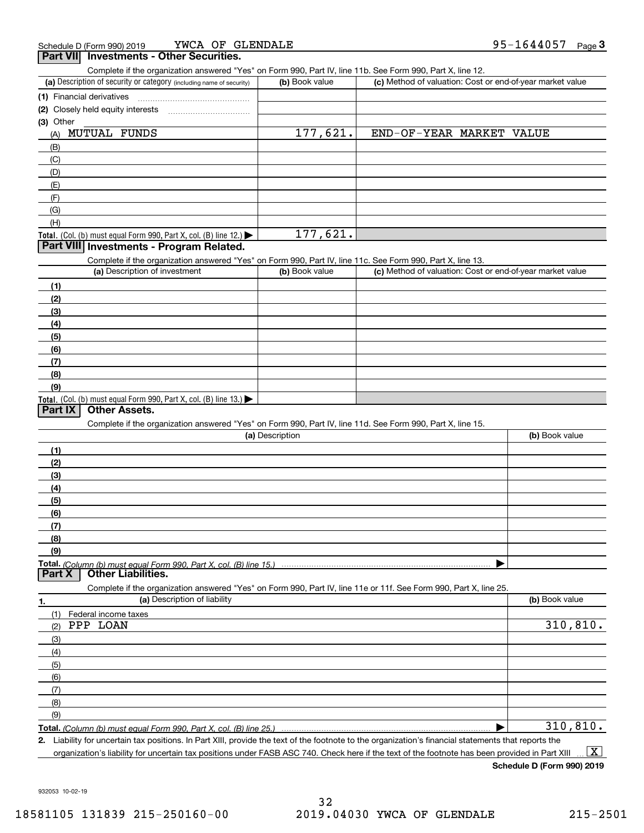| Complete if the organization answered "Yes" on Form 990, Part IV, line 11b. See Form 990, Part X, line 12.        |                 |                                                           |                |
|-------------------------------------------------------------------------------------------------------------------|-----------------|-----------------------------------------------------------|----------------|
| (a) Description of security or category (including name of security)                                              | (b) Book value  | (c) Method of valuation: Cost or end-of-year market value |                |
| (1) Financial derivatives                                                                                         |                 |                                                           |                |
| (2) Closely held equity interests                                                                                 |                 |                                                           |                |
| (3) Other                                                                                                         |                 |                                                           |                |
| MUTUAL FUNDS<br>(A)                                                                                               | 177,621.        | END-OF-YEAR MARKET VALUE                                  |                |
| (B)                                                                                                               |                 |                                                           |                |
| (C)                                                                                                               |                 |                                                           |                |
| (D)                                                                                                               |                 |                                                           |                |
|                                                                                                                   |                 |                                                           |                |
| (E)                                                                                                               |                 |                                                           |                |
| (F)                                                                                                               |                 |                                                           |                |
| (G)                                                                                                               |                 |                                                           |                |
| (H)                                                                                                               |                 |                                                           |                |
| Total. (Col. (b) must equal Form 990, Part X, col. (B) line 12.)                                                  | 177,621.        |                                                           |                |
| Part VIII Investments - Program Related.                                                                          |                 |                                                           |                |
| Complete if the organization answered "Yes" on Form 990, Part IV, line 11c. See Form 990, Part X, line 13.        |                 |                                                           |                |
| (a) Description of investment                                                                                     | (b) Book value  | (c) Method of valuation: Cost or end-of-year market value |                |
| (1)                                                                                                               |                 |                                                           |                |
| (2)                                                                                                               |                 |                                                           |                |
| (3)                                                                                                               |                 |                                                           |                |
| (4)                                                                                                               |                 |                                                           |                |
| (5)                                                                                                               |                 |                                                           |                |
| (6)                                                                                                               |                 |                                                           |                |
| (7)                                                                                                               |                 |                                                           |                |
| (8)                                                                                                               |                 |                                                           |                |
| (9)                                                                                                               |                 |                                                           |                |
| Total. (Col. (b) must equal Form 990, Part X, col. (B) line 13.) $\blacktriangleright$                            |                 |                                                           |                |
| Part IX<br><b>Other Assets.</b>                                                                                   |                 |                                                           |                |
| Complete if the organization answered "Yes" on Form 990, Part IV, line 11d. See Form 990, Part X, line 15.        |                 |                                                           |                |
|                                                                                                                   | (a) Description |                                                           | (b) Book value |
|                                                                                                                   |                 |                                                           |                |
| (1)                                                                                                               |                 |                                                           |                |
| (2)                                                                                                               |                 |                                                           |                |
| (3)                                                                                                               |                 |                                                           |                |
| (4)                                                                                                               |                 |                                                           |                |
| (5)                                                                                                               |                 |                                                           |                |
| (6)                                                                                                               |                 |                                                           |                |
| (7)                                                                                                               |                 |                                                           |                |
| (8)                                                                                                               |                 |                                                           |                |
| (9)                                                                                                               |                 |                                                           |                |
| Total. (Column (b) must equal Form 990. Part X. col. (B) line 15.)<br><b>Other Liabilities.</b><br>Part X         |                 |                                                           |                |
| Complete if the organization answered "Yes" on Form 990, Part IV, line 11e or 11f. See Form 990, Part X, line 25. |                 |                                                           |                |
| (a) Description of liability<br>1.                                                                                |                 |                                                           | (b) Book value |
| (1)<br>Federal income taxes                                                                                       |                 |                                                           |                |
| PPP LOAN<br>(2)                                                                                                   |                 |                                                           | 310, 810.      |
| (3)                                                                                                               |                 |                                                           |                |
| (4)                                                                                                               |                 |                                                           |                |
| (5)                                                                                                               |                 |                                                           |                |
|                                                                                                                   |                 |                                                           |                |
| (6)                                                                                                               |                 |                                                           |                |
| (7)                                                                                                               |                 |                                                           |                |
| (8)                                                                                                               |                 |                                                           |                |
| (9)                                                                                                               |                 |                                                           |                |
| Total. (Column (b) must equal Form 990, Part X, col. (B) line 25.)                                                |                 |                                                           | 310,810.       |

**2.** Liability for uncertain tax positions. In Part XIII, provide the text of the footnote to the organization's financial statements that reports the organization's liability for uncertain tax positions under FASB ASC 740. Check here if the text of the footnote has been provided in Part XIII  $\boxed{\text{X}}$ 

**Schedule D (Form 990) 2019**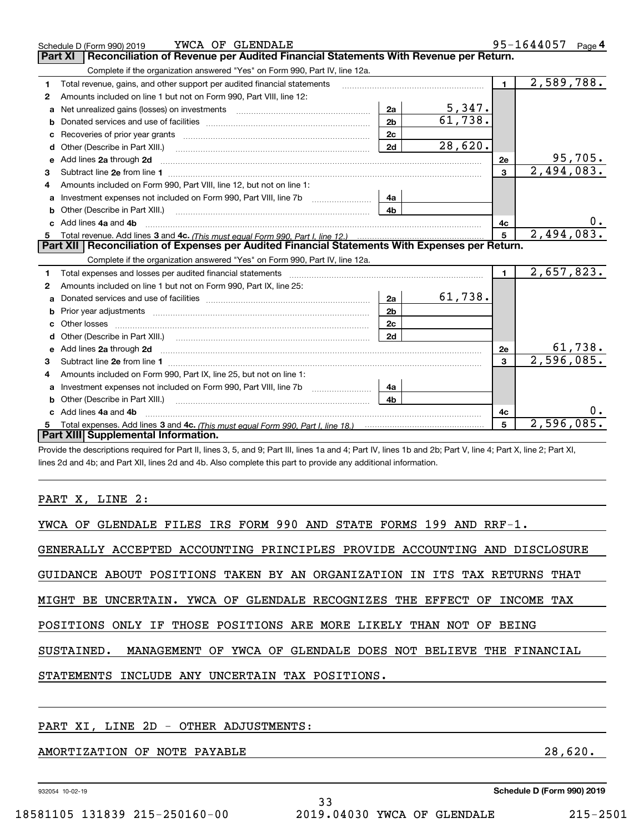|    | YWCA OF GLENDALE<br>Schedule D (Form 990) 2019                                                                                                                                                                                |                |         |                 | 95-1644057 Page 4       |          |
|----|-------------------------------------------------------------------------------------------------------------------------------------------------------------------------------------------------------------------------------|----------------|---------|-----------------|-------------------------|----------|
|    | Reconciliation of Revenue per Audited Financial Statements With Revenue per Return.<br>Part XI                                                                                                                                |                |         |                 |                         |          |
|    | Complete if the organization answered "Yes" on Form 990, Part IV, line 12a.                                                                                                                                                   |                |         |                 |                         |          |
| 1. | Total revenue, gains, and other support per audited financial statements                                                                                                                                                      |                |         | $\blacksquare$  | 2,589,788.              |          |
| 2  | Amounts included on line 1 but not on Form 990, Part VIII, line 12:                                                                                                                                                           |                |         |                 |                         |          |
| a  |                                                                                                                                                                                                                               | 2a             | 5,347.  |                 |                         |          |
|    |                                                                                                                                                                                                                               | 2 <sub>b</sub> | 61,738. |                 |                         |          |
| c  |                                                                                                                                                                                                                               | 2 <sub>c</sub> |         |                 |                         |          |
| d  | Other (Describe in Part XIII.)                                                                                                                                                                                                | 2d             | 28,620. |                 |                         |          |
| е  | Add lines 2a through 2d                                                                                                                                                                                                       |                |         | 2e              |                         | 95,705.  |
| 3  |                                                                                                                                                                                                                               |                |         | $\mathbf{3}$    | $\overline{2,494,083.}$ |          |
| 4  | Amounts included on Form 990, Part VIII, line 12, but not on line 1:                                                                                                                                                          |                |         |                 |                         |          |
|    |                                                                                                                                                                                                                               | 4a             |         |                 |                         |          |
|    | <b>b</b> Other (Describe in Part XIII.)                                                                                                                                                                                       | 4 <sub>b</sub> |         |                 |                         |          |
|    | c Add lines 4a and 4b                                                                                                                                                                                                         |                |         | 4c              |                         |          |
|    |                                                                                                                                                                                                                               |                |         | $5\phantom{.0}$ | $\overline{2,494,083.}$ |          |
|    | Part XII   Reconciliation of Expenses per Audited Financial Statements With Expenses per Return.                                                                                                                              |                |         |                 |                         |          |
|    | Complete if the organization answered "Yes" on Form 990, Part IV, line 12a.                                                                                                                                                   |                |         |                 |                         |          |
| 1  |                                                                                                                                                                                                                               |                |         | $\mathbf{1}$    | 2,657,823.              |          |
| 2  | Amounts included on line 1 but not on Form 990, Part IX, line 25:                                                                                                                                                             |                |         |                 |                         |          |
| a  |                                                                                                                                                                                                                               | 2a             | 61,738. |                 |                         |          |
| b  | Prior year adjustments manufactured and contract and contract and contract and contract and contract and contract and contract and contract and contract and contract and contract and contract and contract and contract and | 2 <sub>b</sub> |         |                 |                         |          |
| C. | Other losses                                                                                                                                                                                                                  | 2 <sub>c</sub> |         |                 |                         |          |
| d  | Other (Describe in Part XIII.) <b>Construction Contract Construction</b>                                                                                                                                                      | 2d             |         |                 |                         |          |
| е  |                                                                                                                                                                                                                               |                |         | 2e              |                         | 61, 738. |
| 3  |                                                                                                                                                                                                                               |                |         | 3               | 2,596,085.              |          |
|    | Amounts included on Form 990, Part IX, line 25, but not on line 1:                                                                                                                                                            |                |         |                 |                         |          |
| a  |                                                                                                                                                                                                                               | 4a             |         |                 |                         |          |
|    | <b>b</b> Other (Describe in Part XIII.)                                                                                                                                                                                       | 4 <sub>b</sub> |         |                 |                         |          |
| c. | Add lines 4a and 4b                                                                                                                                                                                                           |                |         | 4c              |                         | $0$ .    |
| 5  |                                                                                                                                                                                                                               |                |         | 5               | 2,596,085.              |          |
|    | Part XIII Supplemental Information.                                                                                                                                                                                           |                |         |                 |                         |          |
|    | Draughs the descriptions required for Dart II, lines 2, 5, and 0; Dart III, lines 10, and 4; Dart IV, lines 1b, and 2b; Dart V, line 4; Dart V, line 2; Dart VI                                                               |                |         |                 |                         |          |

Provide the descriptions required for Part II, lines 3, 5, and 9; Part III, lines 1a and 4; Part IV, lines 1b and 2b; Part V, line 4; Part X, line 2; Part XI, lines 2d and 4b; and Part XII, lines 2d and 4b. Also complete this part to provide any additional information.

PART X, LINE 2:

YWCA OF GLENDALE FILES IRS FORM 990 AND STATE FORMS 199 AND RRF-1.

GENERALLY ACCEPTED ACCOUNTING PRINCIPLES PROVIDE ACCOUNTING AND DISCLOSURE

GUIDANCE ABOUT POSITIONS TAKEN BY AN ORGANIZATION IN ITS TAX RETURNS THAT

MIGHT BE UNCERTAIN. YWCA OF GLENDALE RECOGNIZES THE EFFECT OF INCOME TAX

POSITIONS ONLY IF THOSE POSITIONS ARE MORE LIKELY THAN NOT OF BEING

SUSTAINED. MANAGEMENT OF YWCA OF GLENDALE DOES NOT BELIEVE THE FINANCIAL

STATEMENTS INCLUDE ANY UNCERTAIN TAX POSITIONS.

## PART XI, LINE 2D - OTHER ADJUSTMENTS:

AMORTIZATION OF NOTE PAYABLE **28,620.**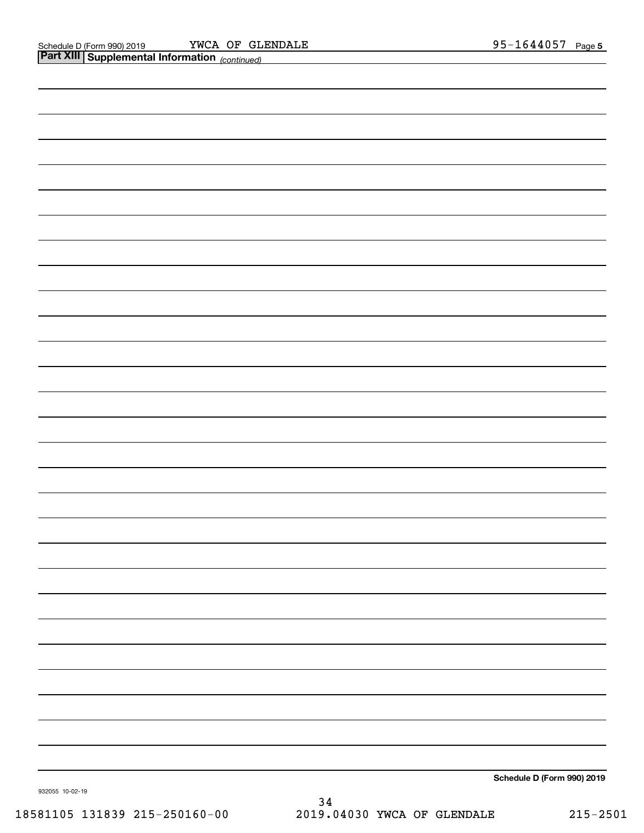| <b>Part XIII Supplemental Information</b> (continued) |                            |
|-------------------------------------------------------|----------------------------|
|                                                       |                            |
|                                                       |                            |
|                                                       |                            |
|                                                       |                            |
|                                                       |                            |
|                                                       |                            |
|                                                       |                            |
|                                                       |                            |
|                                                       |                            |
|                                                       |                            |
|                                                       |                            |
|                                                       |                            |
|                                                       |                            |
|                                                       |                            |
|                                                       |                            |
|                                                       |                            |
|                                                       |                            |
|                                                       |                            |
|                                                       |                            |
|                                                       |                            |
|                                                       |                            |
|                                                       |                            |
|                                                       |                            |
|                                                       |                            |
|                                                       |                            |
|                                                       |                            |
|                                                       |                            |
|                                                       |                            |
|                                                       |                            |
|                                                       |                            |
|                                                       |                            |
|                                                       |                            |
|                                                       |                            |
|                                                       |                            |
|                                                       |                            |
|                                                       |                            |
|                                                       |                            |
|                                                       |                            |
|                                                       |                            |
|                                                       | Schedule D (Form 990) 2019 |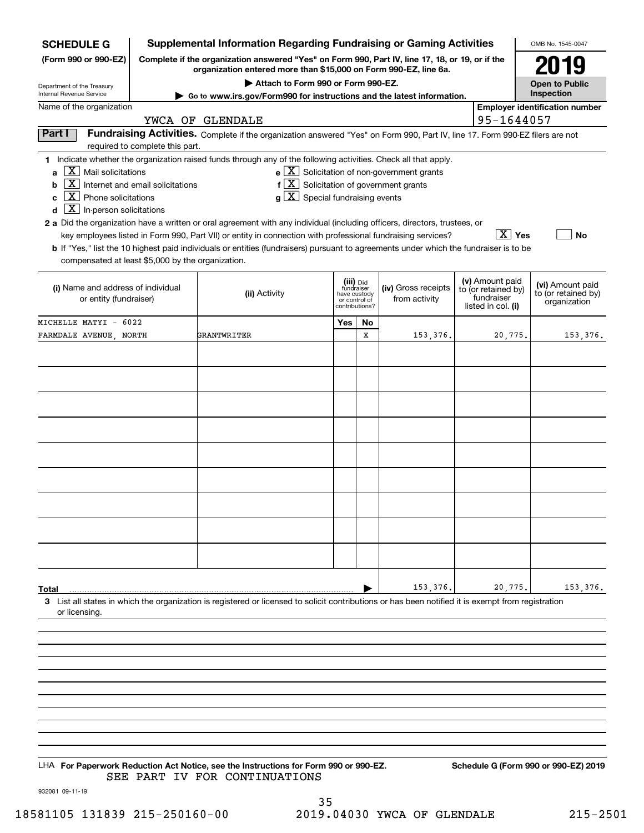| <b>SCHEDULE G</b>                                                                                                                                                                            |  | <b>Supplemental Information Regarding Fundraising or Gaming Activities</b>                                                                                                                                                                                                                                                                                                                                                                                                                                                                                                                                     |                                                                            |    |                                                                      |                                                                            |                                     | OMB No. 1545-0047                                       |
|----------------------------------------------------------------------------------------------------------------------------------------------------------------------------------------------|--|----------------------------------------------------------------------------------------------------------------------------------------------------------------------------------------------------------------------------------------------------------------------------------------------------------------------------------------------------------------------------------------------------------------------------------------------------------------------------------------------------------------------------------------------------------------------------------------------------------------|----------------------------------------------------------------------------|----|----------------------------------------------------------------------|----------------------------------------------------------------------------|-------------------------------------|---------------------------------------------------------|
| (Form 990 or 990-EZ)<br>Complete if the organization answered "Yes" on Form 990, Part IV, line 17, 18, or 19, or if the<br>organization entered more than \$15,000 on Form 990-EZ, line 6a.  |  |                                                                                                                                                                                                                                                                                                                                                                                                                                                                                                                                                                                                                |                                                                            |    |                                                                      | 2019                                                                       |                                     |                                                         |
| Attach to Form 990 or Form 990-EZ.<br>Department of the Treasury                                                                                                                             |  |                                                                                                                                                                                                                                                                                                                                                                                                                                                                                                                                                                                                                |                                                                            |    |                                                                      |                                                                            | <b>Open to Public</b><br>Inspection |                                                         |
| Internal Revenue Service<br>► Go to www.irs.gov/Form990 for instructions and the latest information.<br>Name of the organization                                                             |  |                                                                                                                                                                                                                                                                                                                                                                                                                                                                                                                                                                                                                |                                                                            |    |                                                                      | <b>Employer identification number</b>                                      |                                     |                                                         |
|                                                                                                                                                                                              |  | YWCA OF GLENDALE                                                                                                                                                                                                                                                                                                                                                                                                                                                                                                                                                                                               |                                                                            |    |                                                                      |                                                                            | 95-1644057                          |                                                         |
| Part I                                                                                                                                                                                       |  | Fundraising Activities. Complete if the organization answered "Yes" on Form 990, Part IV, line 17. Form 990-EZ filers are not                                                                                                                                                                                                                                                                                                                                                                                                                                                                                  |                                                                            |    |                                                                      |                                                                            |                                     |                                                         |
| required to complete this part.                                                                                                                                                              |  |                                                                                                                                                                                                                                                                                                                                                                                                                                                                                                                                                                                                                |                                                                            |    |                                                                      |                                                                            |                                     |                                                         |
| $\overline{X}$ Mail solicitations<br>a<br>$\mathbf{X}$ Internet and email solicitations<br>b<br>$\boxed{\textbf{X}}$ Phone solicitations<br>c<br>$\overline{X}$ In-person solicitations<br>d |  | 1 Indicate whether the organization raised funds through any of the following activities. Check all that apply.<br>$f\left[\frac{X}{X}\right]$ Solicitation of government grants<br>$g\mid X$ Special fundraising events<br>2 a Did the organization have a written or oral agreement with any individual (including officers, directors, trustees, or<br>key employees listed in Form 990, Part VII) or entity in connection with professional fundraising services?<br>b If "Yes," list the 10 highest paid individuals or entities (fundraisers) pursuant to agreements under which the fundraiser is to be |                                                                            |    | $\mathbf{e} \times \mathbf{X}$ Solicitation of non-government grants |                                                                            | $\overline{X}$ Yes                  | No                                                      |
| compensated at least \$5,000 by the organization.                                                                                                                                            |  |                                                                                                                                                                                                                                                                                                                                                                                                                                                                                                                                                                                                                |                                                                            |    |                                                                      |                                                                            |                                     |                                                         |
| (i) Name and address of individual<br>or entity (fundraiser)                                                                                                                                 |  | (ii) Activity                                                                                                                                                                                                                                                                                                                                                                                                                                                                                                                                                                                                  | (iii) Did<br>fundraiser<br>have custody<br>or control of<br>contributions? |    | (iv) Gross receipts<br>from activity                                 | (v) Amount paid<br>to (or retained by)<br>fundraiser<br>listed in col. (i) |                                     | (vi) Amount paid<br>to (or retained by)<br>organization |
| MICHELLE MATYI - 6022                                                                                                                                                                        |  |                                                                                                                                                                                                                                                                                                                                                                                                                                                                                                                                                                                                                | Yes                                                                        | No |                                                                      |                                                                            |                                     |                                                         |
| FARMDALE AVENUE, NORTH                                                                                                                                                                       |  | GRANTWRITER                                                                                                                                                                                                                                                                                                                                                                                                                                                                                                                                                                                                    |                                                                            | X  | 153,376.                                                             |                                                                            | 20,775.                             | 153,376.                                                |
|                                                                                                                                                                                              |  |                                                                                                                                                                                                                                                                                                                                                                                                                                                                                                                                                                                                                |                                                                            |    |                                                                      |                                                                            |                                     |                                                         |
|                                                                                                                                                                                              |  |                                                                                                                                                                                                                                                                                                                                                                                                                                                                                                                                                                                                                |                                                                            |    |                                                                      |                                                                            |                                     |                                                         |
|                                                                                                                                                                                              |  |                                                                                                                                                                                                                                                                                                                                                                                                                                                                                                                                                                                                                |                                                                            |    |                                                                      |                                                                            |                                     |                                                         |
|                                                                                                                                                                                              |  |                                                                                                                                                                                                                                                                                                                                                                                                                                                                                                                                                                                                                |                                                                            |    |                                                                      |                                                                            |                                     |                                                         |
|                                                                                                                                                                                              |  |                                                                                                                                                                                                                                                                                                                                                                                                                                                                                                                                                                                                                |                                                                            |    |                                                                      |                                                                            |                                     |                                                         |
|                                                                                                                                                                                              |  |                                                                                                                                                                                                                                                                                                                                                                                                                                                                                                                                                                                                                |                                                                            |    |                                                                      |                                                                            |                                     |                                                         |
|                                                                                                                                                                                              |  |                                                                                                                                                                                                                                                                                                                                                                                                                                                                                                                                                                                                                |                                                                            |    |                                                                      |                                                                            |                                     |                                                         |
|                                                                                                                                                                                              |  |                                                                                                                                                                                                                                                                                                                                                                                                                                                                                                                                                                                                                |                                                                            |    |                                                                      |                                                                            |                                     |                                                         |
|                                                                                                                                                                                              |  |                                                                                                                                                                                                                                                                                                                                                                                                                                                                                                                                                                                                                |                                                                            |    |                                                                      |                                                                            |                                     |                                                         |
|                                                                                                                                                                                              |  |                                                                                                                                                                                                                                                                                                                                                                                                                                                                                                                                                                                                                |                                                                            |    |                                                                      |                                                                            |                                     |                                                         |
|                                                                                                                                                                                              |  |                                                                                                                                                                                                                                                                                                                                                                                                                                                                                                                                                                                                                |                                                                            |    |                                                                      |                                                                            |                                     |                                                         |
|                                                                                                                                                                                              |  |                                                                                                                                                                                                                                                                                                                                                                                                                                                                                                                                                                                                                |                                                                            |    |                                                                      |                                                                            |                                     |                                                         |
|                                                                                                                                                                                              |  |                                                                                                                                                                                                                                                                                                                                                                                                                                                                                                                                                                                                                |                                                                            |    |                                                                      |                                                                            |                                     |                                                         |
|                                                                                                                                                                                              |  |                                                                                                                                                                                                                                                                                                                                                                                                                                                                                                                                                                                                                |                                                                            |    |                                                                      |                                                                            |                                     |                                                         |
|                                                                                                                                                                                              |  |                                                                                                                                                                                                                                                                                                                                                                                                                                                                                                                                                                                                                |                                                                            |    |                                                                      |                                                                            |                                     |                                                         |
| Total                                                                                                                                                                                        |  |                                                                                                                                                                                                                                                                                                                                                                                                                                                                                                                                                                                                                |                                                                            |    | 153,376.                                                             |                                                                            | 20,775.                             | 153,376.                                                |
| or licensing.                                                                                                                                                                                |  | 3 List all states in which the organization is registered or licensed to solicit contributions or has been notified it is exempt from registration                                                                                                                                                                                                                                                                                                                                                                                                                                                             |                                                                            |    |                                                                      |                                                                            |                                     |                                                         |
|                                                                                                                                                                                              |  |                                                                                                                                                                                                                                                                                                                                                                                                                                                                                                                                                                                                                |                                                                            |    |                                                                      |                                                                            |                                     |                                                         |
|                                                                                                                                                                                              |  |                                                                                                                                                                                                                                                                                                                                                                                                                                                                                                                                                                                                                |                                                                            |    |                                                                      |                                                                            |                                     |                                                         |
|                                                                                                                                                                                              |  |                                                                                                                                                                                                                                                                                                                                                                                                                                                                                                                                                                                                                |                                                                            |    |                                                                      |                                                                            |                                     |                                                         |
|                                                                                                                                                                                              |  |                                                                                                                                                                                                                                                                                                                                                                                                                                                                                                                                                                                                                |                                                                            |    |                                                                      |                                                                            |                                     |                                                         |
|                                                                                                                                                                                              |  |                                                                                                                                                                                                                                                                                                                                                                                                                                                                                                                                                                                                                |                                                                            |    |                                                                      |                                                                            |                                     |                                                         |
|                                                                                                                                                                                              |  |                                                                                                                                                                                                                                                                                                                                                                                                                                                                                                                                                                                                                |                                                                            |    |                                                                      |                                                                            |                                     |                                                         |

LHA For Paperwork Reduction Act Notice, see the Instructions for Form 990 or 990-EZ. Schedule G (Form 990 or 990-EZ) 2019 SEE PART IV FOR CONTINUATIONS

932081 09-11-19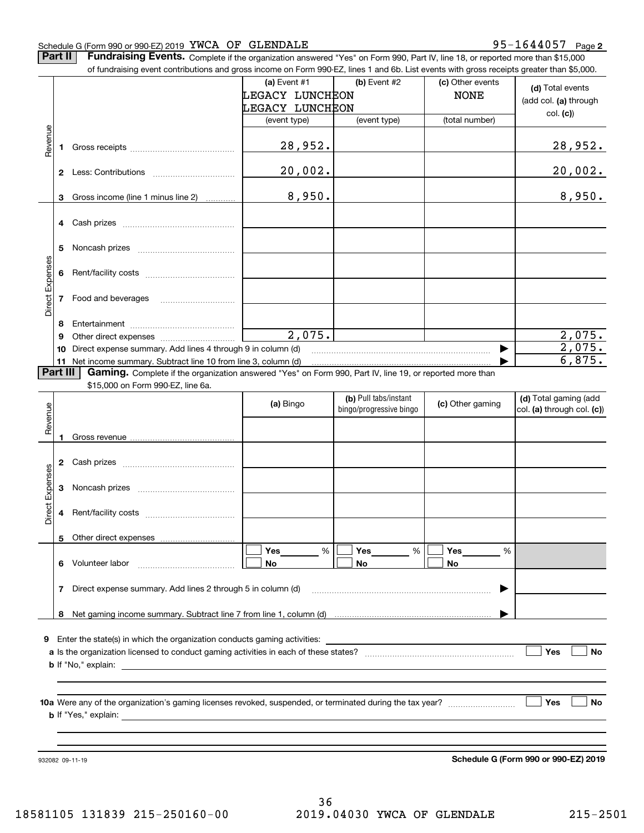### Schedule G (Form 990 or 990-EZ) 2019 Page YWCA OF GLENDALE 95-1644057

**2**

**Part II** | Fundraising Events. Complete if the organization answered "Yes" on Form 990, Part IV, line 18, or reported more than \$15,000 of fundraising event contributions and gross income on Form 990-EZ, lines 1 and 6b. List events with gross receipts greater than \$5,000.

|                            |           | 01 lungasing event contributions and gross income on Form 990-EZ, inles T and OD. Elst events with gross receipts greater than \$0,000. |                        |                         |                  |                            |  |
|----------------------------|-----------|-----------------------------------------------------------------------------------------------------------------------------------------|------------------------|-------------------------|------------------|----------------------------|--|
|                            |           |                                                                                                                                         | (a) Event $#1$         | $(b)$ Event #2          | (c) Other events | (d) Total events           |  |
|                            |           |                                                                                                                                         | LEGACY LUNCHEON        |                         | <b>NONE</b>      |                            |  |
|                            |           |                                                                                                                                         | <b>LEGACY LUNCHEON</b> |                         |                  | (add col. (a) through      |  |
|                            |           |                                                                                                                                         | (event type)           | (event type)            | (total number)   | col. (c)                   |  |
|                            |           |                                                                                                                                         |                        |                         |                  |                            |  |
| Revenue                    | 1.        |                                                                                                                                         | 28,952.                |                         |                  | 28,952.                    |  |
|                            |           |                                                                                                                                         |                        |                         |                  |                            |  |
|                            |           |                                                                                                                                         | 20,002.                |                         |                  | 20,002.                    |  |
|                            |           |                                                                                                                                         |                        |                         |                  |                            |  |
|                            |           |                                                                                                                                         | 8,950.                 |                         |                  |                            |  |
|                            | 3         | Gross income (line 1 minus line 2)                                                                                                      |                        |                         |                  | 8,950.                     |  |
|                            |           |                                                                                                                                         |                        |                         |                  |                            |  |
|                            |           | 4 Cash prizes                                                                                                                           |                        |                         |                  |                            |  |
|                            |           |                                                                                                                                         |                        |                         |                  |                            |  |
|                            | 5.        |                                                                                                                                         |                        |                         |                  |                            |  |
| Direct Expenses            |           |                                                                                                                                         |                        |                         |                  |                            |  |
|                            | 6         |                                                                                                                                         |                        |                         |                  |                            |  |
|                            |           |                                                                                                                                         |                        |                         |                  |                            |  |
|                            |           | 7 Food and beverages                                                                                                                    |                        |                         |                  |                            |  |
|                            |           |                                                                                                                                         |                        |                         |                  |                            |  |
|                            | 8         |                                                                                                                                         |                        |                         |                  |                            |  |
|                            | 9         |                                                                                                                                         | 2,075.                 |                         |                  | $\frac{2,075.}{2,075.}$    |  |
|                            |           | 10 Direct expense summary. Add lines 4 through 9 in column (d)                                                                          |                        |                         |                  |                            |  |
|                            |           | 11 Net income summary. Subtract line 10 from line 3, column (d)                                                                         |                        |                         |                  | 6,875.                     |  |
| Part III                   |           | Gaming. Complete if the organization answered "Yes" on Form 990, Part IV, line 19, or reported more than                                |                        |                         |                  |                            |  |
|                            |           | \$15,000 on Form 990-EZ, line 6a.                                                                                                       |                        |                         |                  |                            |  |
|                            |           |                                                                                                                                         | (a) Bingo              | (b) Pull tabs/instant   | (c) Other gaming | (d) Total gaming (add      |  |
|                            |           |                                                                                                                                         |                        | bingo/progressive bingo |                  | col. (a) through col. (c)) |  |
| Revenue                    |           |                                                                                                                                         |                        |                         |                  |                            |  |
|                            | 1         |                                                                                                                                         |                        |                         |                  |                            |  |
|                            |           |                                                                                                                                         |                        |                         |                  |                            |  |
|                            |           |                                                                                                                                         |                        |                         |                  |                            |  |
|                            |           |                                                                                                                                         |                        |                         |                  |                            |  |
|                            | 3         |                                                                                                                                         |                        |                         |                  |                            |  |
| Direct Expenses            |           |                                                                                                                                         |                        |                         |                  |                            |  |
|                            | 4         |                                                                                                                                         |                        |                         |                  |                            |  |
|                            |           |                                                                                                                                         |                        |                         |                  |                            |  |
|                            |           |                                                                                                                                         |                        |                         |                  |                            |  |
|                            |           |                                                                                                                                         |                        |                         |                  |                            |  |
|                            |           | 6 Volunteer labor                                                                                                                       | Yes<br>%               | Yes<br>$\%$             | Yes<br>%         |                            |  |
|                            |           |                                                                                                                                         | No                     | No                      | No               |                            |  |
|                            |           |                                                                                                                                         |                        |                         |                  |                            |  |
|                            | 7         | Direct expense summary. Add lines 2 through 5 in column (d)                                                                             |                        |                         |                  |                            |  |
|                            |           |                                                                                                                                         |                        |                         |                  |                            |  |
|                            | 8         |                                                                                                                                         |                        |                         |                  |                            |  |
|                            |           |                                                                                                                                         |                        |                         |                  |                            |  |
|                            |           | 9 Enter the state(s) in which the organization conducts gaming activities:                                                              |                        |                         |                  |                            |  |
|                            | Yes<br>No |                                                                                                                                         |                        |                         |                  |                            |  |
| <b>b</b> If "No," explain: |           |                                                                                                                                         |                        |                         |                  |                            |  |
|                            |           |                                                                                                                                         |                        |                         |                  |                            |  |
|                            |           |                                                                                                                                         |                        |                         |                  |                            |  |
|                            |           |                                                                                                                                         |                        |                         |                  | Yes<br><b>No</b>           |  |
|                            |           | <b>b</b> If "Yes," explain:                                                                                                             |                        |                         |                  |                            |  |
|                            |           |                                                                                                                                         |                        |                         |                  |                            |  |
|                            |           |                                                                                                                                         |                        |                         |                  |                            |  |
|                            |           |                                                                                                                                         |                        |                         |                  |                            |  |

**Schedule G (Form 990 or 990-EZ) 2019**

36 18581105 131839 215-250160-00 2019.04030 YWCA OF GLENDALE 215-2501

932082 09-11-19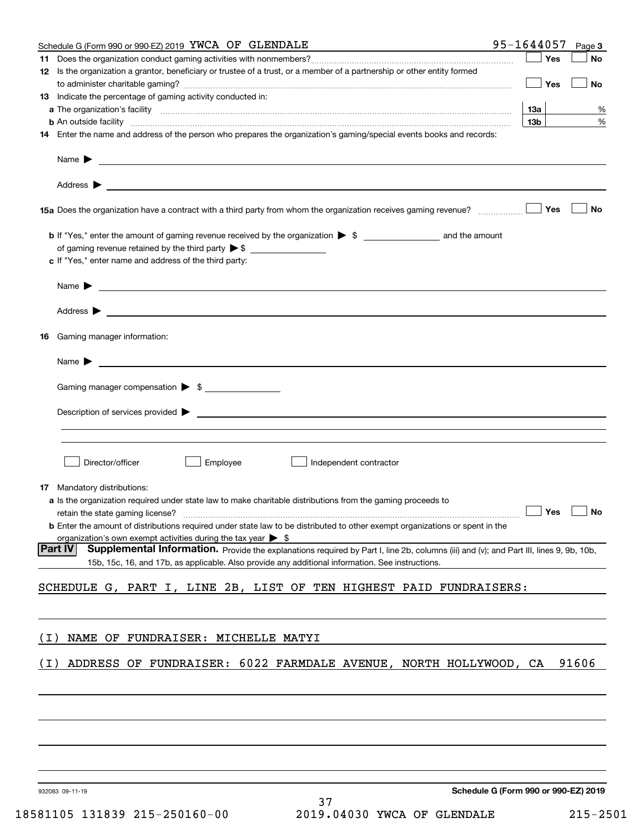|                 | Schedule G (Form 990 or 990-EZ) 2019 YWCA OF GLENDALE                                                                                                                                                                                                              | 95-1644057                           | Page 3 |
|-----------------|--------------------------------------------------------------------------------------------------------------------------------------------------------------------------------------------------------------------------------------------------------------------|--------------------------------------|--------|
|                 |                                                                                                                                                                                                                                                                    | Yes                                  | No.    |
|                 | 12 Is the organization a grantor, beneficiary or trustee of a trust, or a member of a partnership or other entity formed                                                                                                                                           |                                      |        |
|                 |                                                                                                                                                                                                                                                                    | Yes                                  | No     |
|                 | 13 Indicate the percentage of gaming activity conducted in:                                                                                                                                                                                                        |                                      |        |
|                 |                                                                                                                                                                                                                                                                    | 13а                                  | %      |
|                 | <b>b</b> An outside facility <i>www.communicality www.communicality.communicality www.communicality www.communicality.communicality www.communicality.com</i>                                                                                                      | 13 <sub>b</sub>                      | $\%$   |
|                 | 14 Enter the name and address of the person who prepares the organization's gaming/special events books and records:                                                                                                                                               |                                      |        |
|                 | Name $\blacktriangleright$<br><u>state and the state of the state of the state of the state of the state of the state of the state of the state of the state of the state of the state of the state of the state of the state of the state of the state of the</u> |                                      |        |
|                 |                                                                                                                                                                                                                                                                    |                                      |        |
|                 |                                                                                                                                                                                                                                                                    | Yes                                  | No     |
|                 |                                                                                                                                                                                                                                                                    |                                      |        |
|                 |                                                                                                                                                                                                                                                                    |                                      |        |
|                 |                                                                                                                                                                                                                                                                    |                                      |        |
|                 | c If "Yes," enter name and address of the third party:                                                                                                                                                                                                             |                                      |        |
|                 | Name $\blacktriangleright$                                                                                                                                                                                                                                         |                                      |        |
|                 |                                                                                                                                                                                                                                                                    |                                      |        |
|                 |                                                                                                                                                                                                                                                                    |                                      |        |
| 16              | Gaming manager information:                                                                                                                                                                                                                                        |                                      |        |
|                 | <u> 1989 - Andrea Stadt Britain, amerikansk politiker (</u><br>Name $\blacktriangleright$                                                                                                                                                                          |                                      |        |
|                 | Gaming manager compensation > \$                                                                                                                                                                                                                                   |                                      |        |
|                 |                                                                                                                                                                                                                                                                    |                                      |        |
|                 |                                                                                                                                                                                                                                                                    |                                      |        |
|                 |                                                                                                                                                                                                                                                                    |                                      |        |
|                 | Director/officer<br>Employee<br>Independent contractor                                                                                                                                                                                                             |                                      |        |
|                 |                                                                                                                                                                                                                                                                    |                                      |        |
|                 | <b>17</b> Mandatory distributions:                                                                                                                                                                                                                                 |                                      |        |
|                 | a Is the organization required under state law to make charitable distributions from the gaming proceeds to                                                                                                                                                        |                                      | No     |
|                 | <b>b</b> Enter the amount of distributions required under state law to be distributed to other exempt organizations or spent in the                                                                                                                                |                                      |        |
|                 | organization's own exempt activities during the tax year $\triangleright$ \$                                                                                                                                                                                       |                                      |        |
| <b>Part IV</b>  | Supplemental Information. Provide the explanations required by Part I, line 2b, columns (iii) and (v); and Part III, lines 9, 9b, 10b,<br>15b, 15c, 16, and 17b, as applicable. Also provide any additional information. See instructions.                         |                                      |        |
|                 |                                                                                                                                                                                                                                                                    |                                      |        |
|                 | SCHEDULE G, PART I, LINE 2B, LIST OF TEN HIGHEST PAID FUNDRAISERS:                                                                                                                                                                                                 |                                      |        |
|                 |                                                                                                                                                                                                                                                                    |                                      |        |
| ( L )           | NAME OF FUNDRAISER: MICHELLE MATYI                                                                                                                                                                                                                                 |                                      |        |
|                 |                                                                                                                                                                                                                                                                    |                                      |        |
| ( I )           | ADDRESS OF FUNDRAISER: 6022 FARMDALE AVENUE, NORTH HOLLYWOOD, CA                                                                                                                                                                                                   |                                      | 91606  |
|                 |                                                                                                                                                                                                                                                                    |                                      |        |
|                 |                                                                                                                                                                                                                                                                    |                                      |        |
|                 |                                                                                                                                                                                                                                                                    |                                      |        |
|                 |                                                                                                                                                                                                                                                                    |                                      |        |
|                 |                                                                                                                                                                                                                                                                    |                                      |        |
| 932083 09-11-19 |                                                                                                                                                                                                                                                                    | Schedule G (Form 990 or 990-EZ) 2019 |        |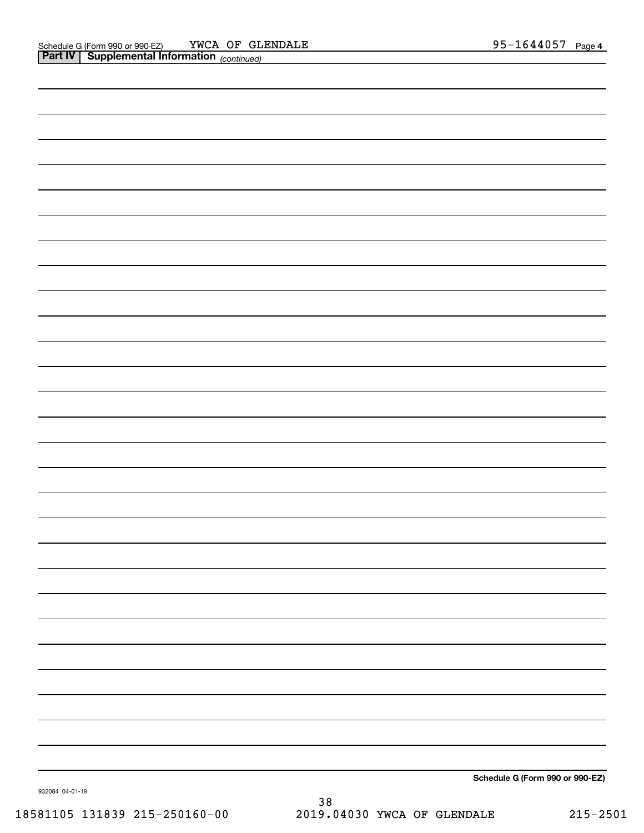| <b>Part IV Supplemental Information</b> (continued) |                                 |
|-----------------------------------------------------|---------------------------------|
|                                                     |                                 |
|                                                     |                                 |
|                                                     |                                 |
|                                                     |                                 |
|                                                     |                                 |
|                                                     |                                 |
|                                                     |                                 |
|                                                     |                                 |
|                                                     |                                 |
|                                                     |                                 |
|                                                     |                                 |
|                                                     |                                 |
|                                                     |                                 |
|                                                     |                                 |
|                                                     |                                 |
|                                                     |                                 |
|                                                     |                                 |
|                                                     |                                 |
|                                                     |                                 |
|                                                     |                                 |
|                                                     |                                 |
|                                                     |                                 |
|                                                     |                                 |
|                                                     |                                 |
|                                                     |                                 |
|                                                     |                                 |
|                                                     |                                 |
|                                                     |                                 |
|                                                     |                                 |
|                                                     |                                 |
|                                                     |                                 |
|                                                     | Schedule G (Form 990 or 990-EZ) |
|                                                     |                                 |

932084 04-01-19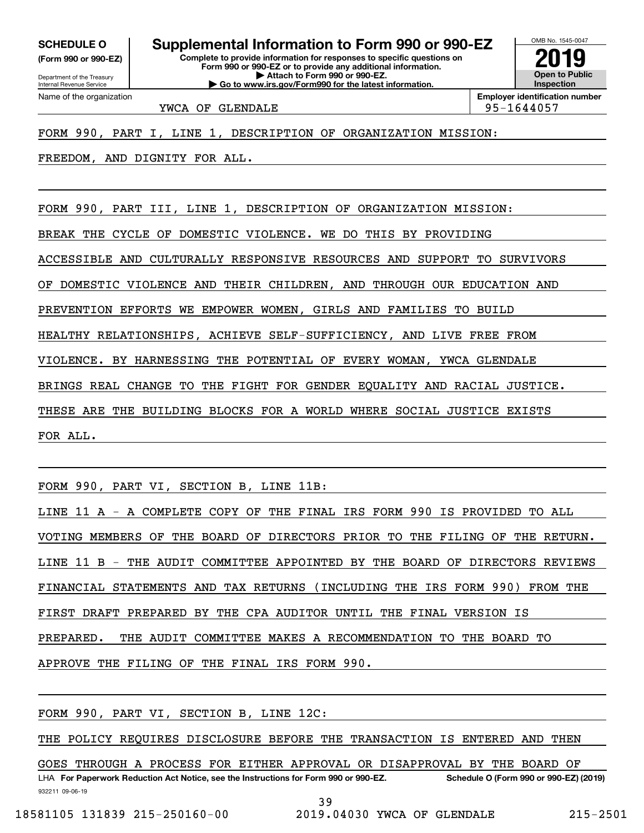**(Form 990 or 990-EZ)**

Department of the Treasury Internal Revenue Service Name of the organization

**Complete to provide information for responses to specific questions on Form 990 or 990-EZ or to provide any additional information. | Attach to Form 990 or 990-EZ. SCHEDULE O Supplemental Information to Form 990 or 990-EZ**

**| Go to www.irs.gov/Form990 for the latest information.**

**Open to Public InspectionEmployer identification number 2019**

OMB No. 1545-0047

YWCA OF GLENDALE 95-1644057

FORM 990, PART I, LINE 1, DESCRIPTION OF ORGANIZATION MISSION:

FREEDOM, AND DIGNITY FOR ALL.

FORM 990, PART III, LINE 1, DESCRIPTION OF ORGANIZATION MISSION:

BREAK THE CYCLE OF DOMESTIC VIOLENCE. WE DO THIS BY PROVIDING

ACCESSIBLE AND CULTURALLY RESPONSIVE RESOURCES AND SUPPORT TO SURVIVORS

OF DOMESTIC VIOLENCE AND THEIR CHILDREN, AND THROUGH OUR EDUCATION AND

PREVENTION EFFORTS WE EMPOWER WOMEN, GIRLS AND FAMILIES TO BUILD

HEALTHY RELATIONSHIPS, ACHIEVE SELF-SUFFICIENCY, AND LIVE FREE FROM

VIOLENCE. BY HARNESSING THE POTENTIAL OF EVERY WOMAN, YWCA GLENDALE

BRINGS REAL CHANGE TO THE FIGHT FOR GENDER EQUALITY AND RACIAL JUSTICE.

THESE ARE THE BUILDING BLOCKS FOR A WORLD WHERE SOCIAL JUSTICE EXISTS

FOR ALL.

FORM 990, PART VI, SECTION B, LINE 11B:

LINE 11 A - A COMPLETE COPY OF THE FINAL IRS FORM 990 IS PROVIDED TO ALL VOTING MEMBERS OF THE BOARD OF DIRECTORS PRIOR TO THE FILING OF THE RETURN. LINE 11 B - THE AUDIT COMMITTEE APPOINTED BY THE BOARD OF DIRECTORS REVIEWS FINANCIAL STATEMENTS AND TAX RETURNS (INCLUDING THE IRS FORM 990) FROM THE FIRST DRAFT PREPARED BY THE CPA AUDITOR UNTIL THE FINAL VERSION IS PREPARED. THE AUDIT COMMITTEE MAKES A RECOMMENDATION TO THE BOARD TO APPROVE THE FILING OF THE FINAL IRS FORM 990.

FORM 990, PART VI, SECTION B, LINE 12C:

THE POLICY REQUIRES DISCLOSURE BEFORE THE TRANSACTION IS ENTERED AND THEN

932211 09-06-19 LHA For Paperwork Reduction Act Notice, see the Instructions for Form 990 or 990-EZ. Schedule O (Form 990 or 990-EZ) (2019) GOES THROUGH A PROCESS FOR EITHER APPROVAL OR DISAPPROVAL BY THE BOARD OF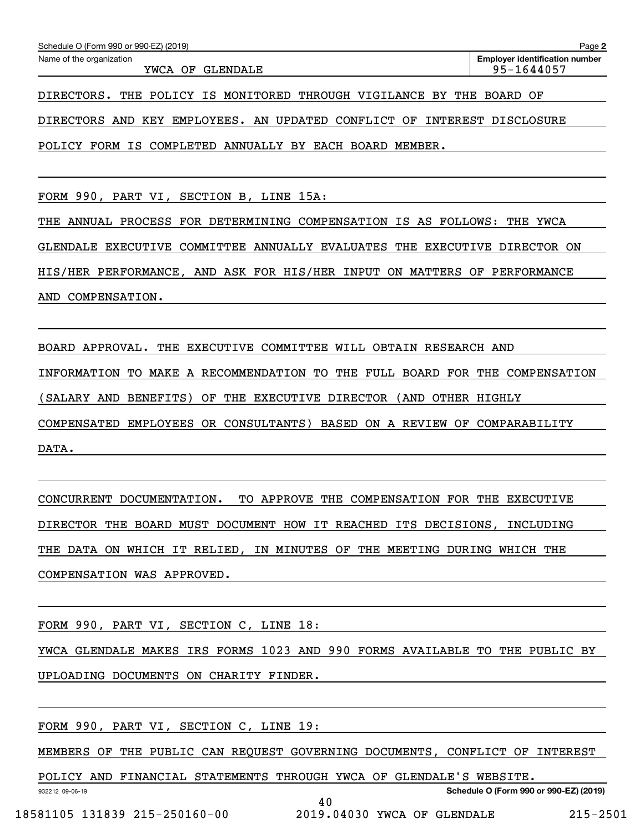| Schedule O (Form 990 or 990-EZ) (2019) | Page 2                                |
|----------------------------------------|---------------------------------------|
| Name of the organization               | <b>Employer identification number</b> |
| YWCA OF GLENDALE                       | 95-1644057                            |
|                                        |                                       |

DIRECTORS. THE POLICY IS MONITORED THROUGH VIGILANCE BY THE BOARD OF

DIRECTORS AND KEY EMPLOYEES. AN UPDATED CONFLICT OF INTEREST DISCLOSURE

POLICY FORM IS COMPLETED ANNUALLY BY EACH BOARD MEMBER.

FORM 990, PART VI, SECTION B, LINE 15A:

THE ANNUAL PROCESS FOR DETERMINING COMPENSATION IS AS FOLLOWS: THE YWCA GLENDALE EXECUTIVE COMMITTEE ANNUALLY EVALUATES THE EXECUTIVE DIRECTOR ON HIS/HER PERFORMANCE, AND ASK FOR HIS/HER INPUT ON MATTERS OF PERFORMANCE AND COMPENSATION.

BOARD APPROVAL. THE EXECUTIVE COMMITTEE WILL OBTAIN RESEARCH AND INFORMATION TO MAKE A RECOMMENDATION TO THE FULL BOARD FOR THE COMPENSATION (SALARY AND BENEFITS) OF THE EXECUTIVE DIRECTOR (AND OTHER HIGHLY COMPENSATED EMPLOYEES OR CONSULTANTS) BASED ON A REVIEW OF COMPARABILITY DATA.

CONCURRENT DOCUMENTATION. TO APPROVE THE COMPENSATION FOR THE EXECUTIVE DIRECTOR THE BOARD MUST DOCUMENT HOW IT REACHED ITS DECISIONS, INCLUDING THE DATA ON WHICH IT RELIED, IN MINUTES OF THE MEETING DURING WHICH THE COMPENSATION WAS APPROVED.

FORM 990, PART VI, SECTION C, LINE 18:

YWCA GLENDALE MAKES IRS FORMS 1023 AND 990 FORMS AVAILABLE TO THE PUBLIC BY UPLOADING DOCUMENTS ON CHARITY FINDER.

FORM 990, PART VI, SECTION C, LINE 19:

MEMBERS OF THE PUBLIC CAN REQUEST GOVERNING DOCUMENTS, CONFLICT OF INTEREST

40

POLICY AND FINANCIAL STATEMENTS THROUGH YWCA OF GLENDALE'S WEBSITE.

932212 09-06-19